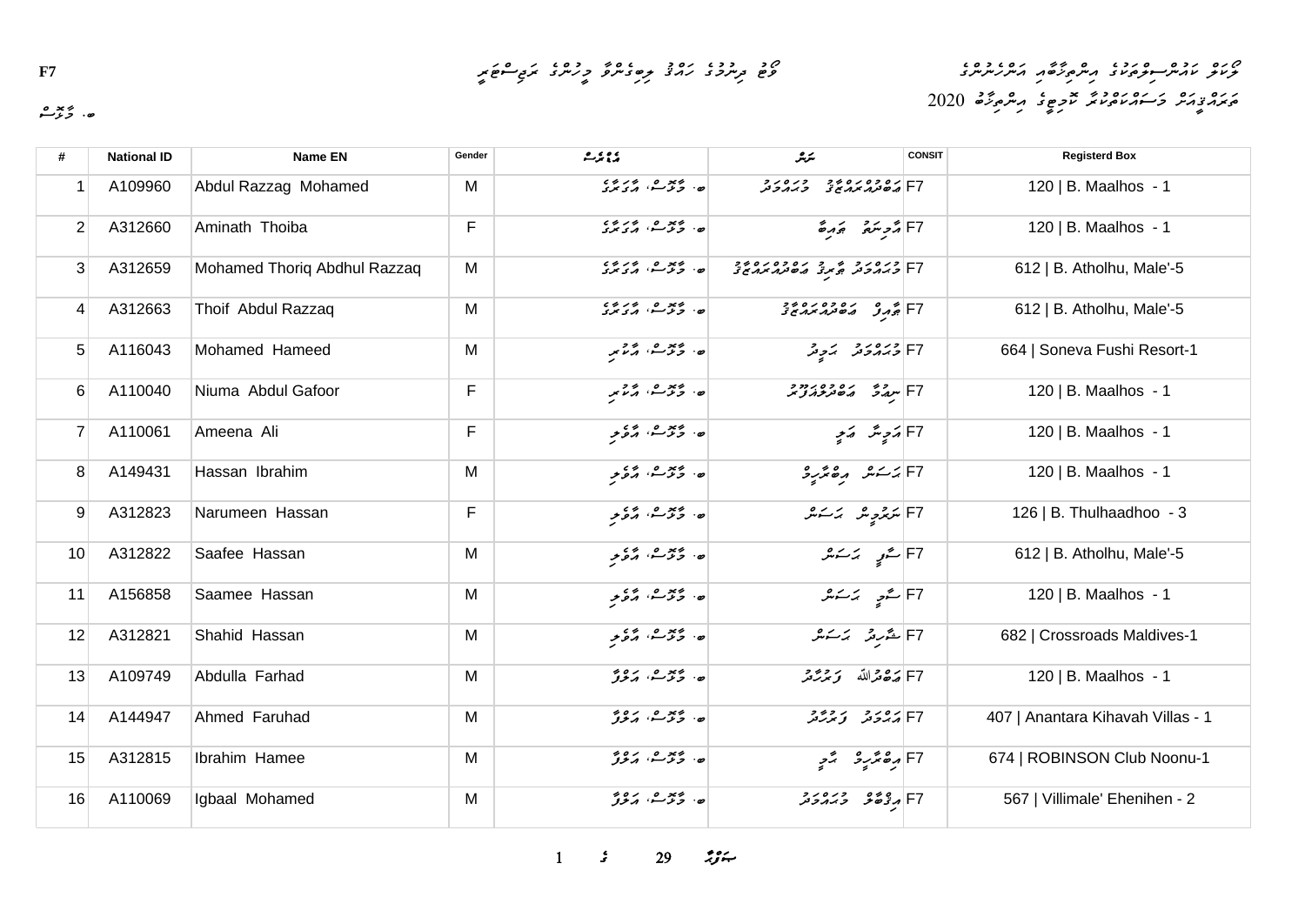*sCw7q7s5w7m< o<n9nOoAw7o< sCq;mAwBoEw7q<m; wBm;vB* م من المرة المرة المرة المرجع المرجع في المركبة 2020<br>مجم*د المريض المربوط المربع المرجع في المراجع المركبة* 

| #              | <b>National ID</b> | Name EN                      | Gender      | ړ، بر ک             | ىترىگر                               | <b>CONSIT</b> | <b>Registerd Box</b>              |
|----------------|--------------------|------------------------------|-------------|---------------------|--------------------------------------|---------------|-----------------------------------|
| 1              | A109960            | Abdul Razzag Mohamed         | M           |                     |                                      |               | 120   B. Maalhos - 1              |
| $\overline{2}$ | A312660            | Aminath Thoiba               | F           | ه په پوره په دره په | F7 <i>مُّجِسَعُ مَمَّدةُ</i>         |               | 120   B. Maalhos - 1              |
| 3              | A312659            | Mohamed Thoriq Abdhul Razzaq | M           | ه د مورد د د د د    | F7 دره رو پژیز ره ده ره دو           |               | 612   B. Atholhu, Male'-5         |
| 4              | A312663            | Thoif Abdul Razzaq           | M           | ه په پوره په دره په | F7 جُورُو مُصور معدد مع              |               | 612   B. Atholhu, Male'-5         |
| 5              | A116043            | Mohamed Hameed               | M           | ه کورې کورېږ        | F7 <i>وُټرو دو ټ</i> ونر             |               | 664   Soneva Fushi Resort-1       |
| 6              | A110040            | Niuma Abdul Gafoor           | F           | ە ئۇقت، ئەيز        | F7 سمة مصر دور دور<br>F7 سمة مصر دور |               | 120   B. Maalhos - 1              |
| $\overline{7}$ | A110061            | Ameena Ali                   | $\mathsf F$ | ه د نور مه ده د     | F7 کی پنگر کی پر                     |               | 120   B. Maalhos - 1              |
| 8              | A149431            | Hassan Ibrahim               | M           | ه کورې په دې        | F7 ئەسەمىر مەھ <i>مەرى</i> ئ         |               | 120   B. Maalhos - 1              |
| 9              | A312823            | Narumeen Hassan              | $\mathsf F$ | ه دې ده.            | F7 <i>سَمَعْ جِسْہ بَرَ سَمَسَّ</i>  |               | 126   B. Thulhaadhoo - 3          |
| 10             | A312822            | Saafee Hassan                | M           | ه د نور مه ده د     | F7 گو پر <i>سک</i> ش                 |               | 612   B. Atholhu, Male'-5         |
| 11             | A156858            | Saamee Hassan                | M           | ه د نور مه ده د     | F7 گے پر برکائیں<br>ا                |               | 120   B. Maalhos - 1              |
| 12             | A312821            | Shahid Hassan                | M           | ه کورې کړه د        | F7 يقريق برسكاني                     |               | 682   Crossroads Maldives-1       |
| 13             | A109749            | Abdulla Farhad               | M           | ه . ويو ه ، مروو    | F7 مَەشْراللە مَرْمَرْمَّر           |               | 120   B. Maalhos - 1              |
| 14             | A144947            | Ahmed Faruhad                | M           | ە بەللاھ، ئەفەبى    | F7 <i>ړې دي وي د</i> ر               |               | 407   Anantara Kihavah Villas - 1 |
| 15             | A312815            | Ibrahim Hamee                | M           | ە بەللەر ئەمەد      | F7 <i>۾ ڇُڏپ</i> و گ <sub>ُج</sub>   |               | 674   ROBINSON Club Noonu-1       |
| 16             | A110069            | Igbaal Mohamed               | M           | ه . و بوب، دوو      | F7 مِتْهُوْ وَيَهُومُ                |               | 567   Villimale' Ehenihen - 2     |

*wEu:n> .9*

*1 s* 29 *i*<sub>s</sub> $\approx$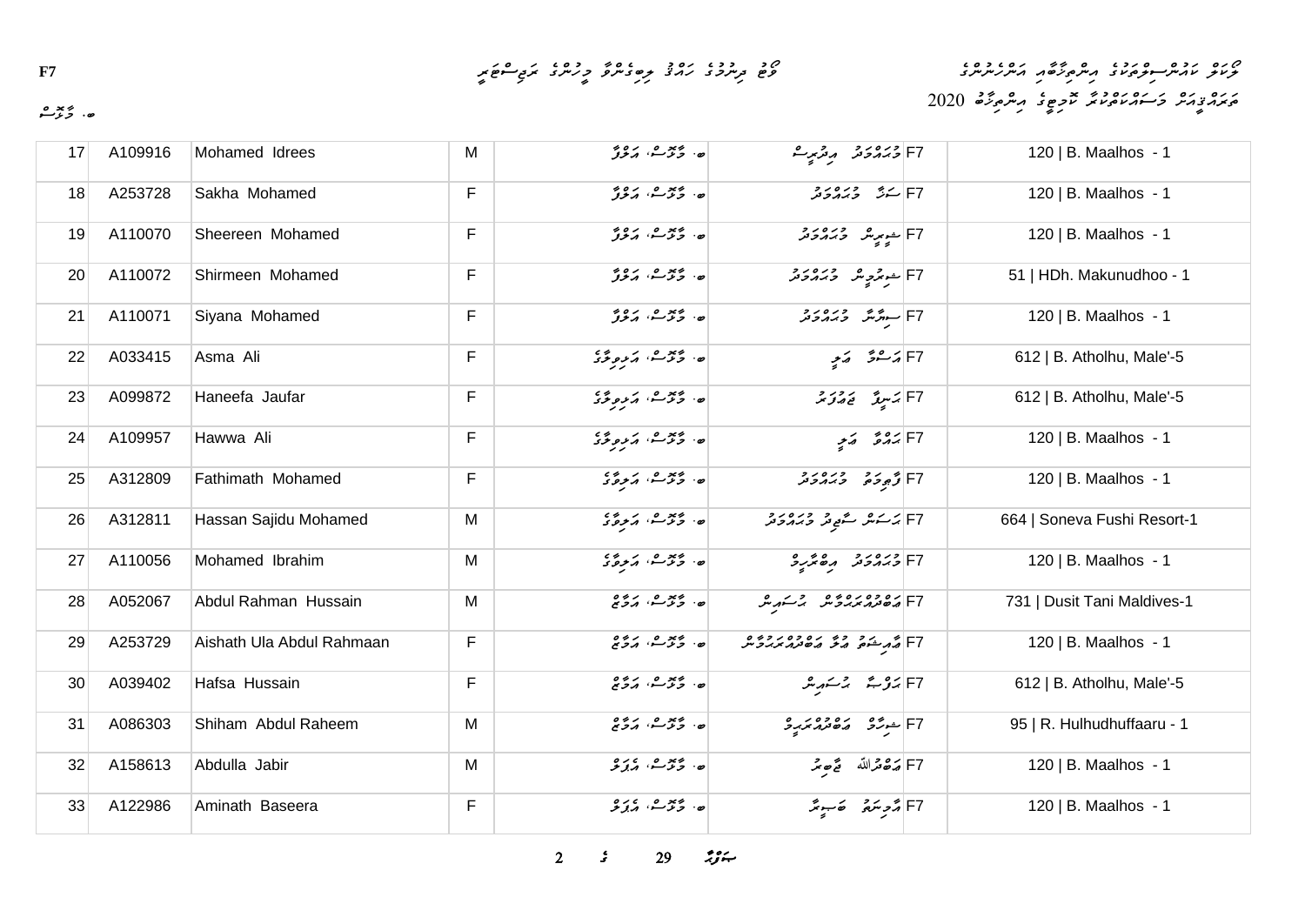*sCw7q7s5w7m< o<n9nOoAw7o< sCq;mAwBoEw7q<m; wBm;vB* م من المرة المرة المرة المرجع المرجع في المركبة 2020<br>مجم*د المريض المربوط المربع المرجع في المراجع المركبة* 

| 17 | A109916 | Mohamed Idrees            | M           | ە بەللەرە بەرەپىي                                                                                                                                                                                                                                                                                                            | F7 دُبَرُودَ دَ مِتْرَمِرِ مَ       | 120   B. Maalhos - 1        |
|----|---------|---------------------------|-------------|------------------------------------------------------------------------------------------------------------------------------------------------------------------------------------------------------------------------------------------------------------------------------------------------------------------------------|-------------------------------------|-----------------------------|
| 18 | A253728 | Sakha Mohamed             | F           | ە بەيدە، بەدى                                                                                                                                                                                                                                                                                                                | F7 سَدَنَّ وَبَرْدُونَر             | 120   B. Maalhos - 1        |
| 19 | A110070 | Sheereen Mohamed          | F           | ە بەللەرە بەرەپىي                                                                                                                                                                                                                                                                                                            | F7 غږمرینل ویرورونل                 | 120   B. Maalhos - 1        |
| 20 | A110072 | Shirmeen Mohamed          | $\mathsf F$ | ە بەللەرە ئەرەپ                                                                                                                                                                                                                                                                                                              | F7 خوړکو شرح دره د ور               | 51   HDh. Makunudhoo - 1    |
| 21 | A110071 | Siyana Mohamed            | F           | ە بەيدە، ئەفرۇ                                                                                                                                                                                                                                                                                                               | F7 سور پیر ویره در د                | 120   B. Maalhos - 1        |
| 22 | A033415 | Asma Ali                  | $\mathsf F$ | ه په په مرمونو                                                                                                                                                                                                                                                                                                               | F7 ړُڪڙ پَه په                      | 612   B. Atholhu, Male'-5   |
| 23 | A099872 | Haneefa Jaufar            | F           | ه په په کرده و                                                                                                                                                                                                                                                                                                               | F7 بَرْسِرٌ مَحْمَدُوْمُرُ          | 612   B. Atholhu, Male'-5   |
| 24 | A109957 | Hawwa Ali                 | $\mathsf F$ | ه په په مرمونو                                                                                                                                                                                                                                                                                                               | F7 يَدْرُقَ   يَرْمِ                | 120   B. Maalhos - 1        |
| 25 | A312809 | Fathimath Mohamed         | F           | $5950 - 2550$                                                                                                                                                                                                                                                                                                                | F7 ژ <sub>نجو</sub> څو وره د        | 120   B. Maalhos - 1        |
| 26 | A312811 | Hassan Sajidu Mohamed     | M           | ه د موت، مرود                                                                                                                                                                                                                                                                                                                | F7 پُرڪش ڪُمهِ <i>۾ وين ويو</i>     | 664   Soneva Fushi Resort-1 |
| 27 | A110056 | Mohamed Ibrahim           | M           | ه په په دره کارون                                                                                                                                                                                                                                                                                                            | F7 32023 مەھمەر 2                   | 120   B. Maalhos - 1        |
| 28 | A052067 | Abdul Rahman Hussain      | M           | ھ گريمبر ھي پروي                                                                                                                                                                                                                                                                                                             | F7 رەدەرە دەر برگىرى                | 731   Dusit Tani Maldives-1 |
| 29 | A253729 | Aishath Ula Abdul Rahmaan | $\mathsf F$ | $\begin{bmatrix} 0 & 0 & 0 & 0 & 0 \\ 0 & 0 & 0 & 0 & 0 \\ 0 & 0 & 0 & 0 & 0 \\ 0 & 0 & 0 & 0 & 0 \\ 0 & 0 & 0 & 0 & 0 \\ 0 & 0 & 0 & 0 & 0 \\ 0 & 0 & 0 & 0 & 0 \\ 0 & 0 & 0 & 0 & 0 \\ 0 & 0 & 0 & 0 & 0 \\ 0 & 0 & 0 & 0 & 0 \\ 0 & 0 & 0 & 0 & 0 \\ 0 & 0 & 0 & 0 & 0 \\ 0 & 0 & 0 & 0 & 0 \\ 0 & 0 & 0 & 0 & 0 \\ 0 & $ | F7 ړُم شَوَ د د د ده ده د د د ه     | 120   B. Maalhos - 1        |
| 30 | A039402 | Hafsa Hussain             | $\mathsf F$ | 0.99999999999                                                                                                                                                                                                                                                                                                                | F7 ئۇيگە ئەسكەپ ش                   | 612   B. Atholhu, Male'-5   |
| 31 | A086303 | Shiham Abdul Raheem       | M           | ه . و بوت، د و ه                                                                                                                                                                                                                                                                                                             | F7 خور مى مەھەم مەر ق               | 95   R. Hulhudhuffaaru - 1  |
| 32 | A158613 | Abdulla Jabir             | M           | ه کوره، کاره                                                                                                                                                                                                                                                                                                                 | F7 مَرْهُ مَّرَاللَّهُ فَيَرْحَمْدُ | 120   B. Maalhos - 1        |
| 33 | A122986 | Aminath Baseera           | F           | ە بەسى بەرە<br>ھەرىي مۇر                                                                                                                                                                                                                                                                                                     | F7 أَمُّ <i>حِينَهُ</i> فَسَبِيمُ   | 120   B. Maalhos - 1        |

*2 sC 29 nNw?mS*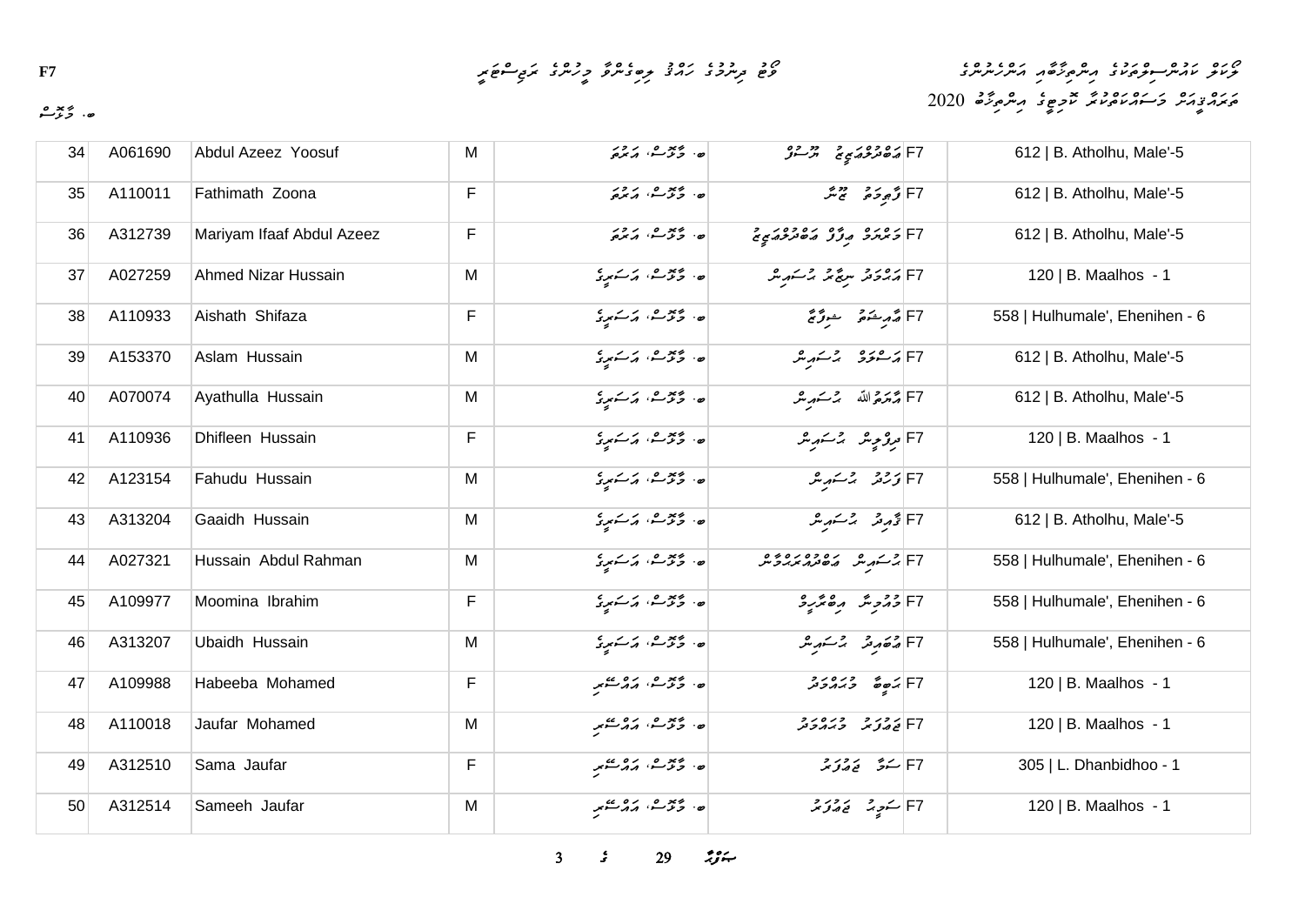*sCw7q7s5w7m< o<n9nOoAw7o< sCq;mAwBoEw7q<m; wBm;vB* م من المرة المرة المرة المرجع المرجع في المركبة 2020<br>مجم*د المريض المربوط المربع المرجع في المراجع المركبة* 

| 34 | A061690 | Abdul Azeez Yoosuf         | M           | ه وي دور             | F7 <sub>م</sub> ەھەر <i>وم ج</i> مرىسى     | 612   B. Atholhu, Male'-5      |
|----|---------|----------------------------|-------------|----------------------|--------------------------------------------|--------------------------------|
| 35 | A110011 | Fathimath Zoona            | F           | ھ پار در در          | F7 <i>وُجوح</i> و مي مي                    | 612   B. Atholhu, Male'-5      |
| 36 | A312739 | Mariyam Ifaaf Abdul Azeez  | F           | ە· دىم دە كەيم كەندە | F7 زەرە مۇز مەدەر د                        | 612   B. Atholhu, Male'-5      |
| 37 | A027259 | <b>Ahmed Nizar Hussain</b> | M           | ە بەللەر ئەسكەبى     | F7 <i>גُرُوَ تَرْ سِيُّيْ بُرُسُورِ</i> شُ | 120   B. Maalhos - 1           |
| 38 | A110933 | Aishath Shifaza            | F           | ه په په درې          | F7 مُرمِشَمُ سُورٌ مَحْ                    | 558   Hulhumale', Ehenihen - 6 |
| 39 | A153370 | Aslam Hussain              | M           | ە بەللەر ئەسكەبى     | F7 كەشكى ئەسىمبە ئىكتەر بىر                | 612   B. Atholhu, Male'-5      |
| 40 | A070074 | Ayathulla Hussain          | M           | ە بە ئۇنىش، ئەسكەبدى | F7 مُ مَرَّمَ اللّه بِ حَسَد مَّر          | 612   B. Atholhu, Male'-5      |
| 41 | A110936 | Dhifleen Hussain           | $\mathsf F$ | ە بەللەر ئەسكەبى     | F7 مروکویٹر کے شہر بٹر                     | 120   B. Maalhos - 1           |
| 42 | A123154 | Fahudu Hussain             | M           | ە بەللەر ئەسكەبى     | F7 كۆرلىر كەشكەرلىر                        | 558   Hulhumale', Ehenihen - 6 |
| 43 | A313204 | Gaaidh Hussain             | M           | ه په په کار د کار    | F7 تۇم <i>ومۇ بىر شەم</i> بىر              | 612   B. Atholhu, Male'-5      |
| 44 | A027321 | Hussain Abdul Rahman       | M           | ه په په کار د کار    |                                            | 558   Hulhumale', Ehenihen - 6 |
| 45 | A109977 | Moomina Ibrahim            | F           | ھ پی پی کے شمیری     | F7 دُمُّ دِ مُصَمَّرٍ دِ ا                 | 558   Hulhumale', Ehenihen - 6 |
| 46 | A313207 | Ubaidh Hussain             | M           | ھ پی تو ھي، برڪي ته  | F7 مەھەر ئەسىمبەشر                         | 558   Hulhumale', Ehenihen - 6 |
| 47 | A109988 | Habeeba Mohamed            | $\mathsf F$ | ه په دره کره می      | F7 يُرِهِ صَدَمَ جَمَعَ جَمَعَ             | 120   B. Maalhos - 1           |
| 48 | A110018 | Jaufar Mohamed             | M           | ھ گريز ھي پره شوير   | F7 في <i>مادي حيد م</i> حمد حسن            | 120   B. Maalhos - 1           |
| 49 | A312510 | Sama Jaufar                | $\mathsf F$ | ە بەيدە، رەپىي       | F7 سَتَرَّ جَ7وَيْرُ                       | 305   L. Dhanbidhoo - 1        |
| 50 | A312514 | Sameeh Jaufar              | M           | ھ گرگ مارہ گھر       | F7 س <i>نوبر فەۋى</i> ر                    | 120   B. Maalhos - 1           |

**3** *s* **29** *z z*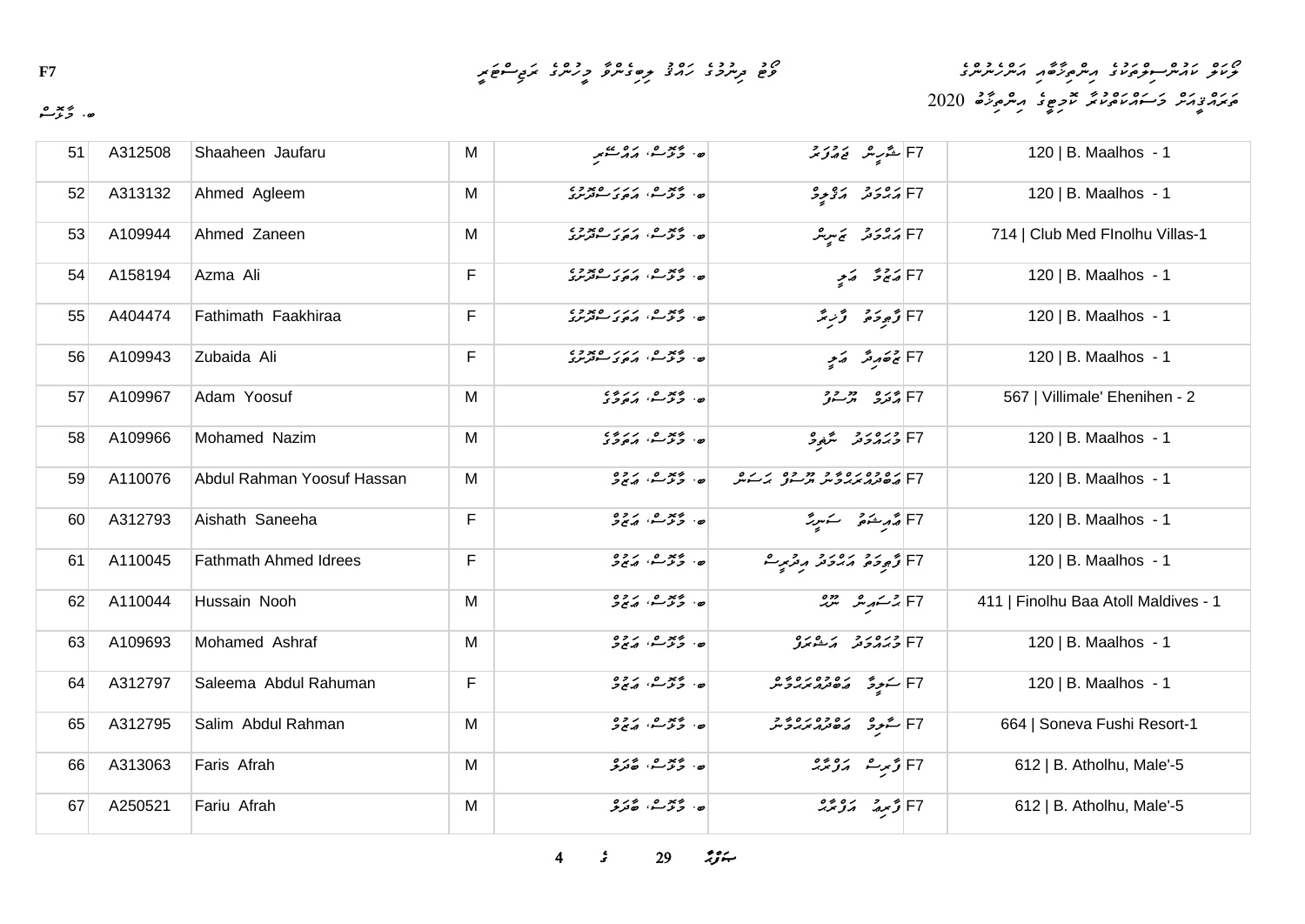*sCw7q7s5w7m< o<n9nOoAw7o< sCq;mAwBoEw7q<m; wBm;vB* م من المرة المرة المرة المرجع المرجع في المركبة 2020<br>مجم*د المريض المربوط المربع المرجع في المراجع المركبة* 

| 51 | A312508 | Shaaheen Jaufaru             | M           | ھ گرم میں مذہب ہے                                 | F7  حدَّرٍ مَ <i>دْ دَوْ</i> تَر           | 120   B. Maalhos - 1                 |
|----|---------|------------------------------|-------------|---------------------------------------------------|--------------------------------------------|--------------------------------------|
| 52 | A313132 | Ahmed Agleem                 | M           | ه به عربی بردر ه پروه<br>به وی شوی بروی سه تر برد | F7  <i>גُرْدَنْ دَڏُوِدْ</i>               | 120   B. Maalhos - 1                 |
| 53 | A109944 | Ahmed Zaneen                 | M           | ه به ده برد د دوه<br>ه ونو کار په دول سترس        | F7 <i>ג ب</i> دو تر تم <sub>سم</sub> بر    | 714   Club Med Flnolhu Villas-1      |
| 54 | A158194 | Azma Ali                     | $\mathsf F$ |                                                   | F7 <i>چُنج</i> گرم کر                      | 120   B. Maalhos - 1                 |
| 55 | A404474 | Fathimath Faakhiraa          | F           | ه به ده برد د دوه<br>ه ونو کار په دول سترس        | F7 <i>وَّجِ حَقَّ</i> وَرَبَّرَ            | 120   B. Maalhos - 1                 |
| 56 | A109943 | Zubaida Ali                  | $\mathsf F$ | ه به عربه در در ۲۶۵۵<br>۲۰ وگرگ، میگوی سوتوس      | F7 ي <i>ح ھاروگر ھ</i> َ يو                | 120   B. Maalhos - 1                 |
| 57 | A109967 | Adam Yoosuf                  | M           | ە· ۇبۇب، مەد»                                     | F7 گەنىرى تەرىپىتى تو                      | 567   Villimale' Ehenihen - 2        |
| 58 | A109966 | Mohamed Nazim                | M           | ه به دره دره در<br>ه گرمن مورد                    | F7  <i>وټرونو سگن</i> وو                   | 120   B. Maalhos - 1                 |
| 59 | A110076 | Abdul Rahman Yoosuf Hassan   | M           | ھ پی پی دوه                                       | F7 <sub>م</sub> ی وہ رہ ہو وہ وہ پر ہے مگر | 120   B. Maalhos - 1                 |
| 60 | A312793 | Aishath Saneeha              | F           | ە . كېي مىسى . دە                                 | F7 مُدمِسْدَهُ سَمَسِرَتُهُ                | 120   B. Maalhos - 1                 |
| 61 | A110045 | <b>Fathmath Ahmed Idrees</b> | $\mathsf F$ |                                                   | F7 زُوٖوَء مروور مقرمرِ م                  | 120   B. Maalhos - 1                 |
| 62 | A110044 | Hussain Nooh                 | M           | ە· ئەبىر ق. ئەج ت                                 | F7 پر کے می <sup>رو</sup> میں              | 411   Finolhu Baa Atoll Maldives - 1 |
| 63 | A109693 | Mohamed Ashraf               | M           | ە· ئەيرە، كەبىرە                                  | F7 دېږدونر کم شو <i>ندو</i>                | 120   B. Maalhos - 1                 |
| 64 | A312797 | Saleema Abdul Rahuman        | F           | $350 - 250$                                       | F7 شوده ده ده ده ده و                      | 120   B. Maalhos - 1                 |
| 65 | A312795 | Salim Abdul Rahman           | M           | ە بەسىمى ئەدە                                     | F7 گروه می ده ده در در                     | 664   Soneva Fushi Resort-1          |
| 66 | A313063 | Faris Afrah                  | M           | ە· ئەير ق. ئەرە                                   | F7 ۇىرىشە بەرەتگە                          | 612   B. Atholhu, Male'-5            |
| 67 | A250521 | Fariu Afrah                  | M           | ە بەلەرە<br><i>ھ</i> تەنزىسى، ھەترىخە             | F7 ۇىر مەدىر                               | 612   B. Atholhu, Male'-5            |

*4 s* 29  $29$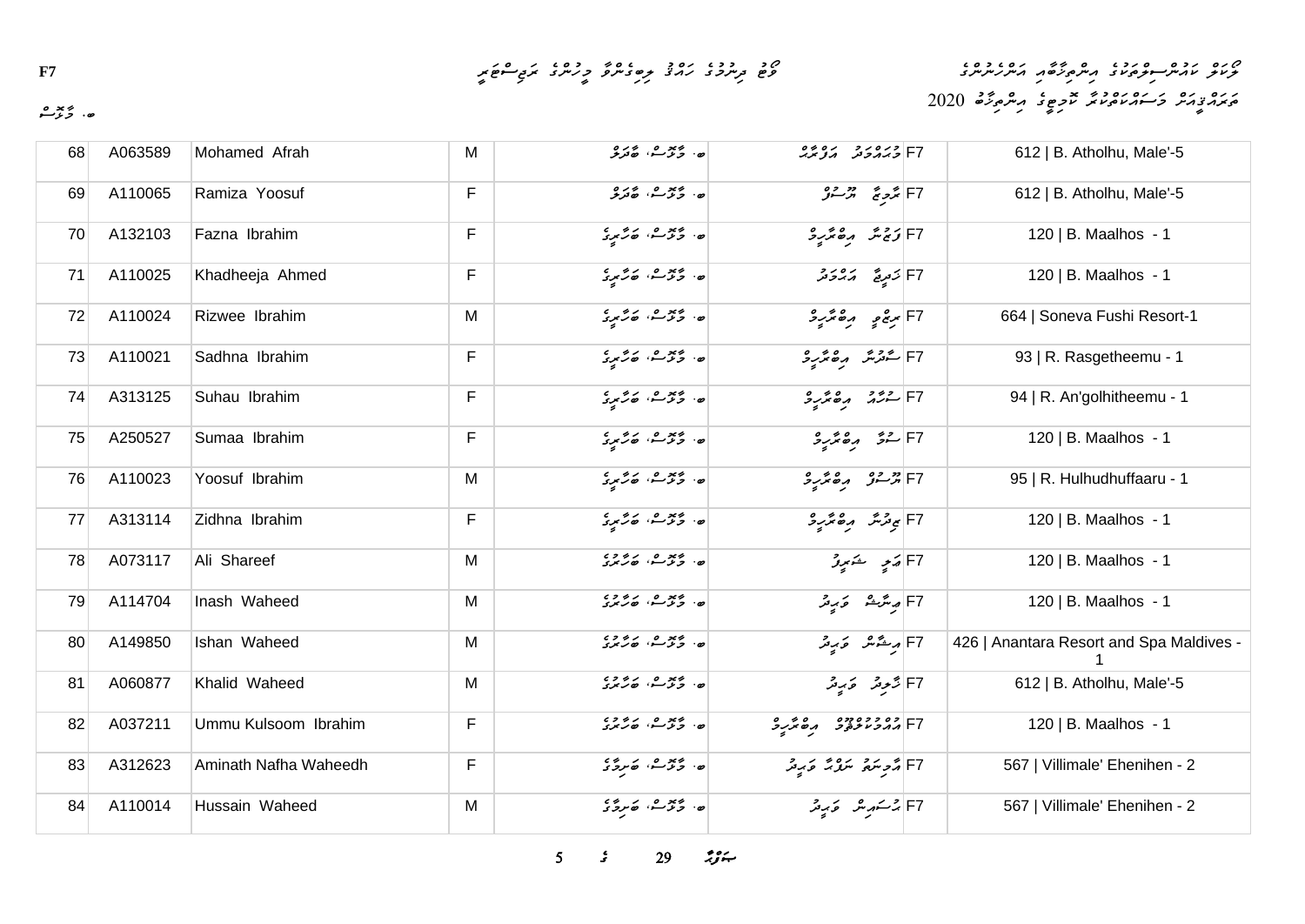*sCw7q7s5w7m< o<n9nOoAw7o< sCq;mAwBoEw7q<m; wBm;vB* م من المرة المرة المرة المرجع المرجع في المركبة 2020<br>مجم*د المريض المربوط المربع المرجع في المراجع المركبة* 

| 68 | A063589 | Mohamed Afrah         | M | ە بەللەر ئەرە                                              | F7 دره دره بره ده.                     | 612   B. Atholhu, Male'-5                |
|----|---------|-----------------------|---|------------------------------------------------------------|----------------------------------------|------------------------------------------|
| 69 | A110065 | Ramiza Yoosuf         | F | ە· ئەير ق. ئەرە                                            | F7 بُرُوجٌ بُرْ <i>- بُرْ - بُرُ</i>   | 612   B. Atholhu, Male'-5                |
| 70 | A132103 | Fazna Ibrahim         | F | ه په په کار د                                              | F7 وَيَ شَرَّ مِنْ صَحَّرِ 3           | 120   B. Maalhos - 1                     |
| 71 | A110025 | Khadheeja Ahmed       | F | $5x - 2x - 3y = 0$                                         | F7 كَتْمِيعٌ مَدْوَمْرٌ                | 120   B. Maalhos - 1                     |
| 72 | A110024 | Rizwee Ibrahim        | M | ه په په کار د                                              | F7 برج <sub>مو</sub> م <i>و پڙر</i> و  | 664   Soneva Fushi Resort-1              |
| 73 | A110021 | Sadhna Ibrahim        | F | ه په دره کرد کا                                            | F7 سەمەتىر مەھەر يەھ                   | 93   R. Rasgetheemu - 1                  |
| 74 | A313125 | Suhau Ibrahim         | F | ه په په کار د                                              | F7 جزير م <i>صرّب</i>                  | 94   R. An'golhitheemu - 1               |
| 75 | A250527 | Sumaa Ibrahim         | F | ه په دره کارېږي                                            | F7 سنرم مقتربة                         | 120   B. Maalhos - 1                     |
| 76 | A110023 | Yoosuf Ibrahim        | M | $5x - 2x - 3y = 0$                                         | F7 پر دو مرہ مجر پاد                   | 95   R. Hulhudhuffaaru - 1               |
| 77 | A313114 | Zidhna Ibrahim        | F | ه په په کار د                                              | F7 <sub>مح</sub> ومتر م <i>صرَّر د</i> | 120   B. Maalhos - 1                     |
| 78 | A073117 | Ali Shareef           | M | $\begin{array}{cc} 0.75 & 0.75 \\ 0.75 & 0.75 \end{array}$ | F7 <i>ھَ۔</i> شَمِيوُ                  | 120   B. Maalhos - 1                     |
| 79 | A114704 | Inash Waheed          | M | ە بەللەر ئەرەپرى                                           | F7 م <i>یں مگرشہ کی پ</i> ور           | 120   B. Maalhos - 1                     |
| 80 | A149850 | Ishan Waheed          | M | ە بەللەر ئەرەر                                             | F7 میشگر ق <i>رب</i> ور                | 426   Anantara Resort and Spa Maldives - |
| 81 | A060877 | Khalid Waheed         | M | $\begin{array}{cc} 0.75 & 0.75 \\ 0.75 & 0.75 \end{array}$ | F7 گرونر ک <i>وپ</i> ر                 | 612   B. Atholhu, Male'-5                |
| 82 | A037211 | Ummu Kulsoom Ibrahim  | F | ہ پور ہے<br>ن ولاسہ ہ                                      | F7 ده د ده ده و ده تربرد               | 120   B. Maalhos - 1                     |
| 83 | A312623 | Aminath Nafha Waheedh | F | 55, 6, 25, 6                                               | F7 أَمُّ حِسَنَةً مَرْكَبٌ عَرَبَتْهِ  | 567   Villimale' Ehenihen - 2            |
| 84 | A110014 | Hussain Waheed        | M | 55, 6, 25, 6                                               | F7 پر <i>کمبر مرگ و ک</i> یونٹر        | 567   Villimale' Ehenihen - 2            |

 $5$   $\cancel{5}$   $29$   $\cancel{29}$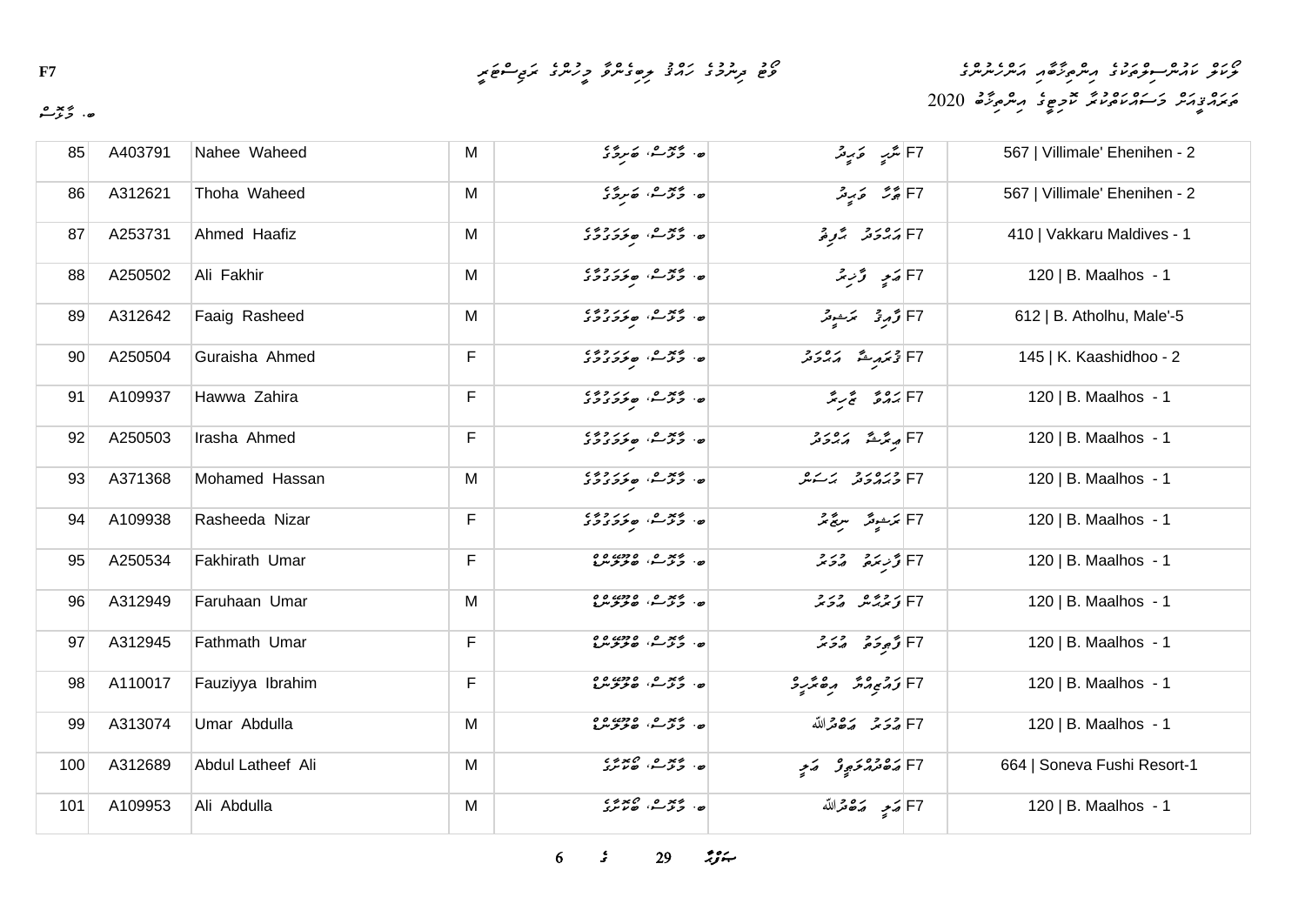*sCw7q7s5w7m< o<n9nOoAw7o< sCq;mAwBoEw7q<m; wBm;vB* م من المرة المرة المرة المرجع المرجع في المركبة 2020<br>مجم*د المريض المربوط المربع المرجع في المراجع المركبة* 

| 85  | A403791 | Nahee Waheed      | M           | ه دره کرد                                                                            | F7 سُربہ عَ <i>بہ</i> مُ              | 567   Villimale' Ehenihen - 2 |
|-----|---------|-------------------|-------------|--------------------------------------------------------------------------------------|---------------------------------------|-------------------------------|
| 86  | A312621 | Thoha Waheed      | M           | 55, 6, 25, 6                                                                         | F7 ۾ُرَ تَرِيْرُ                      | 567   Villimale' Ehenihen - 2 |
| 87  | A253731 | Ahmed Haafiz      | M           | $595550$ $-55$ $-0$                                                                  |                                       | 410   Vakkaru Maldives - 1    |
| 88  | A250502 | Ali Fakhir        | M           | $595550$ $-550$                                                                      | F7 <i>ڇُجِ وُنِ</i> يرُ               | 120   B. Maalhos - 1          |
| 89  | A312642 | Faaig Rasheed     | M           | $595550 - 2500$                                                                      | F7 وَ <sub>مِر</sub> ةِ كَرَسُومُ     | 612   B. Atholhu, Male'-5     |
| 90  | A250504 | Guraisha Ahmed    | $\mathsf F$ | $595550$ $-55$ $-0$                                                                  | F7 تۇتترىرىش كەبمەد تىر               | 145   K. Kaashidhoo - 2       |
| 91  | A109937 | Hawwa Zahira      | F           | ه پیچ ه مختری ده                                                                     | F7 <i>بَدُهُ وَ</i> مَحْ سِمَّرَ      | 120   B. Maalhos - 1          |
| 92  | A250503 | Irasha Ahmed      | $\mathsf F$ | $595550$ $-5550$                                                                     | F7 مەترىشق كەندى قىر                  | 120   B. Maalhos - 1          |
| 93  | A371368 | Mohamed Hassan    | M           | $595550$ $-5550$                                                                     | F7 <i>ويرووژ پرڪش</i>                 | 120   B. Maalhos - 1          |
| 94  | A109938 | Rasheeda Nizar    | F           | $595550$ $-550$                                                                      | F7 مَرْسُومَّر سِركَة مَرْ            | 120   B. Maalhos - 1          |
| 95  | A250534 | Fakhirath Umar    | F           | ه به دره دود ده و ه<br>ه ژنرگ هروس                                                   | F7 وَ <i>ُزِيَرَهُ 25 مَ</i>          | 120   B. Maalhos - 1          |
| 96  | A312949 | Faruhaan Umar     | M           | ە بەيدە، مەدەبەھ                                                                     | F7 زىرتىش مەدىر                       | 120   B. Maalhos - 1          |
| 97  | A312945 | Fathmath Umar     | $\mathsf F$ | ہ پیو ہ<br>ن <del>ز</del> نرے، ن <i>ے و</i> وس                                       | F7 زُب <i>وِ خو " م</i> حكم           | 120   B. Maalhos - 1          |
| 98  | A110017 | Fauziyya Ibrahim  | $\mathsf F$ | ه پر و دوده وه<br>ه گرم هروس                                                         | F7 <i>وَمُعِهْدٌ</i> مِعْتَرِدٌ       | 120   B. Maalhos - 1          |
| 99  | A313074 | Umar Abdulla      | M           | ه به پوره ودون وه<br>ه ژنرگ هووس                                                     | F7 252 26 كم قرالله                   | 120   B. Maalhos - 1          |
| 100 | A312689 | Abdul Latheef Ali | M           | $\begin{array}{cc} c \not\succ c & o & \not\succ c \\ s \not\succ v & o \end{array}$ | F7 <i>مُەمەدە جو</i> رْ م <i>ُج</i> ر | 664   Soneva Fushi Resort-1   |
| 101 | A109953 | Ali Abdulla       | M           | ە بەللەرە مىدە بالدى<br>ھ ۋىرىسى ھىرىرى                                              | F7 صَعِي <i>ٰ صَ®مَّد</i> اللَّه      | 120   B. Maalhos - 1          |

 $6$   $3$   $29$   $29$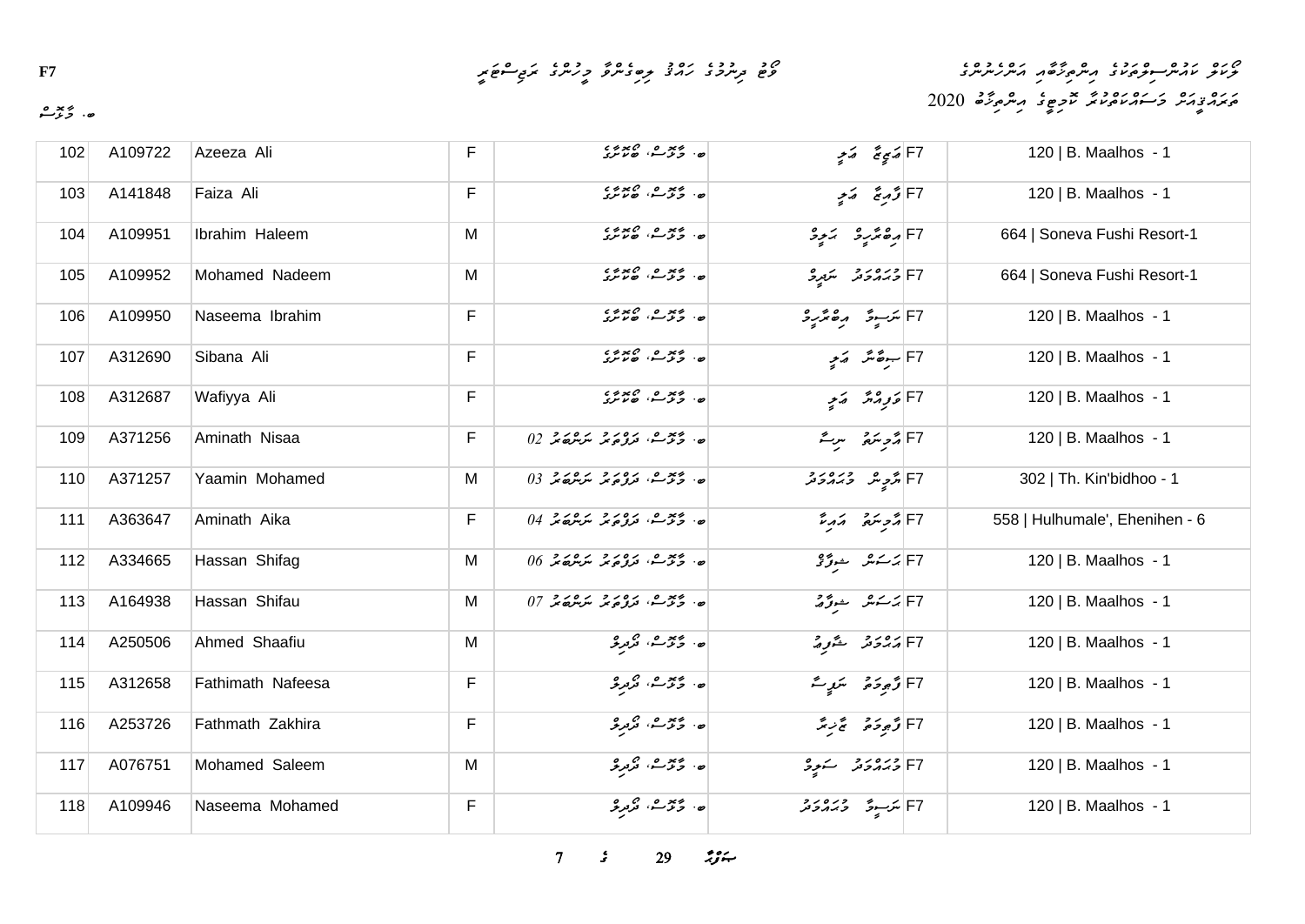*sCw7q7s5w7m< o<n9nOoAw7o< sCq;mAwBoEw7q<m; wBm;vB* م من المرة المرة المرة المرجع المرجع في المركبة 2020<br>مجم*د المريض المربوط المربع المرجع في المراجع المركبة* 

| 102 | A109722 | Azeeza Ali        | F | ە بەلەرە مەدە ئە                             | F7 <i>ھَيِ جَهِ</i> مَي                      | 120   B. Maalhos - 1           |
|-----|---------|-------------------|---|----------------------------------------------|----------------------------------------------|--------------------------------|
| 103 | A141848 | Faiza Ali         | F |                                              | F7 <i>وَّوجَ</i> صَعٍ                        | 120   B. Maalhos - 1           |
| 104 | A109951 | Ibrahim Haleem    | M | ە بەللەرە مەللەرە<br>ھەركەت ھەمرى            | F7 م <i>ەھتىب</i> ۇ كېچى                     | 664   Soneva Fushi Resort-1    |
| 105 | A109952 | Mohamed Nadeem    | M | ەيدە 20% ئەدە 2<br>ھەركەسى ھىمەرى            | F7 دېرو د سربرو                              | 664   Soneva Fushi Resort-1    |
| 106 | A109950 | Naseema Ibrahim   | F | ەيدە مەدەبە<br>ھەركەسى ھەمىرى                | F7 سَرَ—وَدَ مِنْ مَرْكَبِ وَ                | 120   B. Maalhos - 1           |
| 107 | A312690 | Sibana Ali        | F | ە بەللەر 20 كەندە 2<br>ھ تارىخىسى ھەمەرى     | F7 سوڭىگە كەمچە                              | 120   B. Maalhos - 1           |
| 108 | A312687 | Wafiyya Ali       | F | ە . ئەيرە . مىدىرى<br>ھ . ئەنزىسى . ھىمەمرى  | F7 <i>قرم<sup>م</sup>د م</i> َر <sub>م</sub> | 120   B. Maalhos - 1           |
| 109 | A371256 | Aminath Nisaa     | F | ە ئەقتەش، ئۇزۇق ئىر ئىر ئەھ                  | F7 مُوسَعْدِ سِتَّ                           | 120   B. Maalhos - 1           |
| 110 | A371257 | Yaamin Mohamed    | M | ه به محمد من ده د د سره محمد 03              | F7 گرچ شر و بره بر و بر                      | 302   Th. Kin'bidhoo - 1       |
| 111 | A363647 | Aminath Aika      | F | ھ - جَمَّرْے، مَرْوَى مَرْ سَرْسُ صَمْر - 04 | F7 مُجِسَعَةٍ مَ <i>م</i> ِينًا              | 558   Hulhumale', Ehenihen - 6 |
| 112 | A334665 | Hassan Shifag     | M | ە ئەتمىر ئىز ئور ئىر ئىر ئىش 06              | F7 پرسکس ھو <i>ڙ</i> و                       | 120   B. Maalhos - 1           |
| 113 | A164938 | Hassan Shifau     | M | ە ئىق ئىق ئۇچى ئىس ئىس 17                    | F7   يَرْسَمْرُ مُسِوَّرُهُ                  | 120   B. Maalhos - 1           |
| 114 | A250506 | Ahmed Shaafiu     | M | ە بەللەشى، ئېرىرمى                           | F7 <i>ړې څو څو</i> چ                         | 120   B. Maalhos - 1           |
| 115 | A312658 | Fathimath Nafeesa | F | ە بەللەشى، ئېرىرمى                           | F7 <i>وَّجودَةْ</i> سَمَدٍ مَّ               | 120   B. Maalhos - 1           |
| 116 | A253726 | Fathmath Zakhira  | F | ە بەللاھ، ئۇبۇلۇ                             | F7 <i>وُّهِ وَهُ</i> تَحْ سِمَّرٌ            | 120   B. Maalhos - 1           |
| 117 | A076751 | Mohamed Saleem    | M | ە بەللاھ، ئۇبۇلۇ                             | F7  دېرونه خود                               | 120   B. Maalhos - 1           |
| 118 | A109946 | Naseema Mohamed   | F | ە . ئۇنىش، ئۇيرى                             | F7 سَرَسٍوتٌ وَبَرَ وَدَوَ                   | 120   B. Maalhos - 1           |

*7 sC 29 nNw?mS*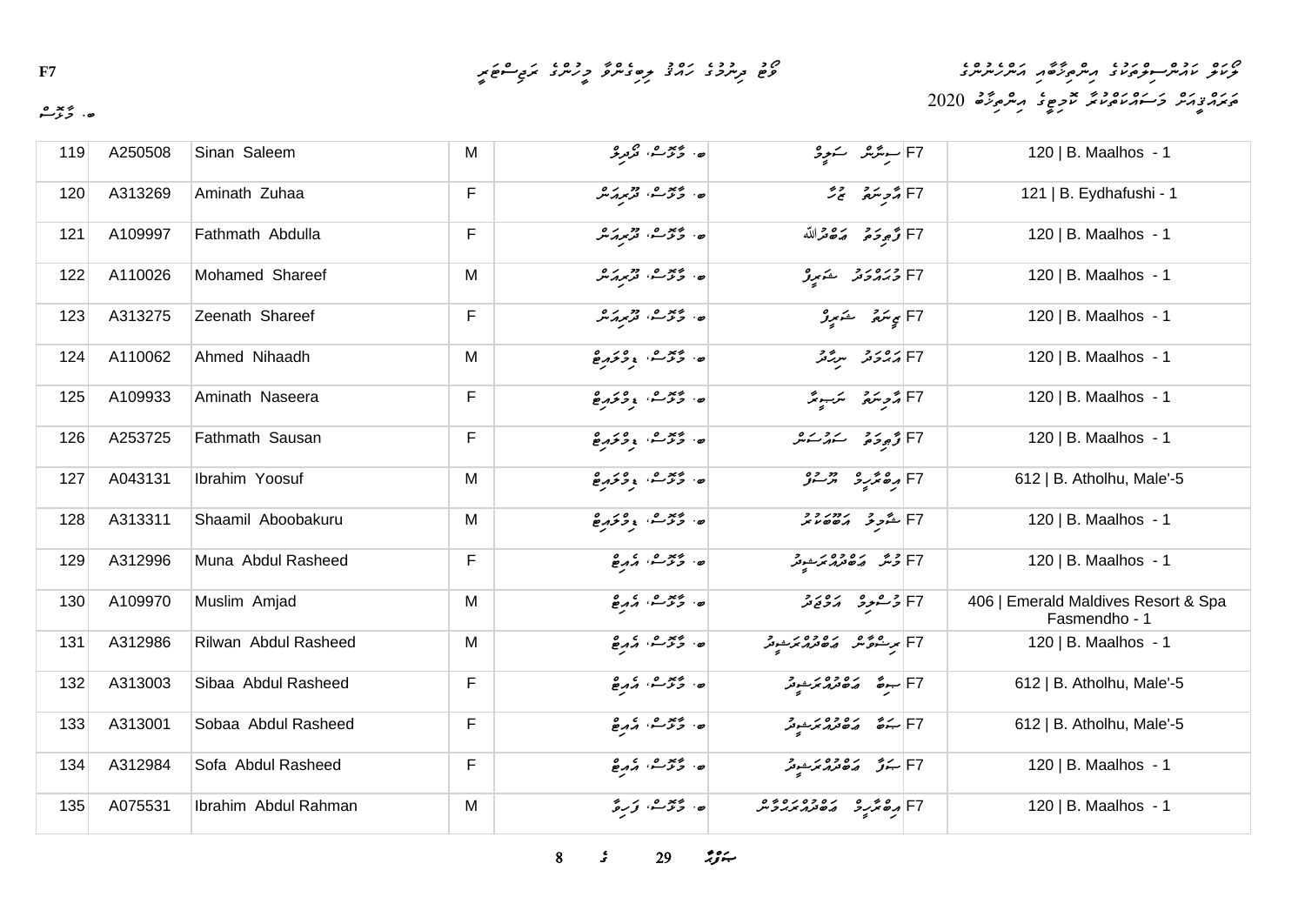*sCw7q7s5w7m< o<n9nOoAw7o< sCq;mAwBoEw7q<m; wBm;vB* م من المرة المرة المرة المرجع المرجع في المركبة 2020<br>مجم*د المريض المربوط المربع المرجع في المراجع المركبة* 

| 119 | A250508 | Sinan Saleem         | M           | ە بەللەر ئەرىرى                        | F7   سوشر سن سنگر سنگر ت                                  | 120   B. Maalhos - 1                                 |
|-----|---------|----------------------|-------------|----------------------------------------|-----------------------------------------------------------|------------------------------------------------------|
| 120 | A313269 | Aminath Zuhaa        | F           | ے میں صدر دو ہے۔<br>مسلمان میں مذہب    | F7 مُجِسَعَ بِحَرَّ                                       | 121   B. Eydhafushi - 1                              |
| 121 | A109997 | Fathmath Abdulla     | F           | ے میں صدر ہے۔<br>حوالے تربر مگر        | F7 <i>وَجِحَمَّة مَنْ هُدَ</i> اللَّهُ                    | 120   B. Maalhos - 1                                 |
| 122 | A110026 | Mohamed Shareef      | M           | ە . مەن 30 مەدىرى<br>ھ . مەن قىرىمەيكى | F7 <i>وُبَهُ وَبَوْ</i> حَسَنِ اللّهِ عَلَيْهِ فِي اللّهِ | 120   B. Maalhos - 1                                 |
| 123 | A313275 | Zeenath Shareef      | F           | ے میں صدر دیا ہے۔<br>حافی میں مریم مگر | F7 بې ئىرتقى ئىش <i>تېرىۋ</i>                             | 120   B. Maalhos - 1                                 |
| 124 | A110062 | Ahmed Nihaadh        | M           |                                        | F7 <i>ړې چې</i> سرگنز                                     | 120   B. Maalhos - 1                                 |
| 125 | A109933 | Aminath Naseera      | F           | ھ گرما وگرم                            | F7 مُ <i>جِسَمُ مُ</i> سَرَ مِرَّ                         | 120   B. Maalhos - 1                                 |
| 126 | A253725 | Fathmath Sausan      | F           |                                        | F7 <i>وُجِ دَهْ</i> سَهْرُسَتْ مَرْ                       | 120   B. Maalhos - 1                                 |
| 127 | A043131 | Ibrahim Yoosuf       | M           |                                        | F7 <sub>م</sub> ەنگرىرى بېر دە                            | 612   B. Atholhu, Male'-5                            |
| 128 | A313311 | Shaamil Aboobakuru   | M           |                                        | $7222$ $-225$ F7                                          | 120   B. Maalhos - 1                                 |
| 129 | A312996 | Muna Abdul Rasheed   | $\mathsf F$ |                                        | F7 <i>وګر مقصره برخو</i> تر                               | 120   B. Maalhos - 1                                 |
| 130 | A109970 | Muslim Amjad         | M           | 8, 6, 6, 7, 7, 6, 6                    | F7 وُسْعِودُ كَرَوْمَ مَرْ                                | 406   Emerald Maldives Resort & Spa<br>Fasmendho - 1 |
| 131 | A312986 | Rilwan Abdul Rasheed | M           |                                        | F7 برشو <i>ة شهر محمد مرش</i> وتر                         | 120   B. Maalhos - 1                                 |
| 132 | A313003 | Sibaa Abdul Rasheed  | F           | 6, 6, 2, 3, 6                          | F7 جوڭ ئەھەر مەرجوتر                                      | 612   B. Atholhu, Male'-5                            |
| 133 | A313001 | Sobaa Abdul Rasheed  | F           | 6, 6, 2, 3, 0                          | F7 بەش ھەقىرە <i>مە</i> ھىرىدىنى قىر                      | 612   B. Atholhu, Male'-5                            |
| 134 | A312984 | Sofa Abdul Rasheed   | F           |                                        | F7 جۇ ھەقىرە <i>جى</i> رىغونتى                            | 120   B. Maalhos - 1                                 |
| 135 | A075531 | Ibrahim Abdul Rahman | M           | ە ئەتىمىشى، ئەرق                       | F7 رەئۇرۇ مەمەمەدە بور                                    | 120   B. Maalhos - 1                                 |

**8** *s* **29** *z s*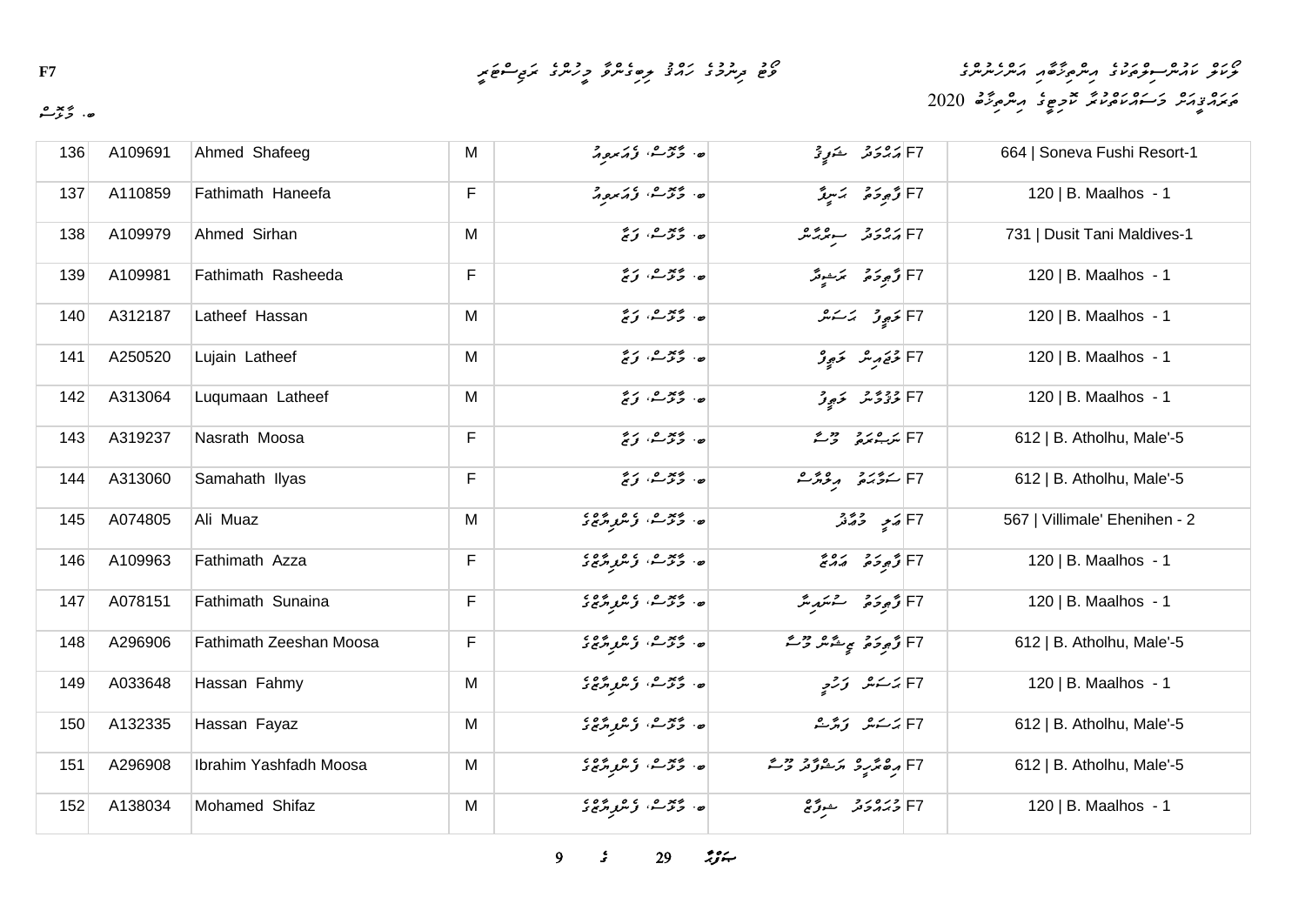*sCw7q7s5w7m< o<n9nOoAw7o< sCq;mAwBoEw7q<m; wBm;vB* م من المرة المرة المرة المرجع المرجع في المركبة 2020<br>مجم*د المريض المربوط المربع المرجع في المراجع المركبة* 

| 136 | A109691 | Ahmed Shafeeg           | M           | ه ويوم وريرور        | F7   <i>ړ بر څو</i> شکو پا تخه          | 664   Soneva Fushi Resort-1   |
|-----|---------|-------------------------|-------------|----------------------|-----------------------------------------|-------------------------------|
| 137 | A110859 | Fathimath Haneefa       | F           | ه وي و مرده          | F7 <i>وُّهِ دَهُ تَ</i> بَسِدً          | 120   B. Maalhos - 1          |
| 138 | A109979 | Ahmed Sirhan            | M           | ە ئەتتى، ئ           | F7 <i>ړې دو</i> سو <i>برن</i> ګر        | 731   Dusit Tani Maldives-1   |
| 139 | A109981 | Fathimath Rasheeda      | $\mathsf F$ | ە ئەتتى، ئ           | F7 <i>وُّجِ دَهُ مَرْ</i> شِيقَر        | 120   B. Maalhos - 1          |
| 140 | A312187 | Latheef Hassan          | M           | ە ئەتتى، ئ           | F7 كۆپ <sub>ت</sub> ۇ كەشكەنلە          | 120   B. Maalhos - 1          |
| 141 | A250520 | Lujain Latheef          | M           | ە بەللەر ئەلگى ئەلگى | F7 جۇي <i>م بىر خې</i> رۇ               | 120   B. Maalhos - 1          |
| 142 | A313064 | Luqumaan Latheef        | M           | ە بەللەر ئەلگە ئۇنج  | F7 كۇۋۇش ك <i>ۇم</i> ۇر                 | 120   B. Maalhos - 1          |
| 143 | A319237 | Nasrath Moosa           | $\mathsf F$ | ە ئەتتى، ئ           | F7 بَرْبِيْهِ بَرْهِ حَرْبُّهُ –        | 612   B. Atholhu, Male'-5     |
| 144 | A313060 | Samahath Ilyas          | F           | ە ئىچرى، ئىچ         | F7 سۇرى <sub>م</sub> بەر ھەم            | 612   B. Atholhu, Male'-5     |
| 145 | A074805 | Ali Muaz                | M           | ە بەللەت ۋەربەرى     | F7 <i>ڇَجِ جَهُنْ</i> رُ                | 567   Villimale' Ehenihen - 2 |
| 146 | A109963 | Fathimath Azza          | F           | ە بەيدە، ئەھرىمى     | F7 زُب <i>و خ</i> و ممکن                | 120   B. Maalhos - 1          |
| 147 | A078151 | Fathimath Sunaina       | F           | ە بەللەت ۋىش مەر     | F7 <i>وُهِ دَوْ</i> شَهْرِ مُدَّ        | 120   B. Maalhos - 1          |
| 148 | A296906 | Fathimath Zeeshan Moosa | $\mathsf F$ | ە بەيدە، زىمبەر بەە  | F7 <i>وُجودَهُ</i> بِي شَمَّرْ وْ سُمَّ | 612   B. Atholhu, Male'-5     |
| 149 | A033648 | Hassan Fahmy            | M           | ه په په ده ده        | F7 ټر <i>سکنل وک</i> يږ                 | 120   B. Maalhos - 1          |
| 150 | A132335 | Hassan Fayaz            | M           | ە بەللەر ئۇس ئەم     | F7 پرسترش ترتژشہ                        | 612   B. Atholhu, Male'-5     |
| 151 | A296908 | Ibrahim Yashfadh Moosa  | M           | ه پیچ ه و شروع و     | F7 پەھەر بەر مەدەر تەرەپ ق              | 612   B. Atholhu, Male'-5     |
| 152 | A138034 | Mohamed Shifaz          | M           | ە بۇلاپ كەيدىن       | F7 <i>وُبَهُ وَبَدْ</i> سُورٌ مِجْ      | 120   B. Maalhos - 1          |

*9 s* 29  $29$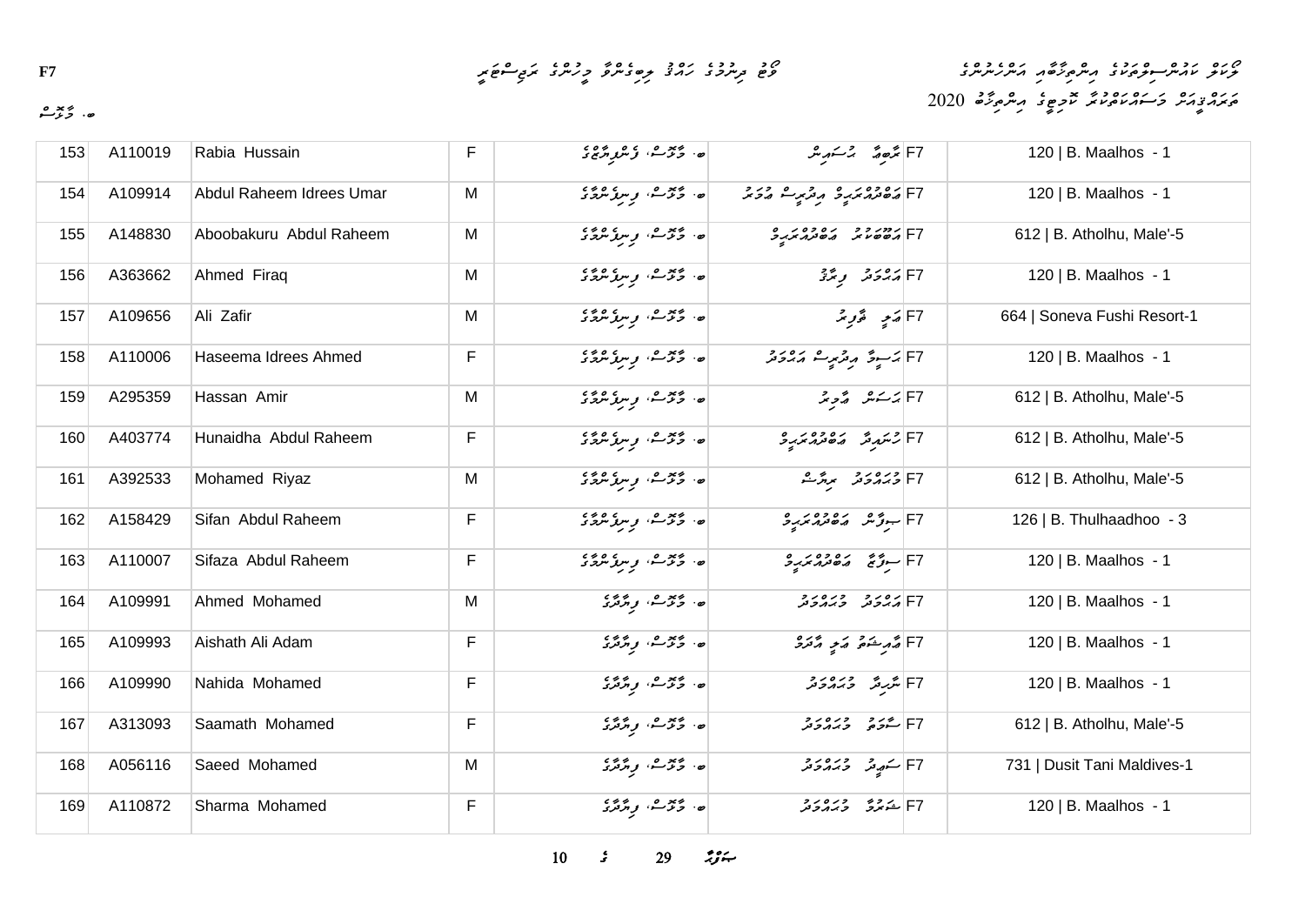*sCw7q7s5w7m< o<n9nOoAw7o< sCq;mAwBoEw7q<m; wBm;vB* م من المرة المرة المرة المرجع المرجع في المركبة 2020<br>مجم*د المريض المربوط المربع المرجع في المراجع المركبة* 

| 153 | A110019 | Rabia Hussain            | $\mathsf F$  | په دمجو ه ، و شروع د      | F7 بَرْھ پُنْ بِرْ سَنَ بِرِ مِنْ     | 120   B. Maalhos - 1        |
|-----|---------|--------------------------|--------------|---------------------------|---------------------------------------|-----------------------------|
| 154 | A109914 | Abdul Raheem Idrees Umar | M            | ه کوره، وسرمرده           | F7 <i>مەھەمەسى</i> بەر مەمرىيەت مەدىر | 120   B. Maalhos - 1        |
| 155 | A148830 | Aboobakuru Abdul Raheem  | M            | ه پیچم و سره معده         | FT KOODY SOLOON                       | 612   B. Atholhu, Male'-5   |
| 156 | A363662 | Ahmed Firaq              | M            | ه پیچه و سره دوه          | F7   پر برگرڈ و برگرڈ                 | 120   B. Maalhos - 1        |
| 157 | A109656 | Ali Zafir                | M            | ه پیچه و سره دوه          | F7 <i>ھَ۔</i> مُح <i>وم</i> ُ         | 664   Soneva Fushi Resort-1 |
| 158 | A110006 | Haseema Idrees Ahmed     | $\mathsf F$  | ه پیچه و سره دوه          |                                       | 120   B. Maalhos - 1        |
| 159 | A295359 | Hassan Amir              | M            | ھ پیچھ پہر مرکز مرکز کا ا | F7  پرسکس م <i>ح</i> مونځر            | 612   B. Atholhu, Male'-5   |
| 160 | A403774 | Hunaidha Abdul Raheem    | $\mathsf F$  | ه پیچم و سره معده         | F7 ئەئىرى <i>گە مەھەرمى</i> رو        | 612   B. Atholhu, Male'-5   |
| 161 | A392533 | Mohamed Riyaz            | M            | ه پیچه و سره وده          | F7 <i>وبروبر برو</i> مبر              | 612   B. Atholhu, Male'-5   |
| 162 | A158429 | Sifan Abdul Raheem       | $\mathsf{F}$ | ه پیچم و سره ده           | F7 بورس مەمەمەر 2                     | 126   B. Thulhaadhoo - 3    |
| 163 | A110007 | Sifaza Abdul Raheem      | $\mathsf F$  | ە بەللەر ئەرەپە           | F7 بورځ مص <i>مرمنږ</i> و             | 120   B. Maalhos - 1        |
| 164 | A109991 | Ahmed Mohamed            | M            | ه. وبو ه. و و و و ه       | F7 ג'ליג כנסיב                        | 120   B. Maalhos - 1        |
| 165 | A109993 | Aishath Ali Adam         | $\mathsf F$  | ه . و پوه . و و د و ،     | F7 مُ <sub>م</sub> رِڪو مَعٍ مُترد    | 120   B. Maalhos - 1        |
| 166 | A109990 | Nahida Mohamed           | $\mathsf{F}$ | ه . و بو ه . و و و و د    | F7 بَرْرِيْرٌ وَبَرُوورُ              | 120   B. Maalhos - 1        |
| 167 | A313093 | Saamath Mohamed          | $\mathsf F$  | ه. پخته و پرتره           | F7 جوم وره در                         | 612   B. Atholhu, Male'-5   |
| 168 | A056116 | Saeed Mohamed            | M            | ه. ویو ه، و پرتری         | F7  سَمرٍ قر مَدَمَّ حرف الله عنه الس | 731   Dusit Tani Maldives-1 |
| 169 | A110872 | Sharma Mohamed           | F            | ه په ده و پوه             | F7 شەيرى بەردەرد                      | 120   B. Maalhos - 1        |

*10 s* 29 *if*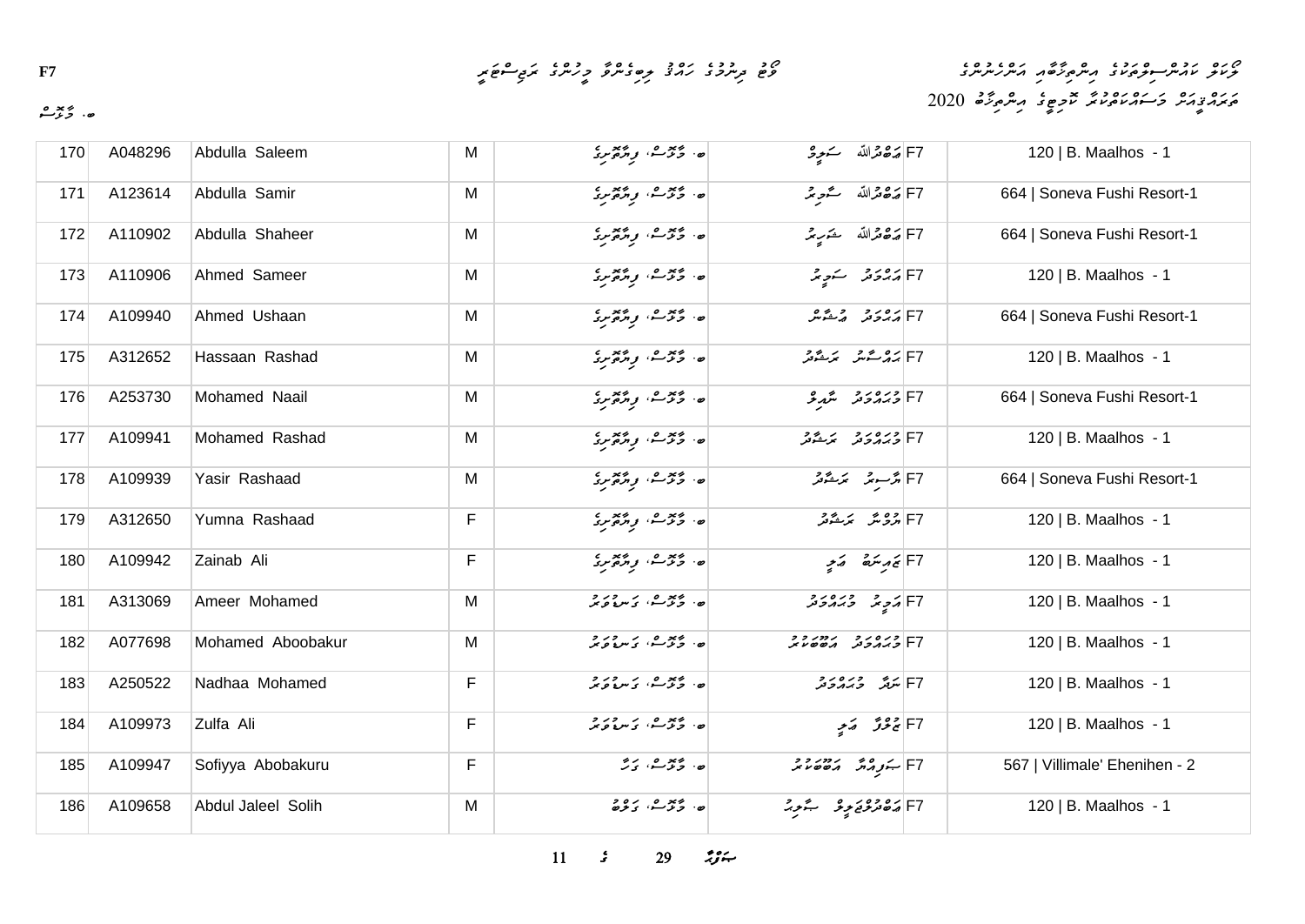*sCw7q7s5w7m< o<n9nOoAw7o< sCq;mAwBoEw7q<m; wBm;vB* م من المرة المرة المرة المرجع المرجع في المركبة 2020<br>مجم*د المريض المربوط المربع المرجع في المراجع المركبة* 

| 170 | A048296 | Abdulla Saleem     | M            | ھ بڑ میں مشتر ہیں کہ اس کا مقام ہوتا ہے کہ اس کا ان کے مقدم کے مقدم کے ان کے مقدم کے مقدم کا ان کا ان کا ان کا<br>مقدم کا ان کا ان کا ان کا ان کا ان کا ان کا ان کا ان کا ان کا ان کا ان کا ان کا ان کا ان کا ان کا ان کا ان کا | F7  رَدْهُ مَرْاللّه     سَوِدْ     | 120   B. Maalhos - 1          |
|-----|---------|--------------------|--------------|---------------------------------------------------------------------------------------------------------------------------------------------------------------------------------------------------------------------------------|-------------------------------------|-------------------------------|
| 171 | A123614 | Abdulla Samir      | M            | ه د در ه د د د د                                                                                                                                                                                                                | F7 مَەھمَراللە گومۇ                 | 664   Soneva Fushi Resort-1   |
| 172 | A110902 | Abdulla Shaheer    | M            | ه د دره و پرور                                                                                                                                                                                                                  | F7 صرص قرالله شمر مر                | 664   Soneva Fushi Resort-1   |
| 173 | A110906 | Ahmed Sameer       | M            | ه به محمد ه و محمد ،<br>ه گرمندان و مرکبه مور                                                                                                                                                                                   | F7   پرچونز    سکوپر                | 120   B. Maalhos - 1          |
| 174 | A109940 | Ahmed Ushaan       | M            | ه به ده و در در د                                                                                                                                                                                                               | F7 كەبردىق كەشقىش                   | 664   Soneva Fushi Resort-1   |
| 175 | A312652 | Hassaan Rashad     | M            | ه به محمد ه و محمد ،<br>ه گرمندان و مرکبه مور                                                                                                                                                                                   | F7 كەشرىقىش بىر بىر ئىقىد           | 120   B. Maalhos - 1          |
| 176 | A253730 | Mohamed Naail      | M            | ه به ده و پروسره<br>ه گرمندان و پروسره                                                                                                                                                                                          | F7 <i>وُبَہُ دُوَ مُہُ مُ</i> ہُ مُ | 664   Soneva Fushi Resort-1   |
| 177 | A109941 | Mohamed Rashad     | M            | ه د در ه د د د د                                                                                                                                                                                                                | F7 <i>وبرەدىر برخۇش</i>             | 120   B. Maalhos - 1          |
| 178 | A109939 | Yasir Rashaad      | M            | ه پره و.<br>ه ژنگ و پرونږ                                                                                                                                                                                                       | F7 اگر سومر کر میگ <sup>و</sup> گر  | 664   Soneva Fushi Resort-1   |
| 179 | A312650 | Yumna Rashaad      | $\mathsf{F}$ | ه به ده و در در د                                                                                                                                                                                                               | F7 برو نگر برخور                    | 120   B. Maalhos - 1          |
| 180 | A109942 | Zainab Ali         | $\mathsf F$  | ه به ده و در در د                                                                                                                                                                                                               | F7 نم م <i>رشرة مك</i> م            | 120   B. Maalhos - 1          |
| 181 | A313069 | Ameer Mohamed      | M            | ھ گرم معنی کے سی تو تر                                                                                                                                                                                                          | F7 كەچ ئە 1975 كىلى                 | 120   B. Maalhos - 1          |
| 182 | A077698 | Mohamed Aboobakur  | M            | ھ پی میں کامری کا مرکز                                                                                                                                                                                                          | $72222$ $7227$ F7                   | 120   B. Maalhos - 1          |
| 183 | A250522 | Nadhaa Mohamed     | $\mathsf{F}$ | ە بەللەر ئەرەر د                                                                                                                                                                                                                | F7 سَرْشَر وَبَرْدُونَرْ            | 120   B. Maalhos - 1          |
| 184 | A109973 | Zulfa Ali          | F            | ھ گرم میں کامرونز                                                                                                                                                                                                               | F7 نے بح <i>وث ح</i> کم پر          | 120   B. Maalhos - 1          |
| 185 | A109947 | Sofiyya Abobakuru  | $\mathsf F$  | ە بەللەر ئەللىك ئەڭ                                                                                                                                                                                                             | F7 بنورمبر مقصوم                    | 567   Villimale' Ehenihen - 2 |
| 186 | A109658 | Abdul Jaleel Solih | M            | ە بەللەرە بەھ<br>ھەرىپ كەن                                                                                                                                                                                                      | F7 <i>ړ ۱۶۵۶ پ</i> رو گرور          | 120   B. Maalhos - 1          |

 $11$  *s* 29  $29$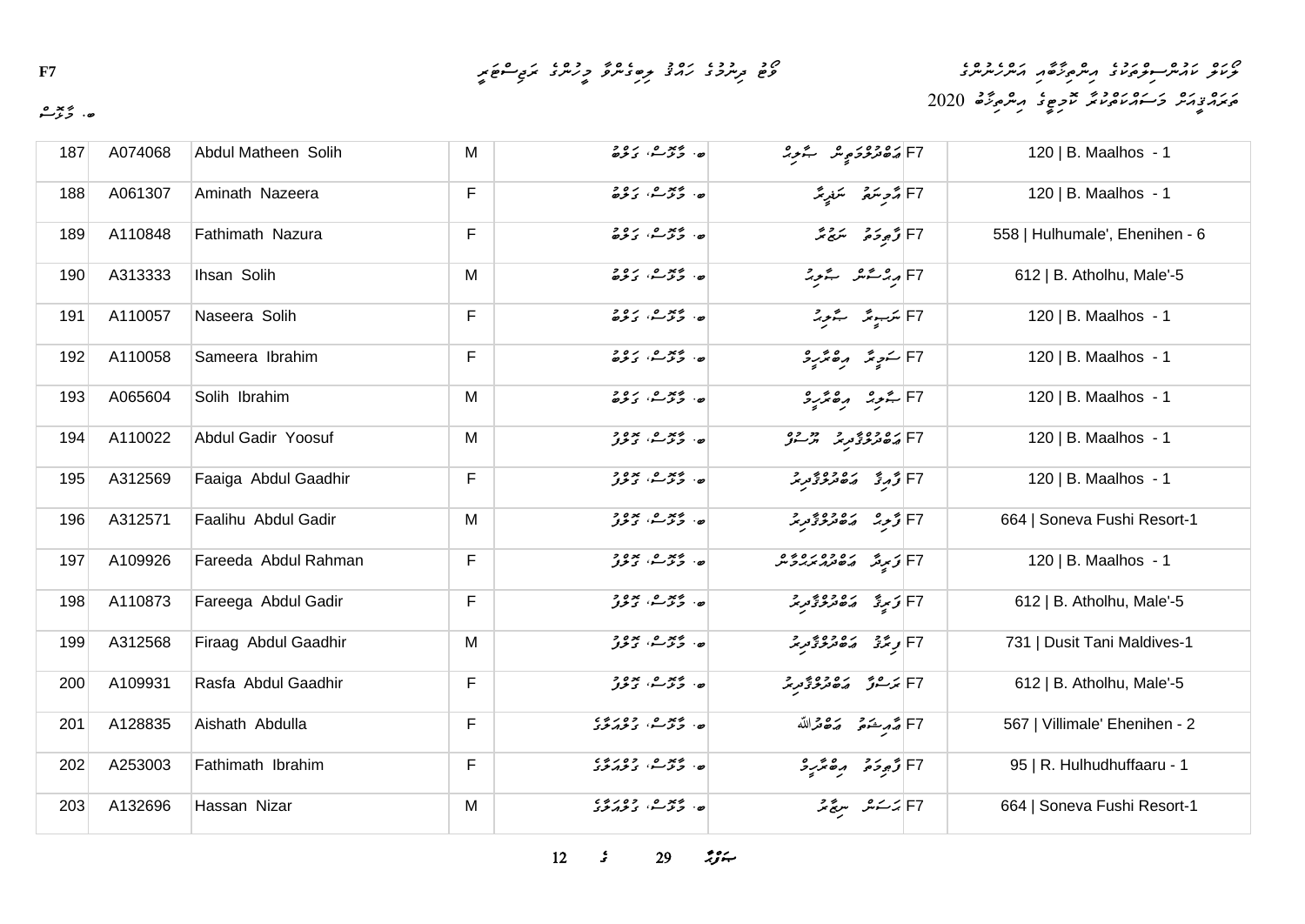*sCw7q7s5w7m< o<n9nOoAw7o< sCq;mAwBoEw7q<m; wBm;vB* م من المرة المرة المرة المرجع المرجع في المركبة 2020<br>مجم*د المريض المربوط المربع المرجع في المراجع المركبة* 

| 187 | A074068 | Abdul Matheen Solih  | M            | ە . ئېچە مەدە 20<br>ئەن ئەرىخە ئەر ئە  | F7 <i>مَـُ قَدَوْدَ مِ</i> مَّر سَنَ <i>ّو بُ</i>  | 120   B. Maalhos - 1           |
|-----|---------|----------------------|--------------|----------------------------------------|----------------------------------------------------|--------------------------------|
| 188 | A061307 | Aminath Nazeera      | F            | ە بەللەر ئەم                           | F7 مُتَّحِسَمُ مَنْدِيَّة                          | 120   B. Maalhos - 1           |
| 189 | A110848 | Fathimath Nazura     | $\mathsf F$  | ە بەيدە رەد                            | F7 زَّەپرە ئۇي ئىن ئىگە                            | 558   Hulhumale', Ehenihen - 6 |
| 190 | A313333 | Ihsan Solih          | M            | ە بەيدە رەد                            | F7 <sub>م</sub> رثر شرق سگورژ                      | 612   B. Atholhu, Male'-5      |
| 191 | A110057 | Naseera Solih        | $\mathsf{F}$ | ە بەللەرە بەە 20<br>ھ تەلەسى كەن       | F7 سَرَسومَدُ مُسَوَّمِدُ                          | 120   B. Maalhos - 1           |
| 192 | A110058 | Sameera Ibrahim      | $\mathsf{F}$ | ە بەيدە دەد                            | F7 سَمَ <i>دٍ پُرْ" م</i> ِ <i>پُرْ پِرْ \$</i>    | 120   B. Maalhos - 1           |
| 193 | A065604 | Solih Ibrahim        | M            | ە بەيدە رەد<br>ھ ترىر ئەن              | F7 بەً <i>جرە بەھەتگە</i> بى                       | 120   B. Maalhos - 1           |
| 194 | A110022 | Abdul Gadir Yoosuf   | M            | ە . مەسى . مەدە 2<br>ھ . مەسىم . مەمەر | F7 <sub>م</sub> ُص <i>ورو توبر م</i> ُرَ مِنْ وَهِ | 120   B. Maalhos - 1           |
| 195 | A312569 | Faaiga Abdul Gaadhir | $\mathsf F$  | ە . مەدەر<br>ھ . مەن . كەمەدى          | F7 <i>وَّمِيَّةُ صَرْحَةً وَمِ</i> يْرَ            | 120   B. Maalhos - 1           |
| 196 | A312571 | Faalihu Abdul Gadir  | M            | ە بەلەرە.<br>ھەرىرىسە، ئ               | F7 <i>وُّج</i> ر مُصْرُوَ وَمِرْتَرَ مِنْ          | 664   Soneva Fushi Resort-1    |
| 197 | A109926 | Fareeda Abdul Rahman | $\mathsf F$  | ہ بھی ہیں ۔<br>ن ونرے کوئی             | F7 زَىرِمَرَ صَ <i>حَمْهِ مِرْرُوَ مَرْ</i>        | 120   B. Maalhos - 1           |
| 198 | A110873 | Fareega Abdul Gadir  | F            | ہ بھی ہیں ۔<br>ن ون کے فرق             | F7 <i>وَمِدِدَّ - مَـ9 مَرْحَرَّةً مِرْمَرِ</i>    | 612   B. Atholhu, Male'-5      |
| 199 | A312568 | Firaag Abdul Gaadhir | M            | ە بەلەرە.<br>ھەرىرىسە، ئ               | F7 <i>و مُرَّدٌ مُرە دو</i> يۇم <i>ر</i> ىر        | 731   Dusit Tani Maldives-1    |
| 200 | A109931 | Rasfa Abdul Gaadhir  | F            | ە . مەسى . مەدە 2<br>ھ . مەسىم . مەمەر | F7 يَرَے پُر صَحْرَ مِنْ قَرِيْرَ مِنْ             | 612   B. Atholhu, Male'-5      |
| 201 | A128835 | Aishath Abdulla      | F            | ە بەيدە دەرە،<br>ە ۋىرگ                | F7 مُجْمِسْتَمْعَ مَكْ مَعْرَاللّهِ                | 567   Villimale' Ehenihen - 2  |
| 202 | A253003 | Fathimath Ibrahim    | F            | ە بەيدە دەردە،<br>ھېنگىرىكى ئەبەر بول  | F7 <i>وُمِودَه م</i> ەم <i>گرد</i> ۇ               | 95   R. Hulhudhuffaaru - 1     |
| 203 | A132696 | Hassan Nizar         | M            | ه پره ده ده.<br>ه ژنرگ دندن            | F7   يَرْسَسْ مِنْ مِيَنْ مَرْ                     | 664   Soneva Fushi Resort-1    |

 $12$  *s*  $29$   $29$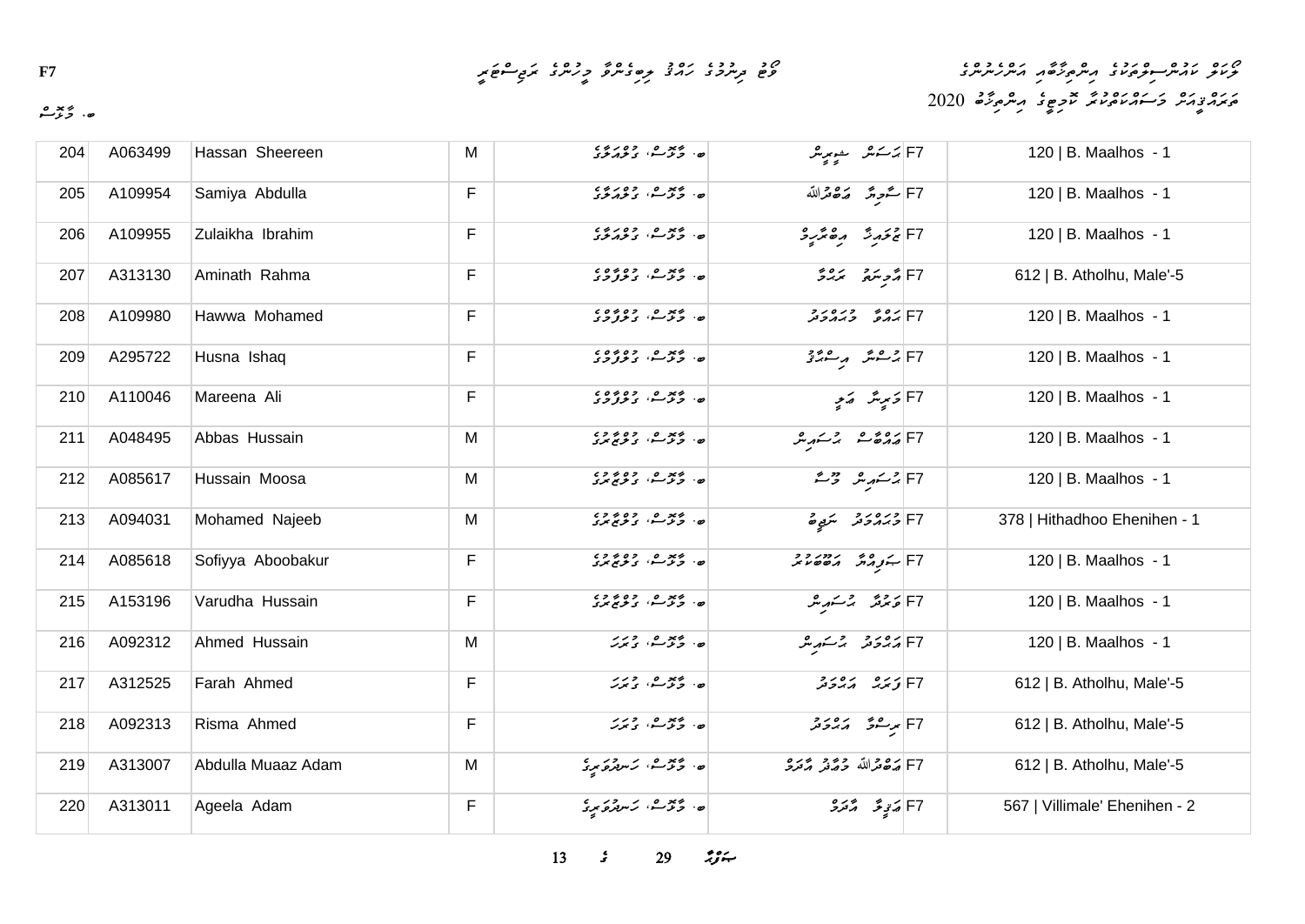*sCw7q7s5w7m< o<n9nOoAw7o< sCq;mAwBoEw7q<m; wBm;vB* م من المرة المرة المرة المرجع المرجع في المركبة 2020<br>مجم*د المريض المربوط المربع المرجع في المراجع المركبة* 

| 204 | A063499 | Hassan Sheereen    | M |                                                 | F7  ټرسکر موبری <i>گ</i>                       | 120   B. Maalhos - 1          |
|-----|---------|--------------------|---|-------------------------------------------------|------------------------------------------------|-------------------------------|
| 205 | A109954 | Samiya Abdulla     | F | ە بەيدە دەرە،<br>ھ ۋىلىسى ئەمەم                 | F7 گوپۇ كەھ قىراللە                            | 120   B. Maalhos - 1          |
| 206 | A109955 | Zulaikha Ibrahim   | F | ە بەيدە دەرە،<br>ھ ۋىلىس دىمەن                  | F7 ىخ <i>مرد تەھەتگە ب</i> ىر                  | 120   B. Maalhos - 1          |
| 207 | A313130 | Aminath Rahma      | F | ە بەيدە دەپەە<br>ھ ۋىلىس دىمۇرى                 | F7 مُجِسَعَ بَرَبِّدَةٌ                        | 612   B. Atholhu, Male'-5     |
| 208 | A109980 | Hawwa Mohamed      | F | ه به ده ده ده ده<br>ه گرنگ دوزدد                | F7 پروژ ورورو<br>F7 پروژ ویروژو                | 120   B. Maalhos - 1          |
| 209 | A295722 | Husna Ishaq        | F | ە بەيدە دەپەە،<br>مەركىسى، <i>دىۋود</i>         | F7 پر شهر موسیقی                               | 120   B. Maalhos - 1          |
| 210 | A110046 | Mareena Ali        | F | ه پره ده ده ده<br>ه گرگ دگردد                   | F7 دَمِيمَّد مَدِ                              | 120   B. Maalhos - 1          |
| 211 | A048495 | Abbas Hussain      | M | ه به عرض وه پوه<br>ه گرمون و گرمخ مرد           | F7 <i>مەشقى</i> بەسىر                          | 120   B. Maalhos - 1          |
| 212 | A085617 | Hussain Moosa      | M | ە بەلەر 2009-29<br>ئەرگەسى، ئەمەلەر             | F7 پر شہر شرح محمد شرح<br>17 پر شہر شرح        | 120   B. Maalhos - 1          |
| 213 | A094031 | Mohamed Najeeb     | M | ه به عرض وه پوه<br>ه گرمون و موسم برو           | F7 ديرورو گر <sub>يج</sub> ص                   | 378   Hithadhoo Ehenihen - 1  |
| 214 | A085618 | Sofiyya Aboobakur  | F | ه به محمد و ده و د و د<br>ه اوگر شو از مومع مرد | F7 הנגם גם 22.27                               | 120   B. Maalhos - 1          |
| 215 | A153196 | Varudha Hussain    | F | ه به عرض وه پوه<br>ن ولاسه ولویځ برو            | F7 <i>ق برقر بر شہر</i> مگر                    | 120   B. Maalhos - 1          |
| 216 | A092312 | Ahmed Hussain      | M | ە بەللەر 2 ئەرىر                                | F7 <i>ב جو جو جي پر مر</i>                     | 120   B. Maalhos - 1          |
| 217 | A312525 | Farah Ahmed        | F | ە بەللەر 2 ئەرىر                                | F7 وَ <i>بَدْرٌ مَدُونُو</i>                   | 612   B. Atholhu, Male'-5     |
| 218 | A092313 | Risma Ahmed        | F | ە بەللەر 2 بەر                                  | F7 برگرم کرد در د                              | 612   B. Atholhu, Male'-5     |
| 219 | A313007 | Abdulla Muaaz Adam | M | ە بەللەر ئەسلام بول                             | F7 حَرْصْ مَرْ اللّهِ بِ حَرْمَتْرِ مَرْمَرْدِ | 612   B. Atholhu, Male'-5     |
| 220 | A313011 | Ageela Adam        | F | ھ گرمزے، گرمزونری                               | F7 <i>ھَ تِي قُسُ مُ</i> تَرَدُّ               | 567   Villimale' Ehenihen - 2 |

 $13$  *s* 29  $29$  *n*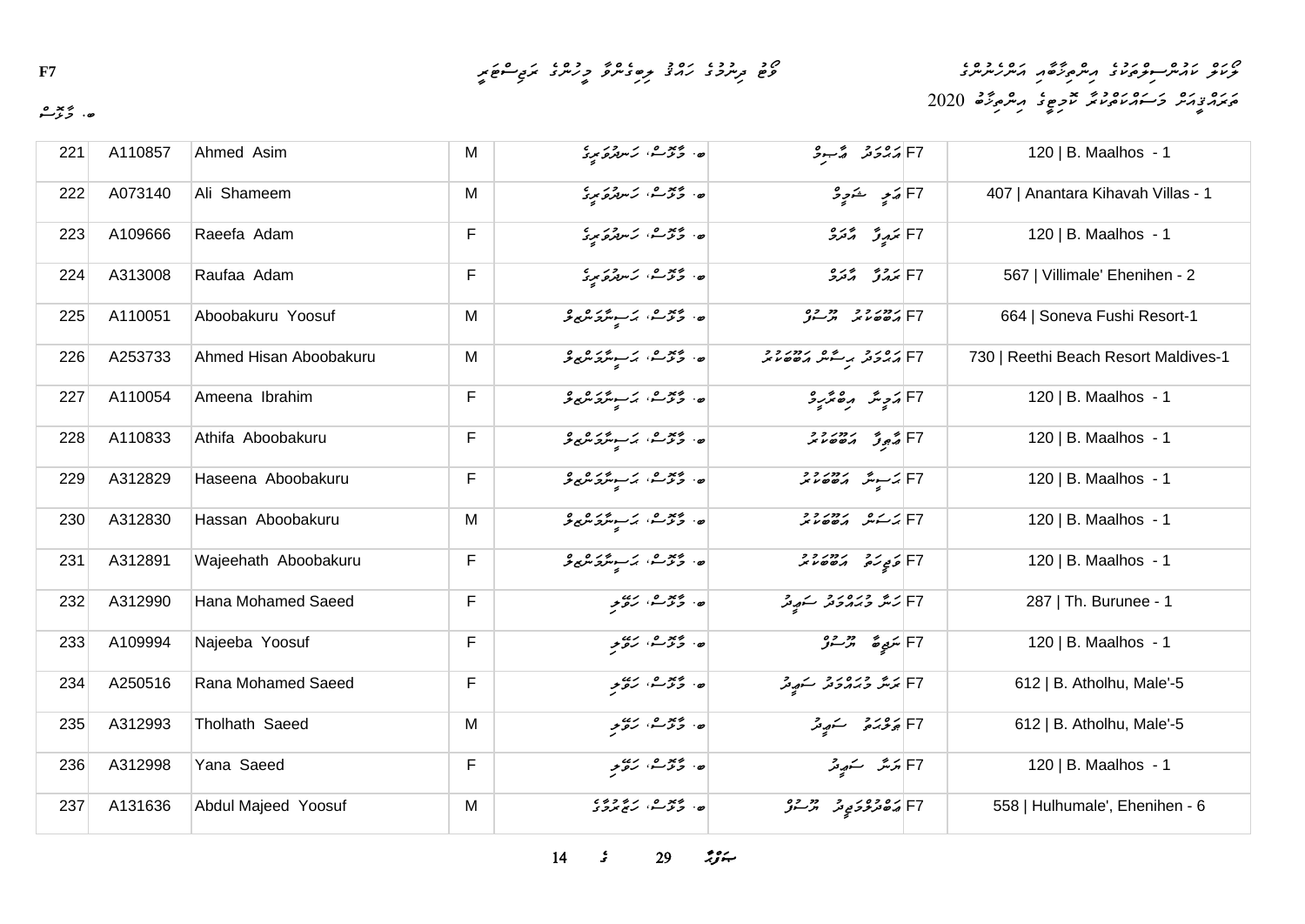*sCw7q7s5w7m< o<n9nOoAw7o< sCq;mAwBoEw7q<m; wBm;vB* م من المرة المرة المرة المرجع المرجع في المركبة 2020<br>مجم*د المريض المربوط المربع المرجع في المراجع المركبة* 

| 221 | A110857 | Ahmed Asim             | M            | ھ گرمی کیروگرو مرد                                                                                   | F7 <i>גُرُوَدُ دُ</i> جُو                     | 120   B. Maalhos - 1                 |
|-----|---------|------------------------|--------------|------------------------------------------------------------------------------------------------------|-----------------------------------------------|--------------------------------------|
| 222 | A073140 | Ali Shameem            | M            | ە بەللەر ەركىلەردىن كېيىتى بولىرى بولىرى بولىرى بولىرى بولىرى بولىرى بولىرى بولىرى بولىرى بولىرى بول | F7 <i>ڇُجِ</i> شَمِرِدُ                       | 407   Anantara Kihavah Villas - 1    |
| 223 | A109666 | Raeefa Adam            | F            | ھ گھرے، گس گھری ہوت                                                                                  | F7 بَرَرٍ وَ مُرَمَّرً <i>و</i>               | 120   B. Maalhos - 1                 |
| 224 | A313008 | Raufaa Adam            | $\mathsf F$  |                                                                                                      | F7 بَرْدَ بِهِ مَرْدَدِ                       | 567   Villimale' Ehenihen - 2        |
| 225 | A110051 | Aboobakuru Yoosuf      | M            | ھ دى ئىگ، ئەسمىتى ئىرىم                                                                              | $32.2225$ F7                                  | 664   Soneva Fushi Resort-1          |
| 226 | A253733 | Ahmed Hisan Aboobakuru | M            | ە ئۆت، ئەسمىتى شەك                                                                                   | F7 גפנק גלים גמניק                            | 730   Reethi Beach Resort Maldives-1 |
| 227 | A110054 | Ameena Ibrahim         | F            | ھ دى ئىگ، ئەسمىتى ئىرىم                                                                              | F7  رَ <sub>حٍ</sub> سٌ م <i>ِ®مَّرُرٍ</i> \$ | 120   B. Maalhos - 1                 |
| 228 | A110833 | Athifa Aboobakuru      | F            | ھ دىمىگە ئەسپەتكەتكى ئى                                                                              | F7 مُجوزٌ مُصْحَمَّى                          | 120   B. Maalhos - 1                 |
| 229 | A312829 | Haseena Aboobakuru     | F            | ە ئۇيمى، ئەسەئىر ئىرىم                                                                               | F7 ئەسپەتر مەھەم ئىر                          | 120   B. Maalhos - 1                 |
| 230 | A312830 | Hassan Aboobakuru      | M            | ھ دىمىگە ئەسمىگە ئىب                                                                                 | $2222$ $227$ $227$ F7                         | 120   B. Maalhos - 1                 |
| 231 | A312891 | Wajeehath Aboobakuru   | $\mathsf F$  | ە ئۇنىش، ئەسەئىر ئىرى ئو                                                                             | F7 <i>פֿצַיַ</i> כֹם <i>הּסּפּ</i> עיב        | 120   B. Maalhos - 1                 |
| 232 | A312990 | Hana Mohamed Saeed     | F            | ه . و بو ه . ره .                                                                                    | F7 زىگە 3 <i>بەھ</i> 3 كەم بىر                | 287   Th. Burunee - 1                |
| 233 | A109994 | Najeeba Yoosuf         | $\mathsf F$  | ه . و بوب، ره، د                                                                                     | F7 سَمِعٍ هُ سَنَّمَرُ                        | 120   B. Maalhos - 1                 |
| 234 | A250516 | Rana Mohamed Saeed     | $\mathsf{F}$ | ە بەللاھ، زەل                                                                                        | F7 بَرَسٌ وَبَرَوْدُو بِرَ رَبِّهِ قُرْ       | 612   B. Atholhu, Male'-5            |
| 235 | A312993 | Tholhath Saeed         | M            | ە بەللەر ئەيدىن ئەيدىن بىر                                                                           | F7 ۾ <i>حرب هي ڪمي</i> تر                     | 612   B. Atholhu, Male'-5            |
| 236 | A312998 | Yana Saeed             | F            | ه . و بوب، ره، د                                                                                     | F7 پَرَسَّرَ ڪَهِيقَر                         | 120   B. Maalhos - 1                 |
| 237 | A131636 | Abdul Majeed Yoosuf    | M            | ە بەللەر ئەرەلەر<br>ھەركەت كەنجە بىرى                                                                | F7 <i>ړې ده د</i> پر مرد و                    | 558   Hulhumale', Ehenihen - 6       |

*14 s* 29 *if*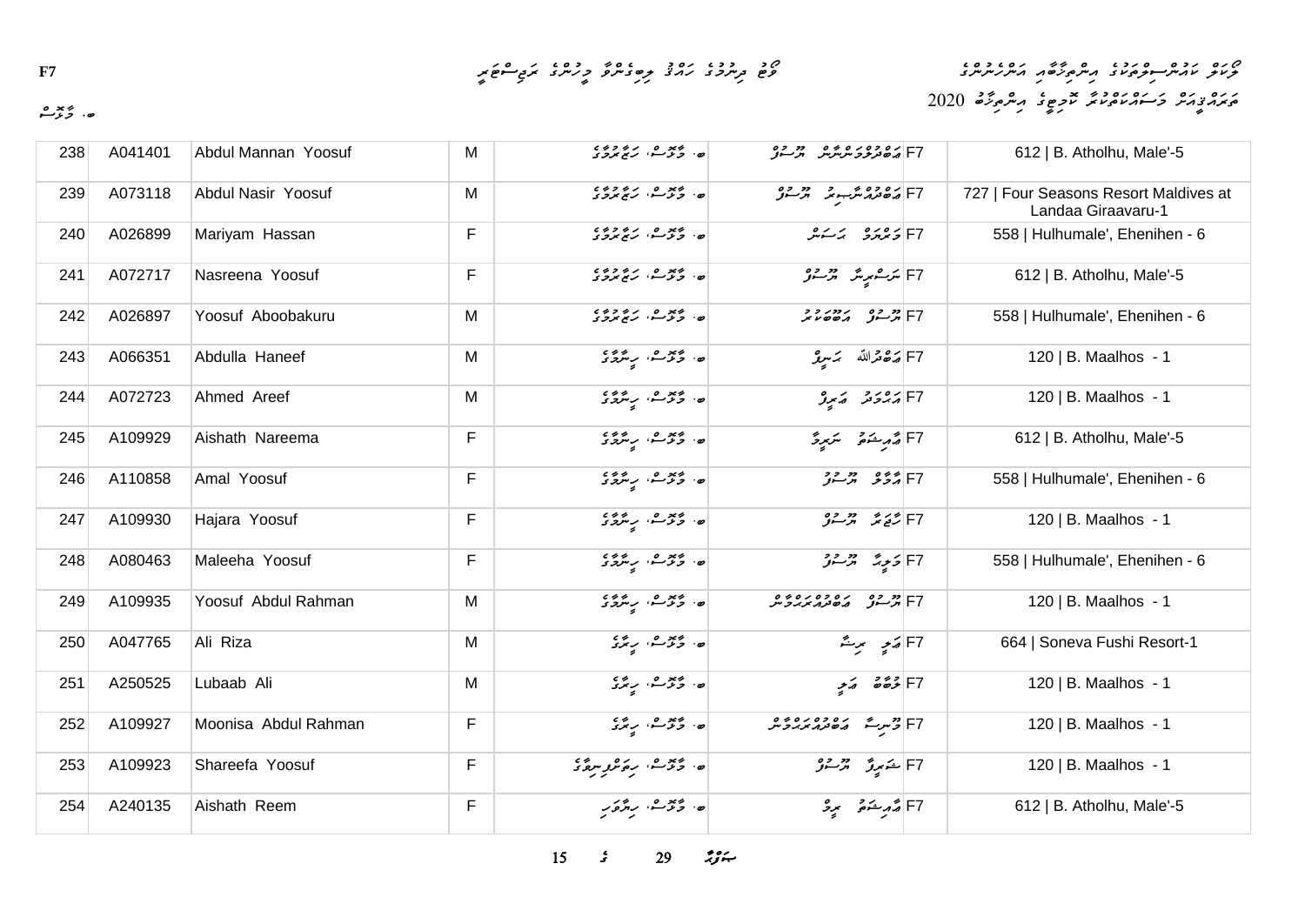*sCw7q7s5w7m< o<n9nOoAw7o< sCq;mAwBoEw7q<m; wBm;vB* م من المرة المرة المرة المرجع المرجع في المركبة 2020<br>مجم*د المريض المربوط المربع المرجع في المراجع المركبة* 

| 238 | A041401 | Abdul Mannan Yoosuf  | M           | ە . ئىجىمى . ئىجە برىرى<br>ھ . ئىرقى . ئىجە برىرى  | F7 <i>ړه دود پر پره پر دو</i>                                                              | 612   B. Atholhu, Male'-5                                   |
|-----|---------|----------------------|-------------|----------------------------------------------------|--------------------------------------------------------------------------------------------|-------------------------------------------------------------|
| 239 | A073118 | Abdul Nasir Yoosuf   | M           | ە بەللەرە، كەلەردە،<br>ھەركەت، كەللەردە            | F7 مەھەرمەشبەتر بولسۇ                                                                      | 727   Four Seasons Resort Maldives at<br>Landaa Giraavaru-1 |
| 240 | A026899 | Mariyam Hassan       | $\mathsf F$ | ە بەللەر ئەلەردە ئەن<br>ھەركەت كەنگە <i>بەرد</i> ى | F7 كەبىر كە ئەسكەنگە                                                                       | 558   Hulhumale', Ehenihen - 6                              |
| 241 | A072717 | Nasreena Yoosuf      | F           | ە بەللارە رە دەر.<br>ھەركەت، رىج برو ي             | F7 ىزىشمېرىنتر بىزىستور                                                                    | 612   B. Atholhu, Male'-5                                   |
| 242 | A026897 | Yoosuf Aboobakuru    | M           | ە بەللەر ئەلەردە ئەن<br>ھەركەت كەنگە <i>بەلەر</i>  | $22222$ $227$ F7                                                                           | 558   Hulhumale', Ehenihen - 6                              |
| 243 | A066351 | Abdulla Haneef       | M           | ه په په مرسمه                                      | F7 مَەھمَراللە ئەس <i>بۇ</i>                                                               | 120   B. Maalhos - 1                                        |
| 244 | A072723 | Ahmed Areef          | M           | ه وی و برخو                                        | F7 <i>הُدُوَنْڌُ سُبِي</i> رُ                                                              | 120   B. Maalhos - 1                                        |
| 245 | A109929 | Aishath Nareema      | $\mathsf F$ | ه په په محمد ک                                     | F7 مُ مِسْدَة مِ سَرَمِرةُ                                                                 | 612   B. Atholhu, Male'-5                                   |
| 246 | A110858 | Amal Yoosuf          | $\mathsf F$ | ه ويو و. رووه                                      | $3.23$ $3.5$ F7                                                                            | 558   Hulhumale', Ehenihen - 6                              |
| 247 | A109930 | Hajara Yoosuf        | F           | ه په په در پر                                      | F7 گئے پُر بھر <i>دو</i>                                                                   | 120   B. Maalhos - 1                                        |
| 248 | A080463 | Maleeha Yoosuf       | $\mathsf F$ | ه په په مرسمه                                      | F7  5موبر بیمبر20                                                                          | 558   Hulhumale', Ehenihen - 6                              |
| 249 | A109935 | Yoosuf Abdul Rahman  | M           | ه وی و در                                          | F7 <sub>م</sub> رد وه ده وه بره وه.<br>F7 مر <i>سون<sub>ی</sub> م</i> ه <i>مرد بر بر</i> خ | 120   B. Maalhos - 1                                        |
| 250 | A047765 | Ali Riza             | M           | ھ گرم گرم پر                                       | F7 ړم برگ                                                                                  | 664   Soneva Fushi Resort-1                                 |
| 251 | A250525 | Lubaab Ali           | M           | ھ دی گھر گھری                                      | F7 څ <i>ه ه</i> کم                                                                         | 120   B. Maalhos - 1                                        |
| 252 | A109927 | Moonisa Abdul Rahman | F           | ە بەللەر بەللەر                                    | F7 ژمرگ مەھەر مەم م                                                                        | 120   B. Maalhos - 1                                        |
| 253 | A109923 | Shareefa Yoosuf      | F           | ە بەلەيمى بەكەر بىرە                               | F7 شەمرۇ ت <i>ۈردۇ</i>                                                                     | 120   B. Maalhos - 1                                        |
| 254 | A240135 | Aishath Reem         | F           | ە بىلىمى رەزەر                                     | F7 ۾ پرڪو پرو                                                                              | 612   B. Atholhu, Male'-5                                   |

 $15$  *s* 29  $29$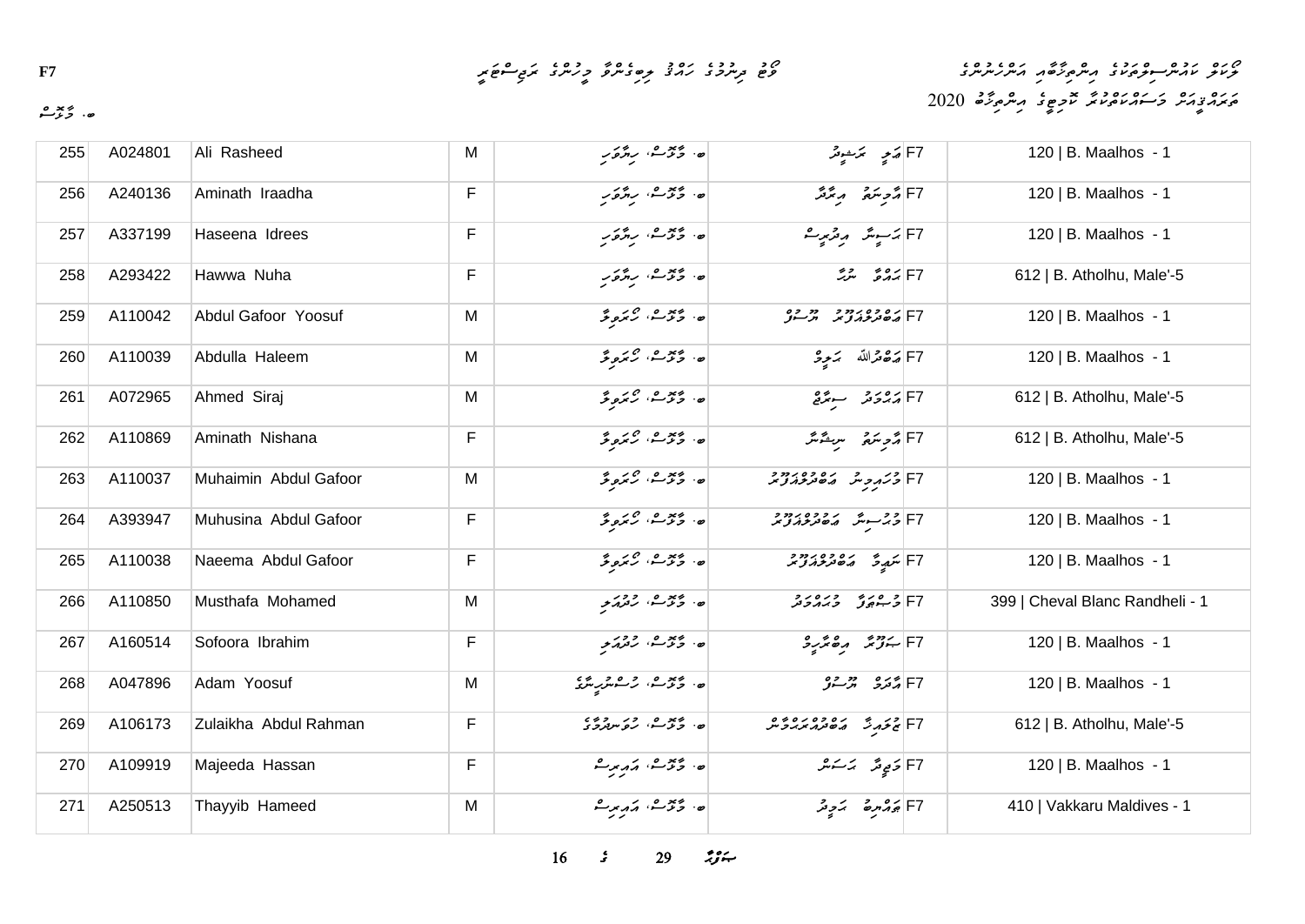*sCw7q7s5w7m< o<n9nOoAw7o< sCq;mAwBoEw7q<m; wBm;vB* م من المسجد المسجد المسجد المسجد المسجد العام 2020<br>مسجد المسجد المسجد المسجد المسجد المسجد المسجد المسجد المسجد ال

| 255 | A024801 | Ali Rasheed           | M            | ھ دعمق بەردىر         | F7 <i>ھَ۔</i> پرَجونَرُ                                                                 | 120   B. Maalhos - 1            |
|-----|---------|-----------------------|--------------|-----------------------|-----------------------------------------------------------------------------------------|---------------------------------|
| 256 | A240136 | Aminath Iraadha       | F            | ه دره رور             | F7 مُجِسَعَةٍ مِعْتَمَّ                                                                 | 120   B. Maalhos - 1            |
| 257 | A337199 | Haseena Idrees        | F            | ه دره روز             | F7 بَرَ پِسمِ مَّر مِرْمَدٍ مِسْتَمَّةٍ مِنْ مِسْتَمَّةٍ مِنْ مِسْتَمَّةٍ مِنْ مِسْتَمَ | 120   B. Maalhos - 1            |
| 258 | A293422 | Hawwa Nuha            | $\mathsf{F}$ | ه د دره روز           | F7 يَدُوُّ سُرْبُّ                                                                      | 612   B. Atholhu, Male'-5       |
| 259 | A110042 | Abdul Gafoor Yoosuf   | M            | ە ئەيم ئەرەپم ئەسىر   | 77 <sub>م</sub> <i>29,000 م دو وه</i><br>77 <i>مقوم و بر</i> مرسو                       | 120   B. Maalhos - 1            |
| 260 | A110039 | Abdulla Haleem        | ${\sf M}$    | ە بەللاھ، ئاللاھ ئى   | F7 مَەھىراللە ئەرچ                                                                      | 120   B. Maalhos - 1            |
| 261 | A072965 | Ahmed Siraj           | M            | ە بەللاھ، ئاللاھ ئى   | F7 <i>م</i> حدو محمد المستقرح المستقب                                                   | 612   B. Atholhu, Male'-5       |
| 262 | A110869 | Aminath Nishana       | F            | ە بەللەت ئەيزەق       | F7 مُوسَمَّة سِشَمَّد                                                                   | 612   B. Atholhu, Male'-5       |
| 263 | A110037 | Muhaimin Abdul Gafoor | M            | ە بەللەم ئەللەرگە     | F7 <i>ביניפית הסינדינית</i>                                                             | 120   B. Maalhos - 1            |
| 264 | A393947 | Muhusina Abdul Gafoor | $\mathsf{F}$ | ە بەللاھ، ئاللاھ ئى   | F7 دېر په مره ده ده د د                                                                 | 120   B. Maalhos - 1            |
| 265 | A110038 | Naeema Abdul Gafoor   | $\mathsf F$  | ە بەللاھ، ئاللاھ ئى   | F7 شهرد مصر دورو د                                                                      | 120   B. Maalhos - 1            |
| 266 | A110850 | Musthafa Mohamed      | M            | ه وی ووړ              | F7 ۋەرە دىرەرد                                                                          | 399   Cheval Blanc Randheli - 1 |
| 267 | A160514 | Sofoora Ibrahim       | $\mathsf{F}$ | ه ويوب، ژورو          | F7 سورسمبر مر <i>ه م</i> ركب                                                            | 120   B. Maalhos - 1            |
| 268 | A047896 | Adam Yoosuf           | M            | ە بەللاھ، ئاسلىرىسى   | F7 جُمْعَرِ مَرْتَسِوْ                                                                  | 120   B. Maalhos - 1            |
| 269 | A106173 | Zulaikha Abdul Rahman | F            | ھ گرمبر قائم مرکز دی۔ | F7 يحور شهر محمد محمد و موجود محمد السياسي<br>المحمد المحمد محمد المحمد السياسي السياسي | 612   B. Atholhu, Male'-5       |
| 270 | A109919 | Majeeda Hassan        | F            | ه د دره مدير ه        | F7   وَمٍ مَدْ مَرَ سَرَ مَدْ                                                           | 120   B. Maalhos - 1            |
| 271 | A250513 | Thayyib Hameed        | M            | ە بەللەت مەرىرى       | F7 <i>بود مره ب</i> رچ تر                                                               | 410   Vakkaru Maldives - 1      |

 $16$  *s* 29  $29$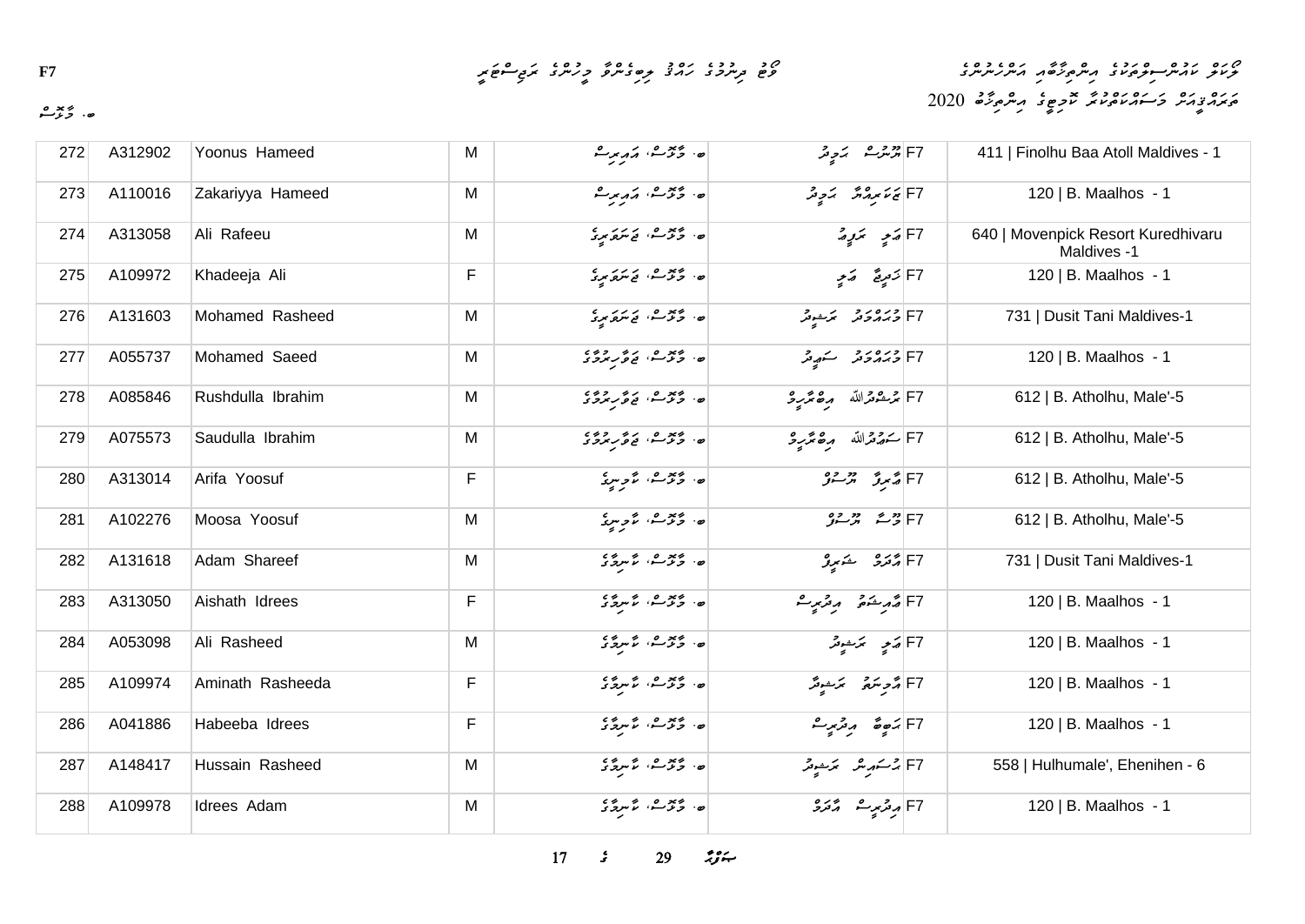*sCw7q7s5w7m< o<n9nOoAw7o< sCq;mAwBoEw7q<m; wBm;vB* م من المرة المرة المرة المرجع المرجع في المركبة 2020<br>مجم*د المريض المربوط المربع المرجع في المراجع المركبة* 

| 272 | A312902 | Yoonus Hameed     | M | ە بۇ ئۆت، مەم برگ                                 | F7  پژیزر کے بروٹر                                 | 411   Finolhu Baa Atoll Maldives - 1              |
|-----|---------|-------------------|---|---------------------------------------------------|----------------------------------------------------|---------------------------------------------------|
| 273 | A110016 | Zakariyya Hameed  | M | ھ پی محمد کے مقدم میں ک                           | F7 ي <i>ئ برو بۇ بەچ</i> تر                        | 120   B. Maalhos - 1                              |
| 274 | A313058 | Ali Rafeeu        | M | ە بەللەر ئەسىرى بىرى<br>مەن ئەنزىسى، ئى سىرى بىرى | F7 <i>ھَ جِس مَدَوِرة</i> ُ                        | 640   Movenpick Resort Kuredhivaru<br>Maldives -1 |
| 275 | A109972 | Khadeeja Ali      | F | ە بەللارە كەرگە ئە                                | F7 زَمَرِيحٌ      رَمِرٍ                           | 120   B. Maalhos - 1                              |
| 276 | A131603 | Mohamed Rasheed   | M | ە بەللەر ئەسكەر ئە                                | F7 <i>وُبرودو پرَ بو</i> ر                         | 731   Dusit Tani Maldives-1                       |
| 277 | A055737 | Mohamed Saeed     | M | ه به در ده ده د                                   | F7 <i>32828 سكوپى</i> تر                           | 120   B. Maalhos - 1                              |
| 278 | A085846 | Rushdulla Ibrahim | M | ه به در دوه<br>ه ورسه فه در دوه                   | F7 بمشعرالله م <i>صمر م</i> و                      | 612   B. Atholhu, Male'-5                         |
| 279 | A075573 | Saudulla Ibrahim  | M | ە بەيدە رەرىدە،                                   | F7 كەرتىراللە م <i>ەھتىر ۋ</i>                     | 612   B. Atholhu, Male'-5                         |
| 280 | A313014 | Arifa Yoosuf      | F | ە بەللەك ئام بىر                                  | F7 ۾ُمبرڙ هر شو                                    | 612   B. Atholhu, Male'-5                         |
| 281 | A102276 | Moosa Yoosuf      | M | ە· دىخرىم، ئۇجەسىم                                |                                                    | 612   B. Atholhu, Male'-5                         |
| 282 | A131618 | Adam Shareef      | M | ە بەلەر ئەسىرە<br>ھەرىسى ئەس <i>رى</i>            | F7 ۾ُترو شَمِيو                                    | 731   Dusit Tani Maldives-1                       |
| 283 | A313050 | Aishath Idrees    | F | ھ گريم ھي شهري                                    | F7 مەم ھەتھە ھەرىرىيە ھە                           | 120   B. Maalhos - 1                              |
| 284 | A053098 | Ali Rasheed       | M | $55 - 25 - 0$                                     | F7 <i>ھَجِ</i> مَمَشِيقَر                          | 120   B. Maalhos - 1                              |
| 285 | A109974 | Aminath Rasheeda  | F | ھ درس شهر                                         | F7 مُحْرِسَهُ مَنْ مِنْ مِنْ                       | 120   B. Maalhos - 1                              |
| 286 | A041886 | Habeeba Idrees    | F | ھ گريم ھي شميري                                   | F7 بَرَصِرَةُ مَسْتَرْمِرِ مُسْتَدِّ               | 120   B. Maalhos - 1                              |
| 287 | A148417 | Hussain Rasheed   | M | ھ گھر ھي شميري                                    | F7 پُرڪمبر سُر سَرَڪونگر                           | 558   Hulhumale', Ehenihen - 6                    |
| 288 | A109978 | Idrees Adam       | M | ھ گريم ھي شهري                                    | F7  موشر سور محمد محمد المحمد المحمد السرائع<br> - | 120   B. Maalhos - 1                              |

 $17$  *s*  $29$  *i*<sub>s</sub> $\approx$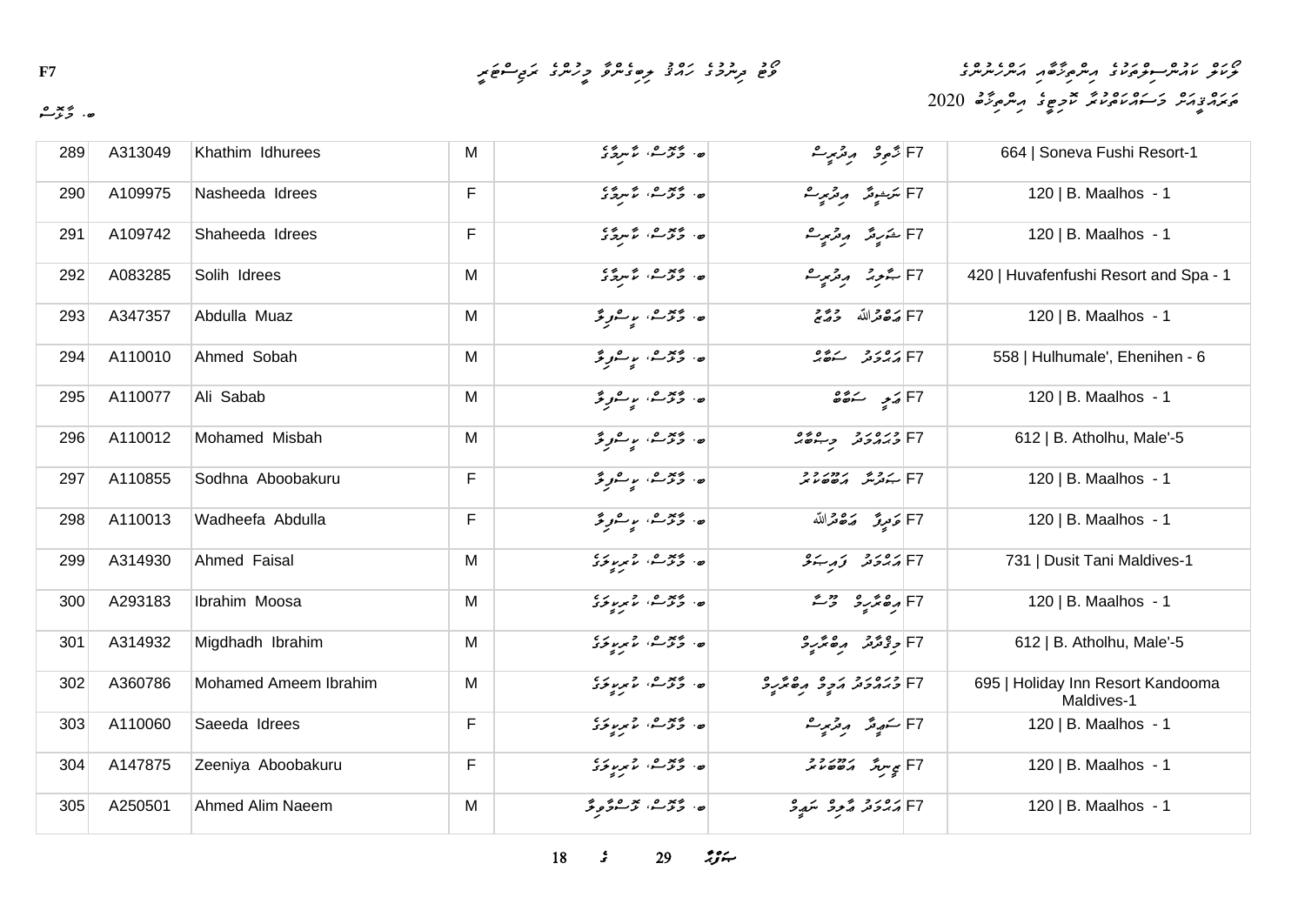*sCw7q7s5w7m< o<n9nOoAw7o< sCq;mAwBoEw7q<m; wBm;vB* م من المرة المرة المرة المرجع المرجع في المركبة 2020<br>مجم*د المريض المربوط المربع المرجع في المراجع المركبة* 

| 289 | A313049 | Khathim Idhurees        | M            | ھ گريم ھي شماري        | F7 ژُمودُ برقرمرِ مُ                | 664   Soneva Fushi Resort-1                     |
|-----|---------|-------------------------|--------------|------------------------|-------------------------------------|-------------------------------------------------|
| 290 | A109975 | Nasheeda Idrees         | F            | ھ گرما میں مقدمت       | F7 سَرَسْدِمَّر مِرتَّرْمِرِ مُشْ   | 120   B. Maalhos - 1                            |
| 291 | A109742 | Shaheeda Idrees         | F            | $53.20$ $2.50$ $-3.50$ | F7 ڪرپنگر پري <i>ٽريٽ</i>           | 120   B. Maalhos - 1                            |
| 292 | A083285 | Solih Idrees            | M            | $5.200$ $0.2000$       | F7 سڈمویز پروٹرمی <sup>ر</sup>      | 420   Huvafenfushi Resort and Spa - 1           |
| 293 | A347357 | Abdulla Muaz            | M            | ە بەللەت، بەسەر بۇ     | F7 مَرْحَدِّرْاللَّهُ حَرْمَةٍ حَ   | 120   B. Maalhos - 1                            |
| 294 | A110010 | Ahmed Sobah             | M            | ە بەلەپ، بېرىسى ئە     | $222$ $-222$ $-7$                   | 558   Hulhumale', Ehenihen - 6                  |
| 295 | A110077 | Ali Sabab               | M            | ە بەللەت، بەلسۇنى      | F7 ړَم مَنَ صَحَّ                   | 120   B. Maalhos - 1                            |
| 296 | A110012 | Mohamed Misbah          | M            | ە ئەترىش بەسەر ئە      | F7 دره در وجگه د                    | 612   B. Atholhu, Male'-5                       |
| 297 | A110855 | Sodhna Aboobakuru       | $\mathsf{F}$ | ە بەللەت، بەلسۇنى      | F7 به دور دور دور دو                | 120   B. Maalhos - 1                            |
| 298 | A110013 | Wadheefa Abdulla        | F            | ە ئەترىش بەسەر ئە      | F7 <i>حَسِيوٌ ضَ</i> صَحْرَاللّه    | 120   B. Maalhos - 1                            |
| 299 | A314930 | Ahmed Faisal            | M            | ه په ده لم بربانوی     | F7 <i>ړېری وَه</i> ِ جو             | 731   Dusit Tani Maldives-1                     |
| 300 | A293183 | Ibrahim Moosa           | M            | ھ گرمبر ماہم بربر کری  | F7 ۾ <i>ھيڙو ڏ</i> ي                | 120   B. Maalhos - 1                            |
| 301 | A314932 | Migdhadh Ibrahim        | M            | ه د دره میرود          | F7 <i>و ڈنڈنڈ م</i> ے <i>نگرد</i> و | 612   B. Atholhu, Male'-5                       |
| 302 | A360786 | Mohamed Ameem Ibrahim   | M            | ە ئەس ئەبرىدى          | F7 دره در درو مقترب                 | 695   Holiday Inn Resort Kandooma<br>Maldives-1 |
| 303 | A110060 | Saeeda Idrees           | F            | ه د دره میرود          | F7 سەرپەتتر برى <i>رىم</i> وپ       | 120   B. Maalhos - 1                            |
| 304 | A147875 | Zeeniya Aboobakuru      | F            | ە بۇ ئۇس، ئامېرىدى     | 22222                               | 120   B. Maalhos - 1                            |
| 305 | A250501 | <b>Ahmed Alim Naeem</b> | M            | ە بەللەت لاسەۋەلۇ      | F7 בזכת בציב תוכב                   | 120   B. Maalhos - 1                            |

*18 s* 29 *i*<sub>S</sub> $\approx$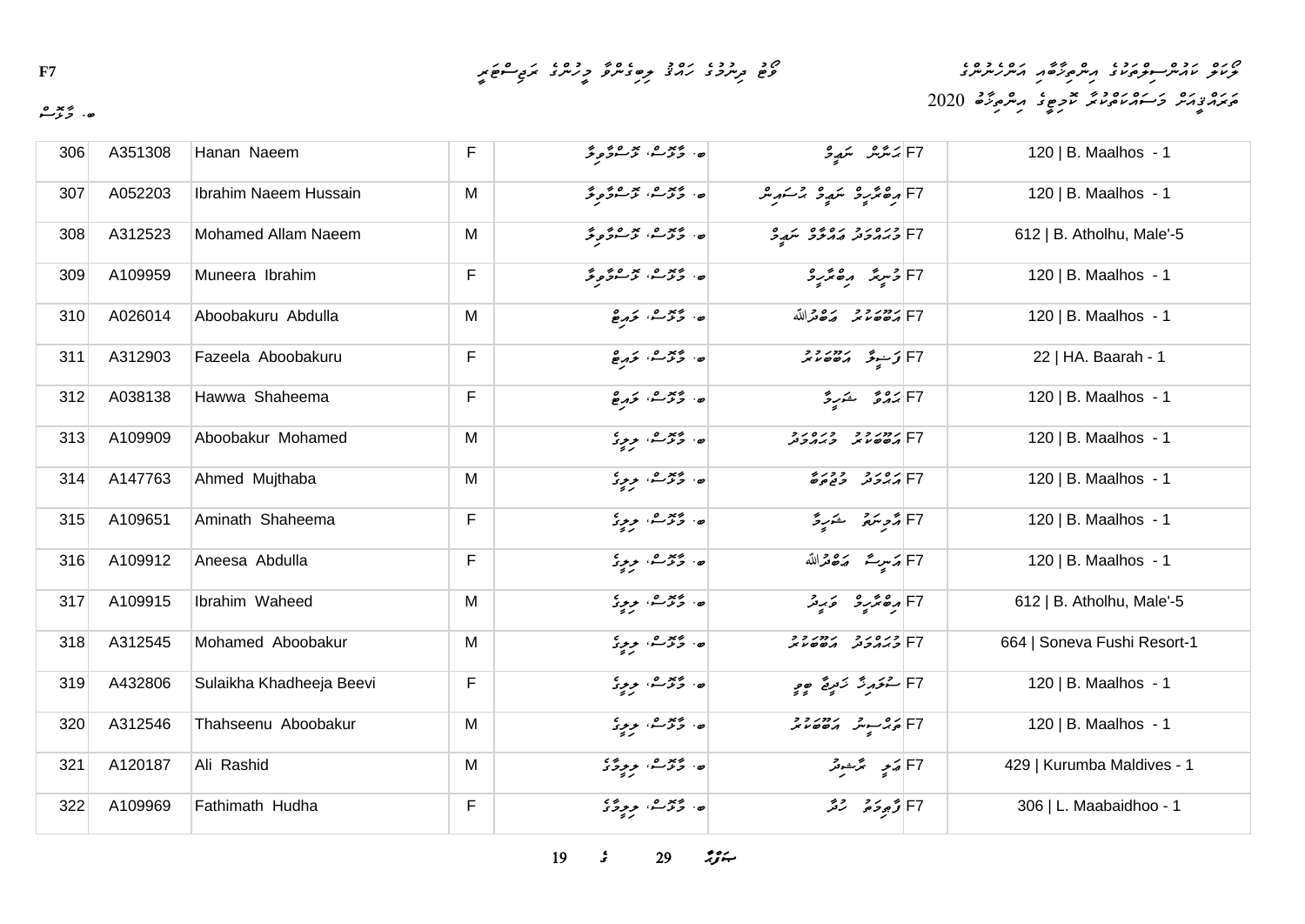*sCw7q7s5w7m< o<n9nOoAw7o< sCq;mAwBoEw7q<m; wBm;vB* م من المرة المرة المرة المرجع المرجع في المركبة 2020<br>مجم*د المريض المربوط المربع المرجع في المراجع المركبة* 

| 306 | A351308 | Hanan Naeem              | F            | ە بەلەر ئەسەر ئەسەر <i>ئە</i> رىگە | F7 ټرنگر شمه د M                                                | 120   B. Maalhos - 1        |
|-----|---------|--------------------------|--------------|------------------------------------|-----------------------------------------------------------------|-----------------------------|
| 307 | A052203 | Ibrahim Naeem Hussain    | M            | ە بەلەر ئەسەر ئەسەد <i>ۇر</i> ئە   | F7 رەئزى <sub>ر</sub> و ئى <sub>م</sub> وۋ ب <sub>ە</sub> شىرىش | 120   B. Maalhos - 1        |
| 308 | A312523 | Mohamed Allam Naeem      | M            | ە بەلەر ئەسەر ئەسەر ئەرىجە ئە      | F7 כממכת המכבי יתגיב                                            | 612   B. Atholhu, Male'-5   |
| 309 | A109959 | Muneera Ibrahim          | F            | ە بەلەم بىرە ئەرەتكە               | F7 دُسِرْ پَر مُرْسُدِدْ                                        | 120   B. Maalhos - 1        |
| 310 | A026014 | Aboobakuru Abdulla       | M            | ه . د بوره . د ده                  | F7 مُصْحَدِ مِنْ مُرْحَدِّ لِلَّهُ                              | 120   B. Maalhos - 1        |
| 311 | A312903 | Fazeela Aboobakuru       | $\mathsf F$  |                                    | F7 كۆپ ئەھەمدىنى كەن ئىستاتلىق بىر                              | 22   HA. Baarah - 1         |
| 312 | A038138 | Hawwa Shaheema           | $\mathsf F$  | $6.643 - 220$                      | F7 <i>بَهُمْ شَرِ</i> دًّ                                       | 120   B. Maalhos - 1        |
| 313 | A109909 | Aboobakur Mohamed        | M            | ه د بي شه د د د                    | $3,0,0,0$ $3,0,0,0$ FT                                          | 120   B. Maalhos - 1        |
| 314 | A147763 | Ahmed Mujthaba           | M            | ه د دی په دود                      | F7 كەرد دورە                                                    | 120   B. Maalhos - 1        |
| 315 | A109651 | Aminath Shaheema         | $\mathsf{F}$ | ه د مجموعه، مومونه                 | F7 مُجْرِسَمُ مُسَرِدٌ                                          | 120   B. Maalhos - 1        |
| 316 | A109912 | Aneesa Abdulla           | $\mathsf F$  | ه د مجموعه، مومود                  | F7 كەسرىگە كەھەتراللە                                           | 120   B. Maalhos - 1        |
| 317 | A109915 | Ibrahim Waheed           | M            | ه د دی په دود                      | F7 م <i>ەھترى</i> ئەرىتر                                        | 612   B. Atholhu, Male'-5   |
| 318 | A312545 | Mohamed Aboobakur        | M            | ه د بي شه د د د                    |                                                                 | 664   Soneva Fushi Resort-1 |
| 319 | A432806 | Sulaikha Khadheeja Beevi | F            | ه د بخت ودد                        | F7  گۆكەڭ كەيگە ھ                                               | 120   B. Maalhos - 1        |
| 320 | A312546 | Thahseenu Aboobakur      | M            | ه د مجموعه، مومود                  | F7 <sub>م</sub> ور باره در در در در حرم                         | 120   B. Maalhos - 1        |
| 321 | A120187 | Ali Rashid               | M            | ه په دره و دره                     | F7 <i>ھَ۔</i> مُرْسُومُرُ                                       | 429   Kurumba Maldives - 1  |
| 322 | A109969 | Fathimath Hudha          | F            | ه پیچم و پوځ                       | F7 <i>وُّجِ وَحَمَّ</i> حَمَّدَ                                 | 306   L. Maabaidhoo - 1     |

*19 s* 29  $29$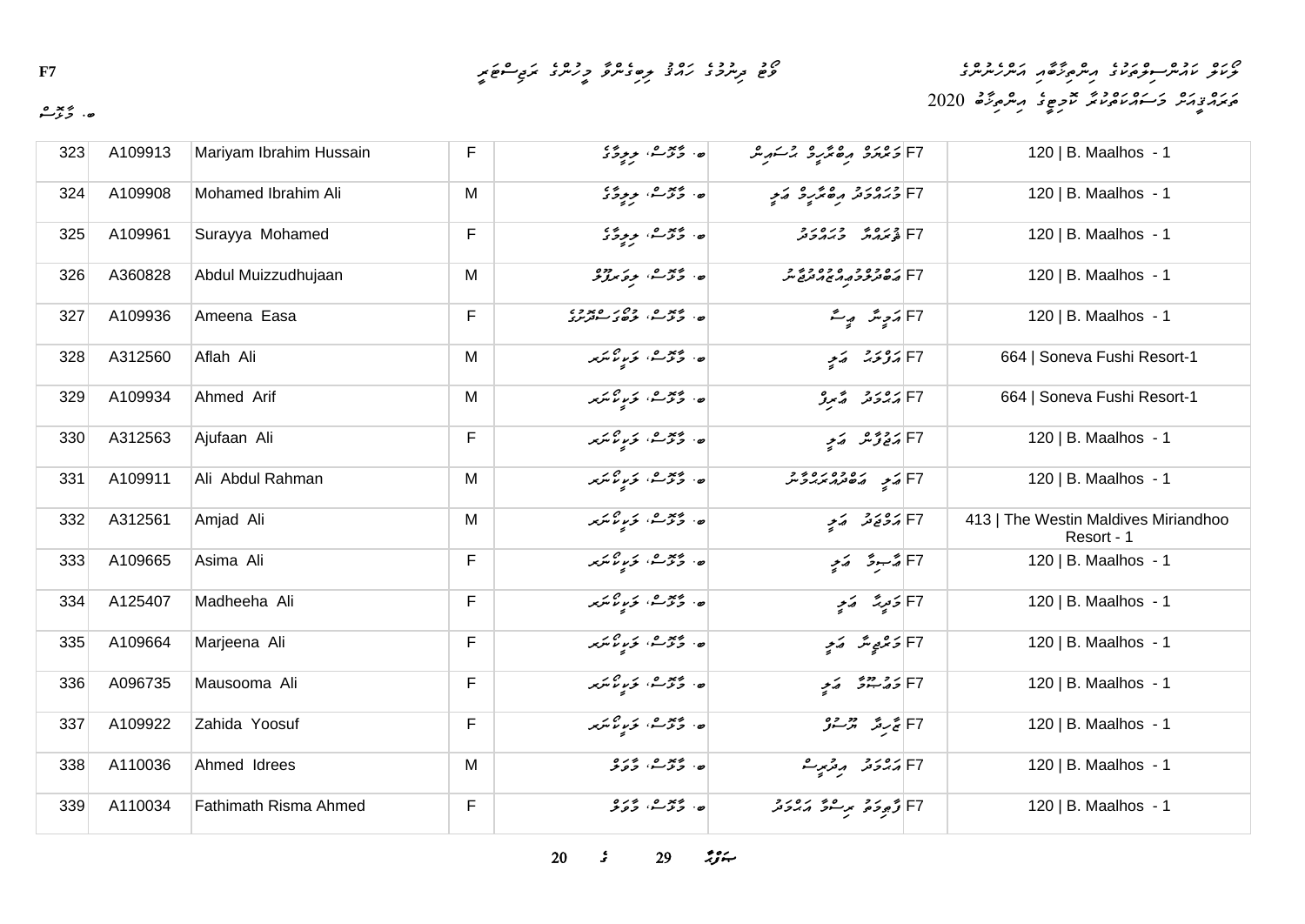*sCw7q7s5w7m< o<n9nOoAw7o< sCq;mAwBoEw7q<m; wBm;vB* م من المرة المرة المرة المرجع المرجع في المركبة 2020<br>مجم*د المريض المربوط المربع المرجع في المراجع المركبة* 

| 323 | A109913 | Mariyam Ibrahim Hussain      | F            | ھَ بِی تَحْرَثُ مِعْرِوْ کَ            | F7 ديمهرد مقتربر بر شهر ش                                                     | 120   B. Maalhos - 1                               |
|-----|---------|------------------------------|--------------|----------------------------------------|-------------------------------------------------------------------------------|----------------------------------------------------|
| 324 | A109908 | Mohamed Ibrahim Ali          | M            | ه دره مودد                             | F7 <i>وُبَهُ وَبَدْ وَهُ مُرَبِّ</i> وَ مَرِ                                  | 120   B. Maalhos - 1                               |
| 325 | A109961 | Surayya Mohamed              | $\mathsf{F}$ | ه دره دره و دره                        | F7 څخه ده ده ده د                                                             | 120   B. Maalhos - 1                               |
| 326 | A360828 | Abdul Muizzudhujaan          | M            | ے میں معروم دوہ<br>ے وی سوالی موتو مور | F7 <sub>م</sub> ی <i>قوم و ۵۶۵۰ و ۶</i><br>F7 م <i>ی قوم و و م</i> ربع مربع س | 120   B. Maalhos - 1                               |
| 327 | A109936 | Ameena Easa                  | $\mathsf{F}$ | ه به در دور دود .<br>ه وگرگ توه د سترس | F7 <sub>مَ</sub> حِیثَر مِیٹَ                                                 | 120   B. Maalhos - 1                               |
| 328 | A312560 | Aflah Ali                    | M            | ە بۇ ئۇسە، ئۇرام ئىرىمە                | F7 پروتو په کالن                                                              | 664   Soneva Fushi Resort-1                        |
| 329 | A109934 | Ahmed Arif                   | M            | ە بۇ ئۇسە، ئۇرام ئىرىمە                | F7 <i>ټرې پېرو</i>                                                            | 664   Soneva Fushi Resort-1                        |
| 330 | A312563 | Ajufaan Ali                  | F            | ە بۇ ئۇس، ئۇراشىر                      | F7 <i>ړې ژنگ چې</i>                                                           | 120   B. Maalhos - 1                               |
| 331 | A109911 | Ali Abdul Rahman             | M            | ە بەللەيمىڭ، ئۇر <i>باشى</i> ر         | F7 <i>مکمو م</i> گرم مرکز در در د                                             | 120   B. Maalhos - 1                               |
| 332 | A312561 | Amjad Ali                    | M            | ە بۇ ئۇسە، ئۇرام ئىرىمە                | F7 <i>225 مك</i> و                                                            | 413   The Westin Maldives Miriandhoo<br>Resort - 1 |
| 333 | A109665 | Asima Ali                    | $\mathsf F$  | ە بەللەم ئورا ئايرىمە                  | F7 محب قرم من                                                                 | 120   B. Maalhos - 1                               |
| 334 | A125407 | Madheeha Ali                 | F            | ە بەللەھ، ئۇرائاشىر                    | F7  5مرٍبَّد - 1 <sub>9</sub> م                                               | 120   B. Maalhos - 1                               |
| 335 | A109664 | Marjeena Ali                 | $\mathsf{F}$ | ە بەللەھ ئەرئاتىرىد                    | F7 دَ تر <sub>ُم</sub> تر سَ پَر                                              | 120   B. Maalhos - 1                               |
| 336 | A096735 | Mausooma Ali                 | F            | ە بەللەھ، ئەرئاشىر                     | F7 <i>وَهُ</i> بِيَّوْ کَمَ ی                                                 | 120   B. Maalhos - 1                               |
| 337 | A109922 | Zahida Yoosuf                | F            | ە بەللەشقا ئۇرىدىكىلىكىد               | F7 تج برقر فرم میں مقبل ا                                                     | 120   B. Maalhos - 1                               |
| 338 | A110036 | Ahmed Idrees                 | M            | ە بەيدە، ۋە د                          | F7 <i>ړېږ ته په پېړين</i>                                                     | 120   B. Maalhos - 1                               |
| 339 | A110034 | <b>Fathimath Risma Ahmed</b> | F            | ە بەللەرە بەرە                         | F7 <i>وُّهِ وَهُ</i> بِرِسْهُ مَدُومُر                                        | 120   B. Maalhos - 1                               |

*20 sC 29 nNw?mS*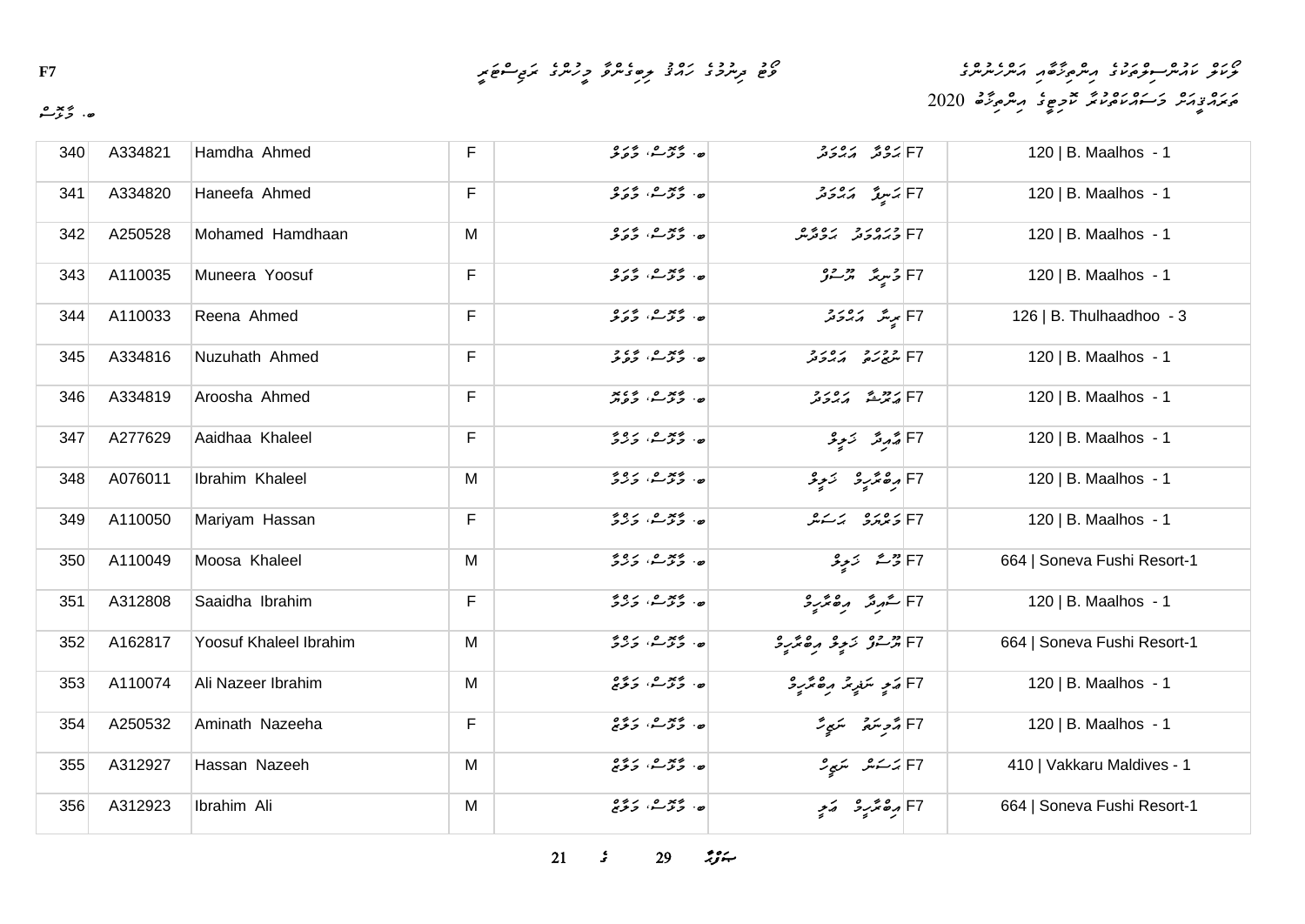*sCw7q7s5w7m< o<n9nOoAw7o< sCq;mAwBoEw7q<m; wBm;vB* م من المرة المرة المرة المرجع المرجع في المركبة 2020<br>مجم*د المريض المربوط المربع المرجع في المراجع المركبة* 

| 340 | A334821 | Hamdha Ahmed           | $\mathsf{F}$ | ە بەيدە، ئەدە       | F7 يَرُوثُرُ بِرَبْرَدِيْرِ              | 120   B. Maalhos - 1        |
|-----|---------|------------------------|--------------|---------------------|------------------------------------------|-----------------------------|
| 341 | A334820 | Haneefa Ahmed          | F            | ە بەيدە، ئەدە       | F7 ئەس <sub>ى</sub> ر ئەر ئەردىتى        | 120   B. Maalhos - 1        |
| 342 | A250528 | Mohamed Hamdhaan       | M            | ە . ئەيزە . ئەرە    | F7 در در در بروتر ش                      | 120   B. Maalhos - 1        |
| 343 | A110035 | Muneera Yoosuf         | F            | ە بەللەر ئەرە       | F7 دُسِيدٌ پُرْ- وُو                     | 120   B. Maalhos - 1        |
| 344 | A110033 | Reena Ahmed            | $\mathsf{F}$ | ە بەيدە، ئەدە       | F7 <sub>مو</sub> يتر <i>م</i> روديز      | 126   B. Thulhaadhoo - 3    |
| 345 | A334816 | Nuzuhath Ahmed         | $\mathsf F$  | ە بەللاھ، ئەل       | F7 سرچ پره دره<br>F7 سرچ پر مرکز         | 120   B. Maalhos - 1        |
| 346 | A334819 | Aroosha Ahmed          | F            | ە بەيدە، ئەيد       | F7 <i>م</i> ترشم مردور                   | 120   B. Maalhos - 1        |
| 347 | A277629 | Aaidhaa Khaleel        | F            | ە بەللەر ئەرەپ      | F7 م <i>مُّهِ مَّدَّ ذَوِدْ</i>          | 120   B. Maalhos - 1        |
| 348 | A076011 | Ibrahim Khaleel        | M            | ه . ويوره، وره و    | F7 <sub>م</sub> ەنگەد ئىچى               | 120   B. Maalhos - 1        |
| 349 | A110050 | Mariyam Hassan         | $\mathsf{F}$ | ە بەللاھ، كەن ئ     | F7 كۆچر <i>دە بەسكى</i> ر                | 120   B. Maalhos - 1        |
| 350 | A110049 | Moosa Khaleel          | M            | ە بەللەر ئەرەپ      |                                          | 664   Soneva Fushi Resort-1 |
| 351 | A312808 | Saaidha Ibrahim        | F            | ە بەللەر ئەدە       | F7 س <i>تمبرمز م</i> ے <i>مرب</i> و      | 120   B. Maalhos - 1        |
| 352 | A162817 | Yoosuf Khaleel Ibrahim | M            | ە بەللەر ئەرەپ      | F7 اگر سوءِ کا محمد محمد پر 19 گريڪو     | 664   Soneva Fushi Resort-1 |
| 353 | A110074 | Ali Nazeer Ibrahim     | M            | ە بەللار ئەلگەن ئەر | F7 مَرِ بِسَنْدِيْرِ مِرْهُ مَّرِيْرَ \$ | 120   B. Maalhos - 1        |
| 354 | A250532 | Aminath Nazeeha        | F            | ە بەللەر ئەللەر     | F7 مُتَّحِسَّعَ مَسِيَّ                  | 120   B. Maalhos - 1        |
| 355 | A312927 | Hassan Nazeeh          | M            | ە . ئەيزە . ئەنزى   | F7   پزشکس سکی شمی                       | 410   Vakkaru Maldives - 1  |
| 356 | A312923 | Ibrahim Ali            | M            | ە . ئەير ق. ئەنزى   | F7 <sub>مو</sub> ڭ ئۆرى ھەمچە            | 664   Soneva Fushi Resort-1 |

 $21$  *s*  $29$  *n***<sub>s</sub>**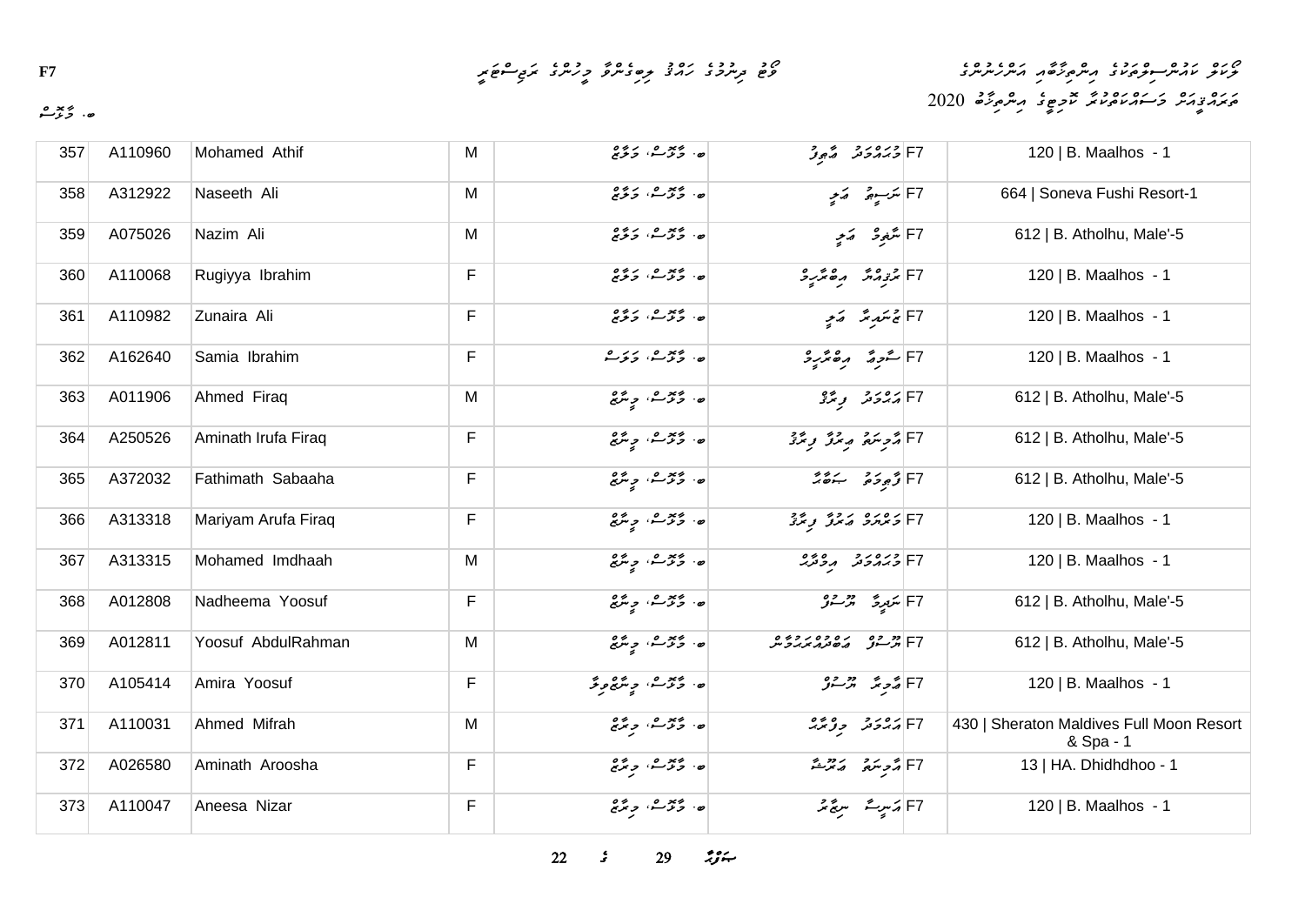*sCw7q7s5w7m< o<n9nOoAw7o< sCq;mAwBoEw7q<m; wBm;vB* م من المرة المرة المرة المرجع المرجع في المركبة 2020<br>مجم*د المريض المربوط المربع المرجع في المراجع المركبة* 

| 357 | A110960 | Mohamed Athif       | M           | ە بەللاھ، كەللى     | F7 درورو محموز                           | 120   B. Maalhos - 1                                  |
|-----|---------|---------------------|-------------|---------------------|------------------------------------------|-------------------------------------------------------|
| 358 | A312922 | Naseeth Ali         | M           | ە . ئەير ق. ئەۋە    | F7 سَرَسوچھ <b>صَرِ</b> حِ               | 664   Soneva Fushi Resort-1                           |
| 359 | A075026 | Nazim Ali           | M           | ە . ئەير ق. ئەۋە    | F7 سُمْعِ 12 سَمِ                        | 612   B. Atholhu, Male'-5                             |
| 360 | A110068 | Rugiyya Ibrahim     | F           | ە . ئەيز ق. ئەنزى   | F7 بر <sub>تو</sub> مگر مرگ <i>مرگرد</i> | 120   B. Maalhos - 1                                  |
| 361 | A110982 | Zunaira Ali         | F           | ە . ئېچىر قى ئەنزى  | F7 يح <i>متمد بڻ ھ</i> ُجي               | 120   B. Maalhos - 1                                  |
| 362 | A162640 | Samia Ibrahim       | F           | ە بۇ ئۆگ، بەكەك     | F7 گروړ مر <i>ه ټر</i> يز                | 120   B. Maalhos - 1                                  |
| 363 | A011906 | Ahmed Firaq         | M           | ھ گرم میں پہنچ      | F7 <i>ړې دی و</i> برگ                    | 612   B. Atholhu, Male'-5                             |
| 364 | A250526 | Aminath Irufa Firaq | $\mathsf F$ | ە بەللام بەللە      | F7 مُرْحِ سَمَعُ مِ مَرْزٌ وِ مُرَّدٌ    | 612   B. Atholhu, Male'-5                             |
| 365 | A372032 | Fathimath Sabaaha   | F           | ه. وی شه. و شه      | F7 زُ <sub>جو</sub> دَ ۾ سُنهُ پُ        | 612   B. Atholhu, Male'-5                             |
| 366 | A313318 | Mariyam Arufa Firaq | F           | ه په درسې د شي      | F7 <i>جُمُهُرَدٌ وَمُرُوٌّ وِمُرَّدٌ</i> | 120   B. Maalhos - 1                                  |
| 367 | A313315 | Mohamed Imdhaah     | M           | ه. وی شه. و شه      | F7 <i>בגמבית הפית</i> ג                  | 120   B. Maalhos - 1                                  |
| 368 | A012808 | Nadheema Yoosuf     | F           | ھ گرم میں پہنچ      | F7 سَمِرِةً بِرْمَشِرْ                   | 612   B. Atholhu, Male'-5                             |
| 369 | A012811 | Yoosuf AbdulRahman  | M           | ھ گرم میں پہنچ      | F7 ת-כם נסכם נכשים                       | 612   B. Atholhu, Male'-5                             |
| 370 | A105414 | Amira Yoosuf        | $\mathsf F$ | ە بەللاھ، جەنگەھەتى | F7 ۾ُجِبُّ بَرْتَ <i>وَ</i>              | 120   B. Maalhos - 1                                  |
| 371 | A110031 | Ahmed Mifrah        | M           | ه په محمد په در پوه | F7  پرچونز برونژی                        | 430   Sheraton Maldives Full Moon Resort<br>& Spa - 1 |
| 372 | A026580 | Aminath Aroosha     | F           | ه په پېړه، په په    | F7 مُ <i>جِسَعُو مُ</i> مُرْشُدُ         | 13   HA. Dhidhdhoo - 1                                |
| 373 | A110047 | Aneesa Nizar        | F           | ه په محمد شه د مخرج | F7  رَسٍتُہ سِیُّ مُر                    | 120   B. Maalhos - 1                                  |

*22 sC 29 nNw?mS*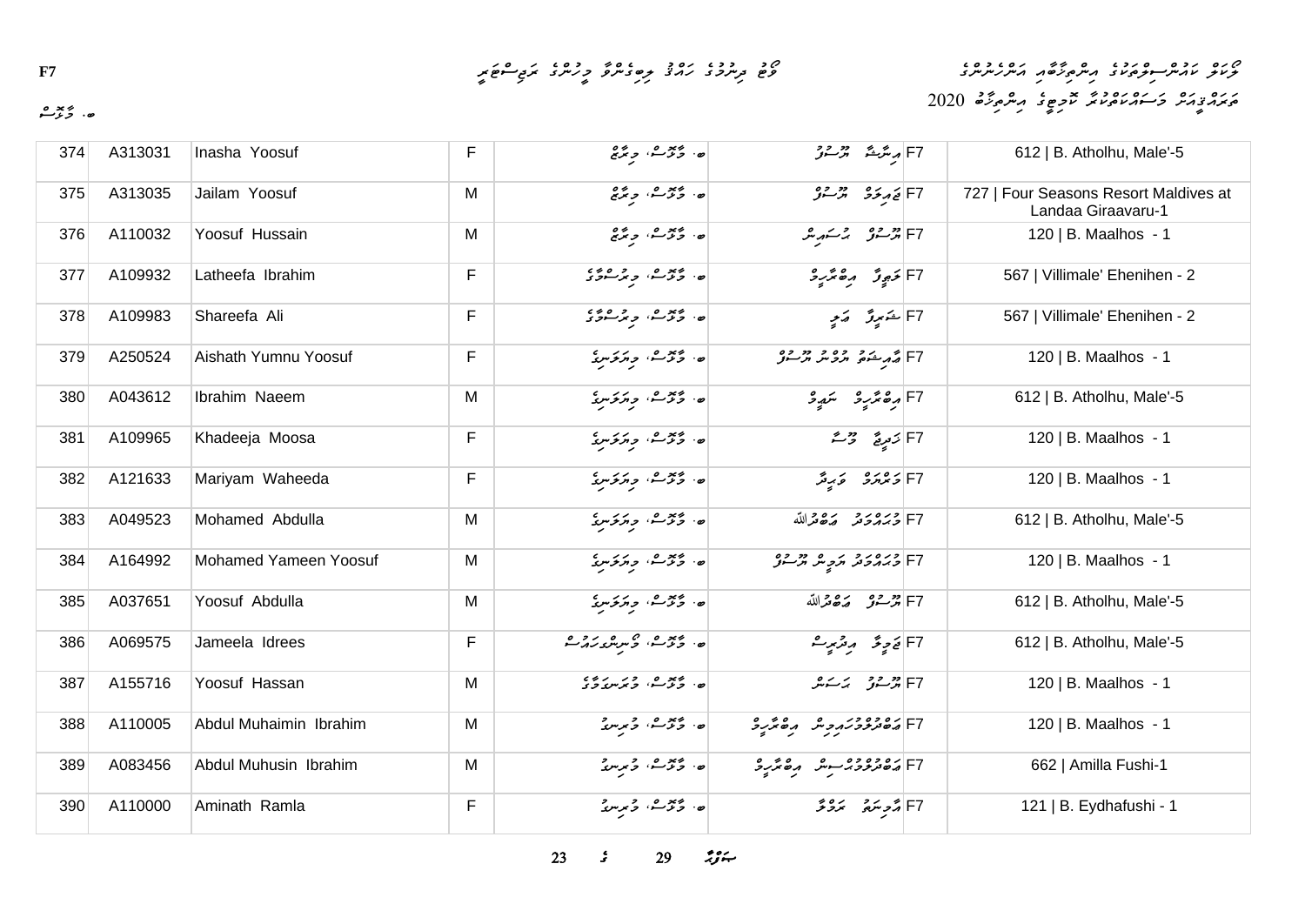*sCw7q7s5w7m< o<n9nOoAw7o< sCq;mAwBoEw7q<m; wBm;vB* م من المرة المرة المرة المرجع المرجع في المركبة 2020<br>مجم*د المريض المربوط المربع المرجع في المراجع المركبة* 

| 374 | A313031 | Inasha Yoosuf          | F            | ه کري ه دی                 | F7 برىئزىشە ت <i>ۈردۇ</i>                                                   | 612   B. Atholhu, Male'-5                                   |
|-----|---------|------------------------|--------------|----------------------------|-----------------------------------------------------------------------------|-------------------------------------------------------------|
| 375 | A313035 | Jailam Yoosuf          | M            | ه پختر شه و برخ            | F7 في مركز في مستوفر المحمد المستوفر                                        | 727   Four Seasons Resort Maldives at<br>Landaa Giraavaru-1 |
| 376 | A110032 | Yoosuf Hussain         | М            | ه . و بوت، و بوتم          | F7 پر مشترق بر شهر میں                                                      | 120   B. Maalhos - 1                                        |
| 377 | A109932 | Latheefa Ibrahim       | $\mathsf F$  | ه په پوره و ده په          | F7 خَھِرَ مُتَصَمَّرٍ وَ                                                    | 567   Villimale' Ehenihen - 2                               |
| 378 | A109983 | Shareefa Ali           | F            | ه په ده وره ده             | F7 ڪ <sub>يم</sub> وگر ڪرم                                                  | 567   Villimale' Ehenihen - 2                               |
| 379 | A250524 | Aishath Yumnu Yoosuf   | $\mathsf{F}$ | ه وتخت والكرسي             | F7 <sub>م</sub> ی شوی افزود افزار ده وه                                     | 120   B. Maalhos - 1                                        |
| 380 | A043612 | Ibrahim Naeem          | M            | ه وترت، والكرس             | F7 م <i>ِ هُ مُّرِ دُ</i> سَمِي <sup>و</sup> ُ                              | 612   B. Atholhu, Male'-5                                   |
| 381 | A109965 | Khadeeja Moosa         | F            | ه په ده د کرکېږي           | F7 زَمِرِجٌ حَمْ — مُحَمَّدٍ السَّنَدِيُّةِ السَّنَدِيُّةِ السَّنَدِيُّةِ ا | 120   B. Maalhos - 1                                        |
| 382 | A121633 | Mariyam Waheeda        | F            | ه د عرب، و مرکز سره        | F7 <i>5 پروژ</i> کاپانگ                                                     | 120   B. Maalhos - 1                                        |
| 383 | A049523 | Mohamed Abdulla        | M            | ھ گرم گرم جائز کر میں کا ا | F7 وُيَرْمُ وَمَرَ مَرَّدُهُ مِنْ اللَّهُ                                   | 612   B. Atholhu, Male'-5                                   |
| 384 | A164992 | Mohamed Yameen Yoosuf  | M            | ه د عرب، و پروس            | F7 در ۲۵ د د په ده د وه د                                                   | 120   B. Maalhos - 1                                        |
| 385 | A037651 | Yoosuf Abdulla         | M            | ه دموگ و مکرمر             | F7 مُرْتَوْرٌ مَرْهُ قَرَاللّه                                              | 612   B. Atholhu, Male'-5                                   |
| 386 | A069575 | Jameela Idrees         | $\mathsf F$  | ھ گر گر گ گر سر سر کے دور  | F7 فے <sub>جو</sub> گر مرت <i>ڈیو</i> ٹ                                     | 612   B. Atholhu, Male'-5                                   |
| 387 | A155716 | Yoosuf Hassan          | M            | ه په دره ورسروه            | F7 پژیستو پر پر پر میٹر                                                     | 120   B. Maalhos - 1                                        |
| 388 | A110005 | Abdul Muhaimin Ibrahim | M            | ه کولای و برس              | F7 مەھر <i>ودى مەھەرد</i>                                                   | 120   B. Maalhos - 1                                        |
| 389 | A083456 | Abdul Muhusin Ibrahim  | ${\sf M}$    | ه وی و مهرس                | F7 رەدەدورىسى مەمرىرو                                                       | 662   Amilla Fushi-1                                        |
| 390 | A110000 | Aminath Ramla          | F            | ه په دره و پرسر            | F7 مُج <i>رِسَمُ مَدْدُ دُ</i>                                              | 121   B. Eydhafushi - 1                                     |

*23 sC 29 nNw?mS*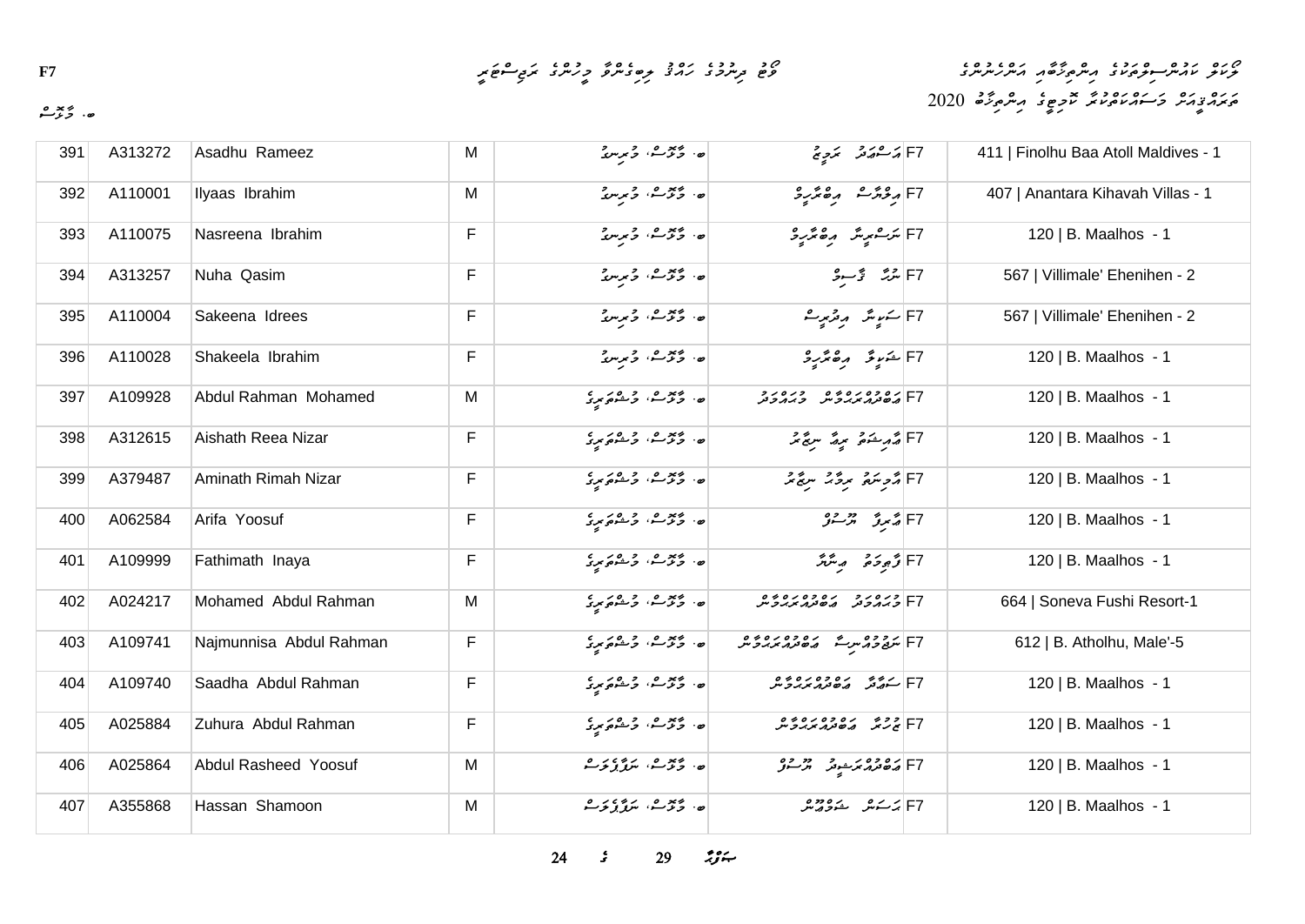*sCw7q7s5w7m< o<n9nOoAw7o< sCq;mAwBoEw7q<m; wBm;vB* م من المرة المرة المرة المرجع المرجع في المركبة 2020<br>مجم*د المريض المربوط المربع المرجع في المراجع المركبة* 

| 391 | A313272 | Asadhu Rameez           | M            | ه ولات، وبرس                                                                                                    | F7 كەشھەقىر بىر <i>ج</i> ج                                                                                  | 411   Finolhu Baa Atoll Maldives - 1 |
|-----|---------|-------------------------|--------------|-----------------------------------------------------------------------------------------------------------------|-------------------------------------------------------------------------------------------------------------|--------------------------------------|
| 392 | A110001 | Ilyaas Ibrahim          | M            | ه ولات، ولم سر                                                                                                  | F7 <sub>م</sub> وتر مصر مصر مصر مصر بر حر                                                                   | 407   Anantara Kihavah Villas - 1    |
| 393 | A110075 | Nasreena Ibrahim        | F            | ه ويو و و پرس                                                                                                   | F7 سَرَے <sub>مح</sub> مد معامد محمد کرنے کی ا                                                              | 120   B. Maalhos - 1                 |
| 394 | A313257 | Nuha Qasim              | F            | ه و د سه و مرس                                                                                                  | F7 بَرْبُرٌ پُرْ بِ                                                                                         | 567   Villimale' Ehenihen - 2        |
| 395 | A110004 | Sakeena Idrees          | $\mathsf F$  | ه ولات، ولم سر                                                                                                  | F7 سَمَٰرٍ مَثَرَّ مِرْمَدِ مِشْہِ مِ                                                                       | 567   Villimale' Ehenihen - 2        |
| 396 | A110028 | Shakeela Ibrahim        | $\mathsf{F}$ | ه وتوب، وبرس                                                                                                    | F7 شرىر ئەھەردى E7                                                                                          | 120   B. Maalhos - 1                 |
| 397 | A109928 | Abdul Rahman Mohamed    | M            | ه په ده ده دره                                                                                                  | F7 ره ده ده ده ده در در د                                                                                   | 120   B. Maalhos - 1                 |
| 398 | A312615 | Aishath Reea Nizar      | $\mathsf F$  | ه په ده ده دره                                                                                                  | F7 مُدِيسَة مِ مِيمٌ سِيِّ مُرَ                                                                             | 120   B. Maalhos - 1                 |
| 399 | A379487 | Aminath Rimah Nizar     | $\mathsf F$  | ه په ده وره در د                                                                                                | F7 <i>مُّجِسَعَةُ</i> بِرَدُّبُّ سِيِّ بَرُ                                                                 | 120   B. Maalhos - 1                 |
| 400 | A062584 | Arifa Yoosuf            | F            | ه په ده ده دره                                                                                                  | F7 ۾ُمِروُ پُرٽو                                                                                            | 120   B. Maalhos - 1                 |
| 401 | A109999 | Fathimath Inaya         | F            | ه په ده ده ده د                                                                                                 | F7 <i>وَّجِوَدَّة</i> مِسَّمَّ                                                                              | 120   B. Maalhos - 1                 |
| 402 | A024217 | Mohamed Abdul Rahman    | M            | ه د کار د د د د د د د د کار د د کار د د د کار د د د د د د د د کار د د د کار د د د کار د د کار د د کار د د کار د | F7 دره در ده ده ده ده ده<br>F7 دربرد در مان در در در در                                                     | 664   Soneva Fushi Resort-1          |
| 403 | A109741 | Najmunnisa Abdul Rahman | $\mathsf F$  |                                                                                                                 | F7 مرووه مرت مده وه ده وه و مده و مده و ده در است.<br>F7 مرج و مرسم مده مده مده مده و مده و مده و مشروع مرد | 612   B. Atholhu, Male'-5            |
| 404 | A109740 | Saadha Abdul Rahman     | F            | ه په ده ده دره                                                                                                  | F7 شۇر مەمەم مەم بەرە بور                                                                                   | 120   B. Maalhos - 1                 |
| 405 | A025884 | Zuhura Abdul Rahman     | $\mathsf F$  | ه په ده د هر د ک                                                                                                | F7 يورو ده ده ده ده ده.<br>F7 يورند ما مصرم <i>مرد د</i> سر                                                 | 120   B. Maalhos - 1                 |
| 406 | A025864 | Abdul Rasheed Yoosuf    | M            | ە بۇ ئۆگ، ئىرۇ ئۇ ئە                                                                                            | F7 <i>ړه ده برخونه پر دو</i> ه                                                                              | 120   B. Maalhos - 1                 |
| 407 | A355868 | Hassan Shamoon          | M            | ە بەيدىسى ئەمزىز بۇ ئە                                                                                          | F7 كەشكەر ئىدە <i>« ي</i>                                                                                   | 120   B. Maalhos - 1                 |

*24 sC 29 nNw?mS*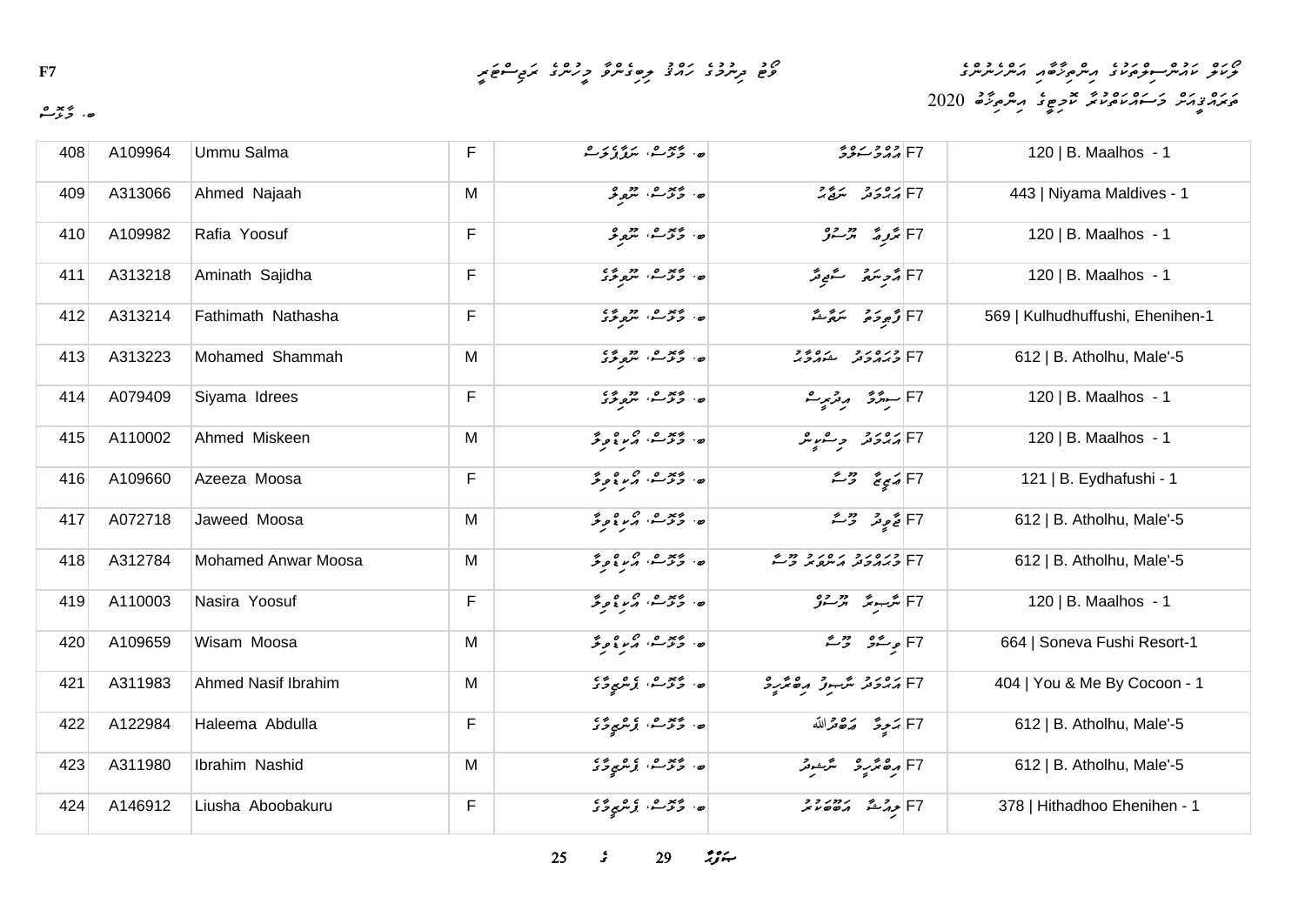*sCw7q7s5w7m< o<n9nOoAw7o< sCq;mAwBoEw7q<m; wBm;vB* م من المرة المرة المرة المرجع المرجع في المركبة 2020<br>مجم*د المريض المربوط المربع المرجع في المراجع المركبة* 

| 408 | A109964 | Ummu Salma          | F            | ە بۇ ئۆرگە، ئىرۇ ئۇ ئەرگ        | $33 - 322$ F7                              | 120   B. Maalhos - 1             |
|-----|---------|---------------------|--------------|---------------------------------|--------------------------------------------|----------------------------------|
| 409 | A313066 | Ahmed Najaah        | M            | ه در در دو ه                    | F7 كەبرى ئىرگە ئىرگە ئى                    | 443   Niyama Maldives - 1        |
| 410 | A109982 | Rafia Yoosuf        | F            | ه در در دو و                    | F7 بَرُو پُر " پُر مَو "                   | 120   B. Maalhos - 1             |
| 411 | A313218 | Aminath Sajidha     | $\mathsf{F}$ | ه د پورې د د ده                 | F7 مُ <i>جِسَمُ</i> مُحْمَّدٍ مُحَمَّدٍ    | 120   B. Maalhos - 1             |
| 412 | A313214 | Fathimath Nathasha  | F            | ه د د د و د و                   | F7 <i>وُجِودَهُ</i> سَهْرُتُهُ             | 569   Kulhudhuffushi, Ehenihen-1 |
| 413 | A313223 | Mohamed Shammah     | M            | ے میں دورہ دورہ<br>ن وی سروفری  | F7 ورەرو مەدەبو                            | 612   B. Atholhu, Male'-5        |
| 414 | A079409 | Siyama Idrees       | F            | ے میں صدی ہے<br>ے ولاسہ شہر فرد | F7 سومرَدَ پروزمویے                        | 120   B. Maalhos - 1             |
| 415 | A110002 | Ahmed Miskeen       | M            | ە بەللەت كەرەپ ئوگ              | F7 <i>م</i> حدد و موی <sub>ند</sub>        | 120   B. Maalhos - 1             |
| 416 | A109660 | Azeeza Moosa        | F            | ە دىن ئەرەبى                    | $23$ $25$ $5$ $5$                          | 121   B. Eydhafushi - 1          |
| 417 | A072718 | Jaweed Moosa        | M            | ە بە ئۇت، ئەربۇمۇ               |                                            | 612   B. Atholhu, Male'-5        |
| 418 | A312784 | Mohamed Anwar Moosa | M            | ە دىن ئەرەپچ                    | F7 دره د و ره د و دو                       | 612   B. Atholhu, Male'-5        |
| 419 | A110003 | Nasira Yoosuf       | $\mathsf{F}$ | ە ئەترىش كەرەپ ئوق              | F7 مُرْسِعِدُ مَرْسُورُ                    | 120   B. Maalhos - 1             |
| 420 | A109659 | Wisam Moosa         | M            | ە بەللەت كەرەپ ئوگ              | F7 <sub>ج م</sub> شو و وشه                 | 664   Soneva Fushi Resort-1      |
| 421 | A311983 | Ahmed Nasif Ibrahim | M            |                                 | F7 <i>גُיכ</i> وَ مُرْجَزِ مِنْ مُرْجَزِ   | 404   You & Me By Cocoon - 1     |
| 422 | A122984 | Haleema Abdulla     | $\mathsf{F}$ | ه په ده وهېږي ده                | F7  بَرْمِرةُ   بَرْهُ مِنْ مِنْ اللَّهُ   | 612   B. Atholhu, Male'-5        |
| 423 | A311980 | Ibrahim Nashid      | M            | ە بەللەر ئەرەپ ئە               | F7 م <i>ەھگرى</i> ھەشىمىتى <mark>F7</mark> | 612   B. Atholhu, Male'-5        |
| 424 | A146912 | Liusha Aboobakuru   | F            | ە . ئۆت، بۇشپۈترى               | F7 مرد شه روز د د                          | 378   Hithadhoo Ehenihen - 1     |

 $25$  *s*  $29$   $29$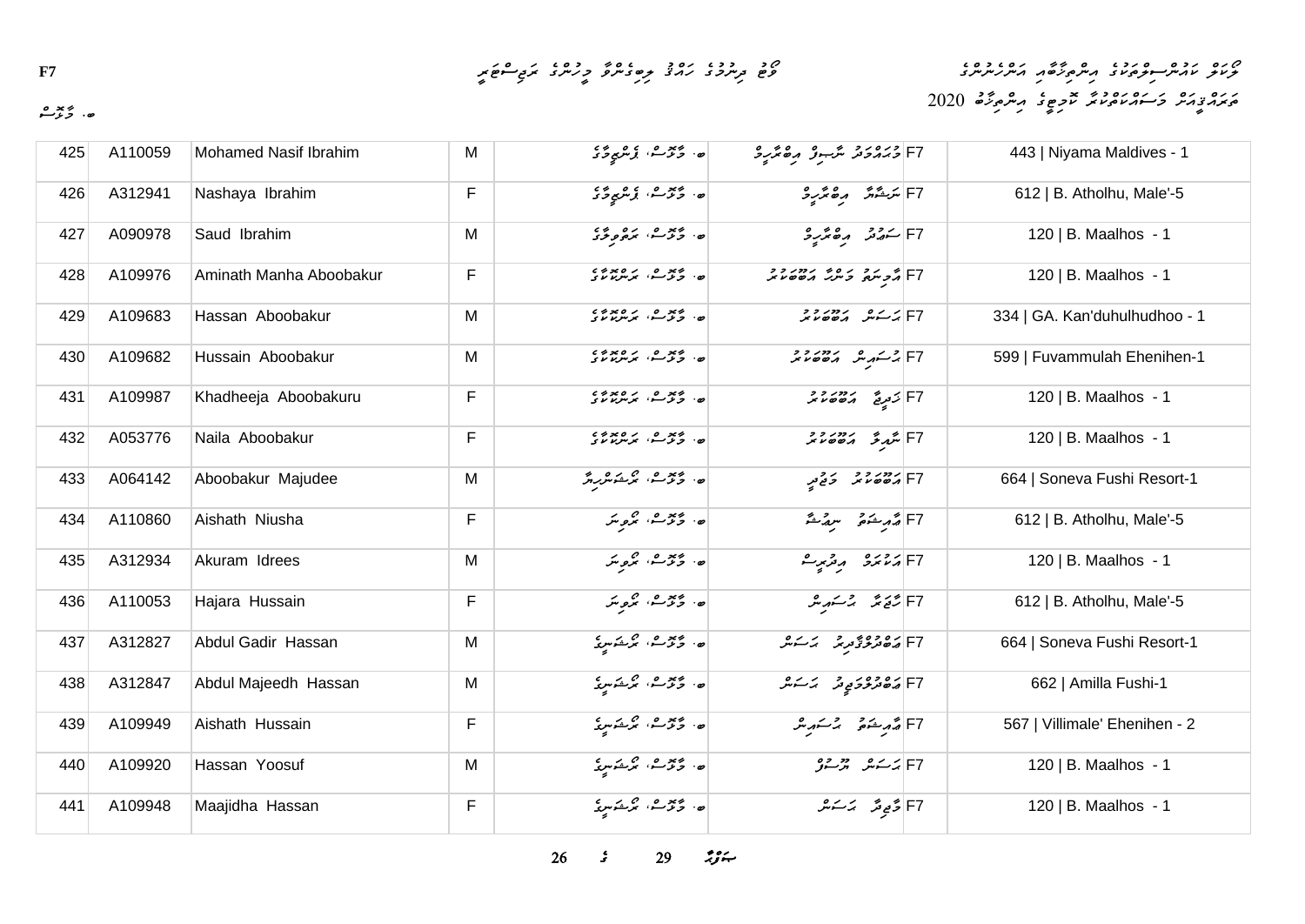*sCw7q7s5w7m< o<n9nOoAw7o< sCq;mAwBoEw7q<m; wBm;vB* م من المرة المرة المرة المرجع المرجع في المركبة 2020<br>مجم*د المريض المربوط المربع المرجع في المراجع المركبة* 

| 425 | A110059 | Mohamed Nasif Ibrahim   | M | ە . ۇترىشى ئۇس ئۇ ئى | F7 دبر دور شهور م <i>وه در د</i>           | 443   Niyama Maldives - 1     |
|-----|---------|-------------------------|---|----------------------|--------------------------------------------|-------------------------------|
| 426 | A312941 | Nashaya Ibrahim         | F | ه په ده وه وه        |                                            | 612   B. Atholhu, Male'-5     |
| 427 | A090978 | Saud Ibrahim            | M | ه به ده ده ده ده     | F7 سەھەر مەھرىپە                           | 120   B. Maalhos - 1          |
| 428 | A109976 | Aminath Manha Aboobakur | F | ھ گیجے میں معدوم     | F7 جُرِمَتِهِ وَسِرٌ مُصَصِّدٍ             | 120   B. Maalhos - 1          |
| 429 | A109683 | Hassan Aboobakur        | M | ە بەللەر ئەرەبىرە ئ  | $22222$ $227$ $-217$                       | 334   GA. Kan'duhulhudhoo - 1 |
| 430 | A109682 | Hussain Aboobakur       | M | ە بەللەر ئەرەبىرە ئ  | $52222$ $-27$                              | 599   Fuvammulah Ehenihen-1   |
| 431 | A109987 | Khadheeja Aboobakuru    | F | ھ گريز ھي پر ھيجو ت  | F7 كَتْرِيعٌ مُصْحَمَّةٌ مُرَّ             | 120   B. Maalhos - 1          |
| 432 | A053776 | Naila Aboobakur         | F | ە بەللەر ئەرەبىرە ئ  | $22222$ $\frac{2}{3}$                      | 120   B. Maalhos - 1          |
| 433 | A064142 | Aboobakur Majudee       | M | ھ گرمی کردگر         | F7 <i>גەە دو</i> بەر                       | 664   Soneva Fushi Resort-1   |
| 434 | A110860 | Aishath Niusha          | F | ە بەللەم ئۇمەتكە     | F7 مُدمِسْدَهُ سِمْتُ "                    | 612   B. Atholhu, Male'-5     |
| 435 | A312934 | Akuram Idrees           | M | ە بەللەھ، ئۇھ ئىر    | F7  پر مذہبر مریز ہونے                     | 120   B. Maalhos - 1          |
| 436 | A110053 | Hajara Hussain          | F | ھ گرمائی کرونکر      | F7 كَنْفَ عَمَد مِنْ سَنَهْدِ مِنْزَ       | 612   B. Atholhu, Male'-5     |
| 437 | A312827 | Abdul Gadir Hassan      | M | ھ گرمی گرځس          | F7 مۇھۇر ئۇنىز مەسكەنلەر                   | 664   Soneva Fushi Resort-1   |
| 438 | A312847 | Abdul Majeedh Hassan    | M | ھ گرمی کر شکر س      | F7 <i>مَـُ ڤُوتُرُو وَ يِهِ مُّ</i> سَـَسُ | 662   Amilla Fushi-1          |
| 439 | A109949 | Aishath Hussain         | F | ھ گرمی کر شکر س      | F7 مەم ئىسكەم بىر شىر بىر                  | 567   Villimale' Ehenihen - 2 |
| 440 | A109920 | Hassan Yoosuf           | M | ە ئەترىق ئۇيغۇرى     | F7   پرسٹر پر ہیں تھی۔<br>F7               | 120   B. Maalhos - 1          |
| 441 | A109948 | Maajidha Hassan         | F | ھ گرمبر قائم مرکباری |                                            | 120   B. Maalhos - 1          |

 $26$  *s*  $29$  *n***<sub>3</sub>** *n*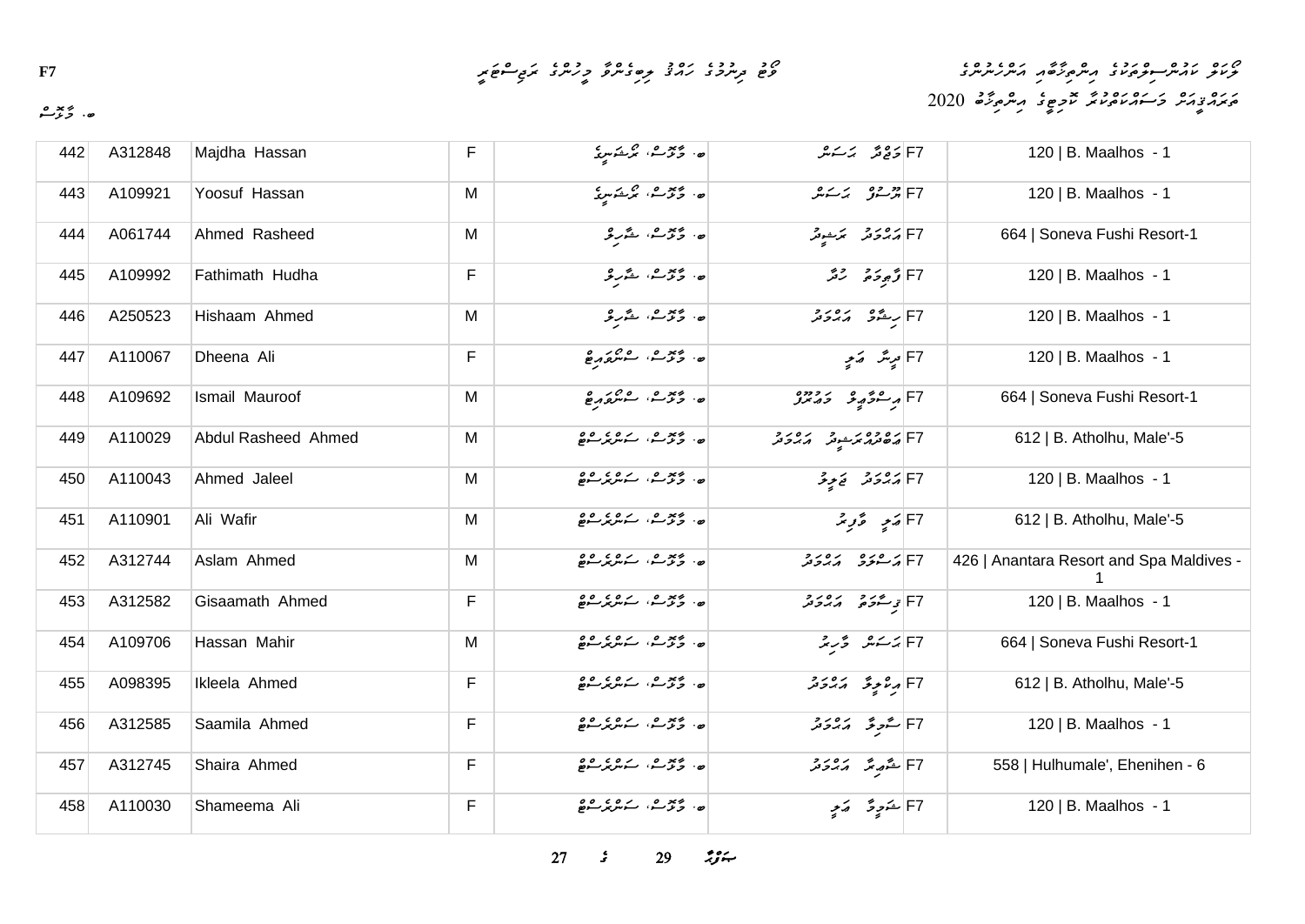*sCw7q7s5w7m< o<n9nOoAw7o< sCq;mAwBoEw7q<m; wBm;vB* م من المرة المرة المرة المرجع المرجع في المركبة 2020<br>مجم*د المريض المربوط المربع المرجع في المراجع المركبة* 

| 442 | A312848 | Majdha Hassan              | F           | ھ گرمز کے مرکبے میرنگ   | F7  5ق قر برسکر شر                         | 120   B. Maalhos - 1                     |
|-----|---------|----------------------------|-------------|-------------------------|--------------------------------------------|------------------------------------------|
| 443 | A109921 | Yoosuf Hassan              | M           | ە بەللەك ئۈيدىن         | F7 پر قسمبر پر پر تئاپلا                   | 120   B. Maalhos - 1                     |
| 444 | A061744 | Ahmed Rasheed              | M           | ە ئۇرمى، ئەربۇ          | F7 <i>ג ور و</i> برَش <sub>و</sub> تر      | 664   Soneva Fushi Resort-1              |
| 445 | A109992 | Fathimath Hudha            | $\mathsf F$ | ە بەيدە، ئەربۇ          | F7 <i>وُجِ دَمُ</i> گُرُّرُ                | 120   B. Maalhos - 1                     |
| 446 | A250523 | Hishaam Ahmed              | M           | ە بەللەر ئەربۇ          |                                            | 120   B. Maalhos - 1                     |
| 447 | A110067 | Dheena Ali                 | $\mathsf F$ | ە ئىمى مەدەبە           | F7 مریم کرم                                | 120   B. Maalhos - 1                     |
| 448 | A109692 | <b>Ismail Mauroof</b>      | M           | $e, e, e,$ $e, e, e, e$ | F7 <sub>م</sub> ر مۇ ھەر جەمەر دەھ         | 664   Soneva Fushi Resort-1              |
| 449 | A110029 | <b>Abdul Rasheed Ahmed</b> | M           | ھ گرگ سەمبرىق           | F7 مەھەرمەغبەت مەرەپە                      | 612   B. Atholhu, Male'-5                |
| 450 | A110043 | Ahmed Jaleel               | M           | ھ پر پر مستقبل دی       | F7 <i>גُرُدُوَ ڏُوِوُ</i>                  | 120   B. Maalhos - 1                     |
| 451 | A110901 | Ali Wafir                  | M           | ھ گرگ سەمبردىق          | F7 <i>ڇُجِ وُويرُ</i>                      | 612   B. Atholhu, Male'-5                |
| 452 | A312744 | Aslam Ahmed                | M           | ھ گرم گھرين وه          | F7 كەشكۇنى كەندۈنلە                        | 426   Anantara Resort and Spa Maldives - |
| 453 | A312582 | Gisaamath Ahmed            | E           | ھ گرگ سەھرىر مەھ        | F7 ت <sub>و</sub> ست <i>ۇمۇ مەدە</i> م     | 120   B. Maalhos - 1                     |
| 454 | A109706 | Hassan Mahir               | M           | ھ گرگ سەمبرىق           | F7   پرسکس گرس                             | 664   Soneva Fushi Resort-1              |
| 455 | A098395 | Ikleela Ahmed              | F           | ھ گرگ سەمبردىق          | F7 <sub>مر</sub> عوفی ک <sup>رو</sup> د تر | 612   B. Atholhu, Male'-5                |
| 456 | A312585 | Saamila Ahmed              | F           | ھ گرم گروپر گوھ         | F7 گرونژ کارونارو                          | 120   B. Maalhos - 1                     |
| 457 | A312745 | Shaira Ahmed               | F           | ھ گرگ سەمبردىق          | F7 ش <i>ەم بىر مەدە</i> ر                  | 558   Hulhumale', Ehenihen - 6           |
| 458 | A110030 | Shameema Ali               | F           | ھ گرم گروپر گوھ         | F7 ڪوچ5 ک <i>ي</i><br>-                    | 120   B. Maalhos - 1                     |

*27 sC 29 nNw?mS*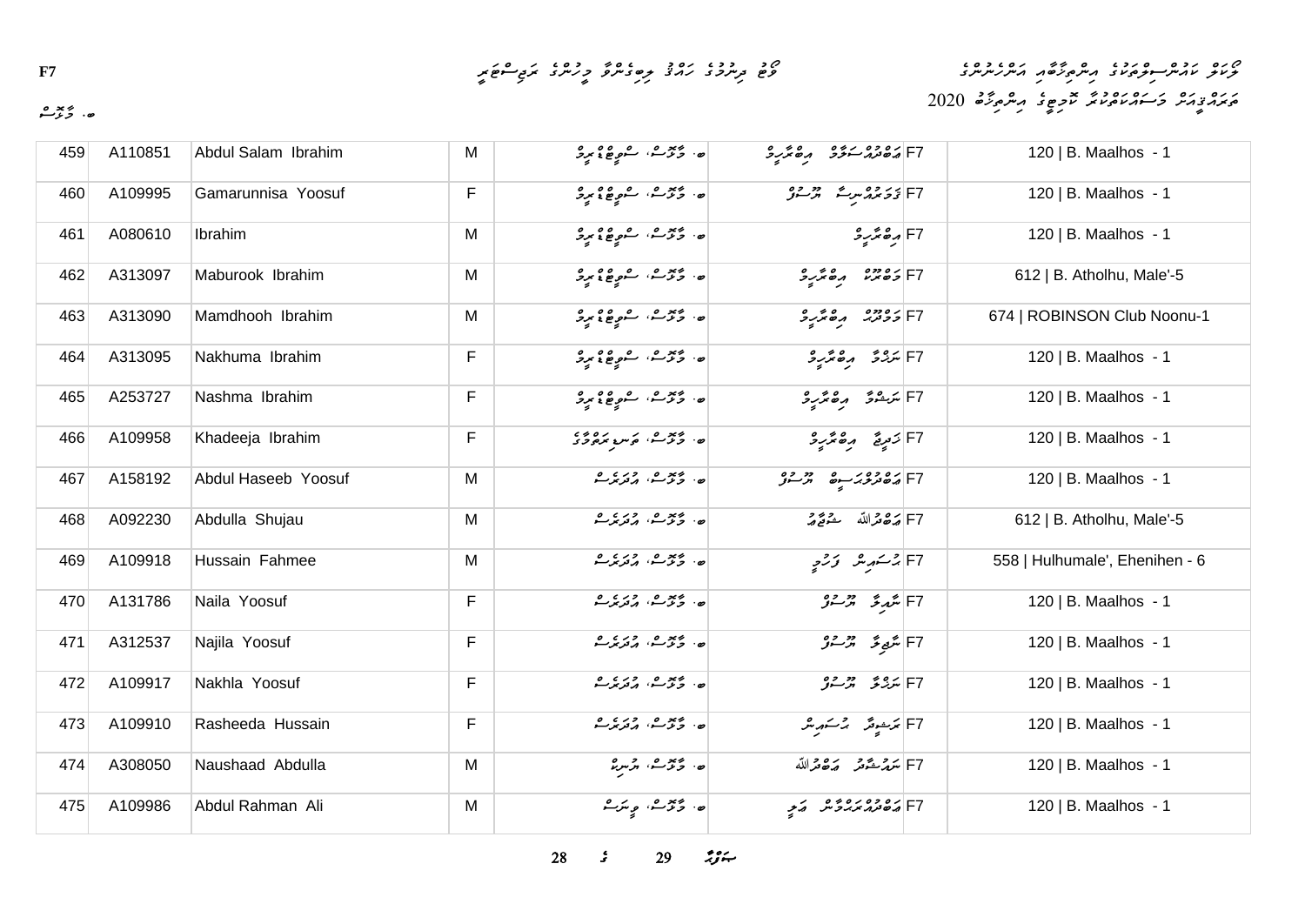*sCw7q7s5w7m< o<n9nOoAw7o< sCq;mAwBoEw7q<m; wBm;vB* م من المرة المرة المرة المرجع المرجع في المركبة 2020<br>مجم*د المريض المربوط المربع المرجع في المراجع المركبة* 

| 459 | A110851 | Abdul Salam Ibrahim | M           | ھ د مخرے، ڪموڻھ ۽ برد | F7 رەدە سۇر مەھرىرە                             | 120   B. Maalhos - 1           |
|-----|---------|---------------------|-------------|-----------------------|-------------------------------------------------|--------------------------------|
| 460 | A109995 | Gamarunnisa Yoosuf  | F           | ه پروگر مشهوره و در د | F7 تۈكەتمەكەسى <sup>مە</sup> ت <sup>ۈرم</sup> ۇ | 120   B. Maalhos - 1           |
| 461 | A080610 | Ibrahim             | M           | ه در در دره ده د      | F7 مەھمەر پە                                    | 120   B. Maalhos - 1           |
| 462 | A313097 | Maburook Ibrahim    | M           | ه در در موقع برد      | F7  <i>خەمىرە</i> مەھم <i>رى</i> دە             | 612   B. Atholhu, Male'-5      |
| 463 | A313090 | Mamdhooh Ibrahim    | M           |                       | F7  <i>5 دوه</i> م <i>ی پر چ</i>                | 674   ROBINSON Club Noonu-1    |
| 464 | A313095 | Nakhuma Ibrahim     | $\mathsf F$ |                       | F7 يَرْدُدُّ بِر <i>ەڭرى</i> دُ                 | 120   B. Maalhos - 1           |
| 465 | A253727 | Nashma Ibrahim      | F           | ه د محرّث، سوءٍ عامره | F7 ىترىشۇ مەھ <i>ت</i> رىۋ                      | 120   B. Maalhos - 1           |
| 466 | A109958 | Khadeeja Ibrahim    | F           | ە بەللەر ئەس كەم ئ    | F7 زَمِرِيَّ م <i>ِ هُ بُرُرٍ وَ</i>            | 120   B. Maalhos - 1           |
| 467 | A158192 | Abdul Haseeb Yoosuf | M           | ە ئەترىق مەمەرىمى     | F7 <sub>م</sub> ی <i>قوم کرد و و وه وه</i>      | 120   B. Maalhos - 1           |
| 468 | A092230 | Abdulla Shujau      | M           | ھ پڑھ مہرکر ہے        | F7 22 مَرْاللَّه شَوْقَ <sup>م</sup> َّة        | 612   B. Atholhu, Male'-5      |
| 469 | A109918 | Hussain Fahmee      | M           | ھ پڑ پڑے پر تر پڑے    | F7 پر شهر میں ترجمج ِ                           | 558   Hulhumale', Ehenihen - 6 |
| 470 | A131786 | Naila Yoosuf        | F           | ھ پڑ پڑے پر تر پڑے    | F7 شَهِ عَ شَرْ وَ مِنْ                         | 120   B. Maalhos - 1           |
| 471 | A312537 | Najila Yoosuf       | F           | ھ پاڻي شاه تريز ک     | F7 سُمْهِ عُلْ سُمْرَ مِنْ الْمُرْسَوْرُ        | 120   B. Maalhos - 1           |
| 472 | A109917 | Nakhla Yoosuf       | $\mathsf F$ | ھ پڑ پڑے پر تر پڑے    | F7 سَرُدْ حَمْ سَرْدِ مِنْ                      | 120   B. Maalhos - 1           |
| 473 | A109910 | Rasheeda Hussain    | F           | ە بۇ ئۆت، مەترىرت     | F7 بَرَحْمِتَر كَرْسَمَ <i>رِيسُ</i>            | 120   B. Maalhos - 1           |
| 474 | A308050 | Naushaad Abdulla    | M           | ه د محمد ه ، مرس      | F7 سَمَدْ شَوْتِر مَنْ صَوْرَاللّهِ             | 120   B. Maalhos - 1           |
| 475 | A109986 | Abdul Rahman Ali    | M           | ه په دره و پره        | F7 <i>בەفىھ برەۋىر ھې</i> ر                     | 120   B. Maalhos - 1           |

*28 sC 29 nNw?mS*